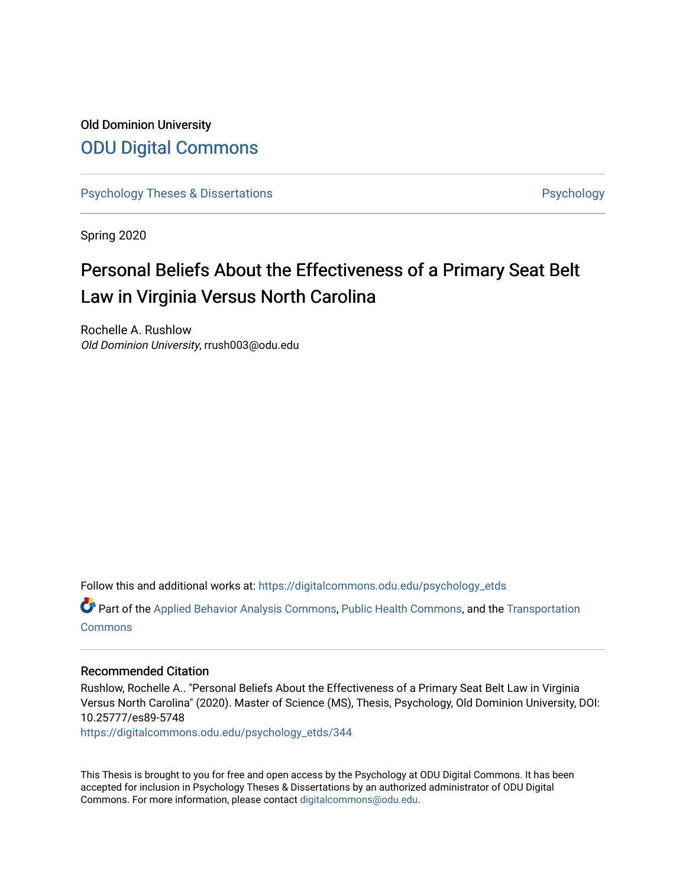# Old Dominion University [ODU Digital Commons](https://digitalcommons.odu.edu/)

[Psychology Theses & Dissertations](https://digitalcommons.odu.edu/psychology_etds) **Psychology** Psychology

Spring 2020

# Personal Beliefs About the Effectiveness of a Primary Seat Belt Law in Virginia Versus North Carolina

Rochelle A. Rushlow Old Dominion University, rrush003@odu.edu

Follow this and additional works at: [https://digitalcommons.odu.edu/psychology\\_etds](https://digitalcommons.odu.edu/psychology_etds?utm_source=digitalcommons.odu.edu%2Fpsychology_etds%2F344&utm_medium=PDF&utm_campaign=PDFCoverPages)

Part of the [Applied Behavior Analysis Commons](http://network.bepress.com/hgg/discipline/1235?utm_source=digitalcommons.odu.edu%2Fpsychology_etds%2F344&utm_medium=PDF&utm_campaign=PDFCoverPages), [Public Health Commons,](http://network.bepress.com/hgg/discipline/738?utm_source=digitalcommons.odu.edu%2Fpsychology_etds%2F344&utm_medium=PDF&utm_campaign=PDFCoverPages) and the [Transportation](http://network.bepress.com/hgg/discipline/1068?utm_source=digitalcommons.odu.edu%2Fpsychology_etds%2F344&utm_medium=PDF&utm_campaign=PDFCoverPages) **[Commons](http://network.bepress.com/hgg/discipline/1068?utm_source=digitalcommons.odu.edu%2Fpsychology_etds%2F344&utm_medium=PDF&utm_campaign=PDFCoverPages)** 

### Recommended Citation

Rushlow, Rochelle A.. "Personal Beliefs About the Effectiveness of a Primary Seat Belt Law in Virginia Versus North Carolina" (2020). Master of Science (MS), Thesis, Psychology, Old Dominion University, DOI: 10.25777/es89-5748

[https://digitalcommons.odu.edu/psychology\\_etds/344](https://digitalcommons.odu.edu/psychology_etds/344?utm_source=digitalcommons.odu.edu%2Fpsychology_etds%2F344&utm_medium=PDF&utm_campaign=PDFCoverPages)

This Thesis is brought to you for free and open access by the Psychology at ODU Digital Commons. It has been accepted for inclusion in Psychology Theses & Dissertations by an authorized administrator of ODU Digital Commons. For more information, please contact [digitalcommons@odu.edu](mailto:digitalcommons@odu.edu).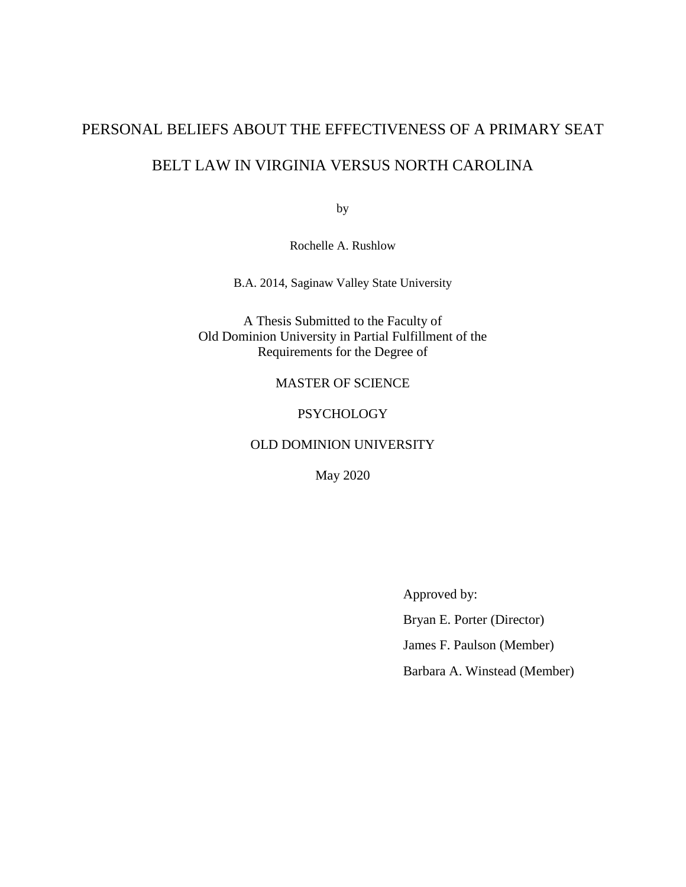# PERSONAL BELIEFS ABOUT THE EFFECTIVENESS OF A PRIMARY SEAT BELT LAW IN VIRGINIA VERSUS NORTH CAROLINA

by

Rochelle A. Rushlow

B.A. 2014, Saginaw Valley State University

A Thesis Submitted to the Faculty of Old Dominion University in Partial Fulfillment of the Requirements for the Degree of

# MASTER OF SCIENCE

# **PSYCHOLOGY**

# OLD DOMINION UNIVERSITY

May 2020

Approved by: Bryan E. Porter (Director) James F. Paulson (Member) Barbara A. Winstead (Member)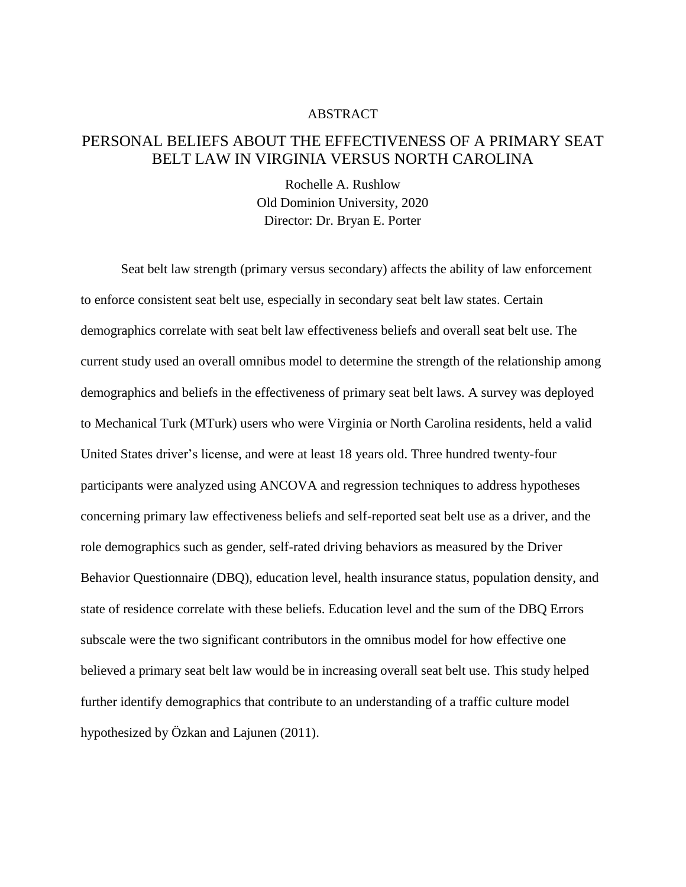## ABSTRACT

# PERSONAL BELIEFS ABOUT THE EFFECTIVENESS OF A PRIMARY SEAT BELT LAW IN VIRGINIA VERSUS NORTH CAROLINA

Rochelle A. Rushlow Old Dominion University, 2020 Director: Dr. Bryan E. Porter

Seat belt law strength (primary versus secondary) affects the ability of law enforcement to enforce consistent seat belt use, especially in secondary seat belt law states. Certain demographics correlate with seat belt law effectiveness beliefs and overall seat belt use. The current study used an overall omnibus model to determine the strength of the relationship among demographics and beliefs in the effectiveness of primary seat belt laws. A survey was deployed to Mechanical Turk (MTurk) users who were Virginia or North Carolina residents, held a valid United States driver's license, and were at least 18 years old. Three hundred twenty-four participants were analyzed using ANCOVA and regression techniques to address hypotheses concerning primary law effectiveness beliefs and self-reported seat belt use as a driver, and the role demographics such as gender, self-rated driving behaviors as measured by the Driver Behavior Questionnaire (DBQ), education level, health insurance status, population density, and state of residence correlate with these beliefs. Education level and the sum of the DBQ Errors subscale were the two significant contributors in the omnibus model for how effective one believed a primary seat belt law would be in increasing overall seat belt use. This study helped further identify demographics that contribute to an understanding of a traffic culture model hypothesized by Özkan and Lajunen (2011).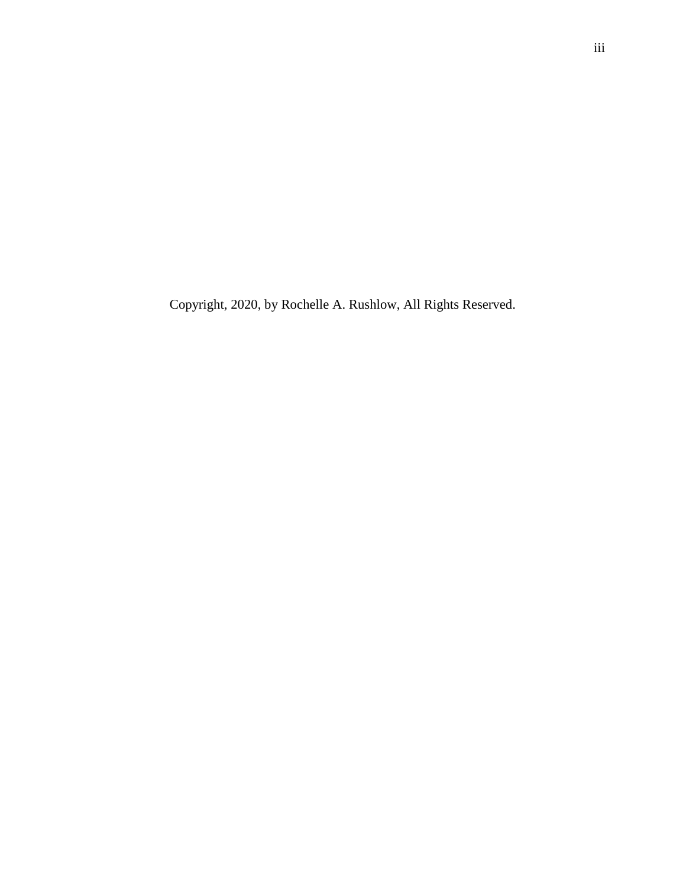Copyright, 2020, by Rochelle A. Rushlow, All Rights Reserved.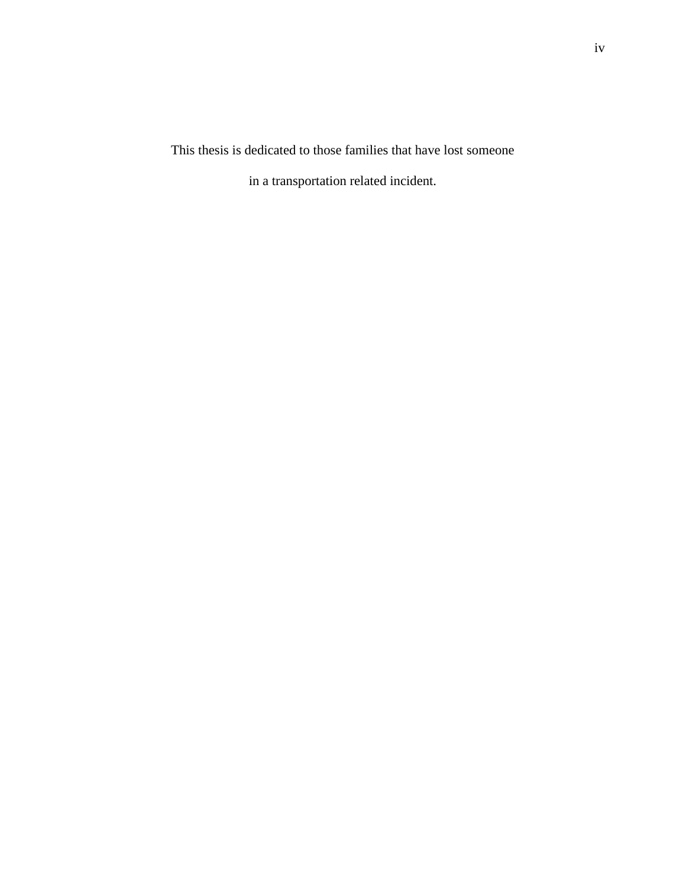This thesis is dedicated to those families that have lost someone

in a transportation related incident.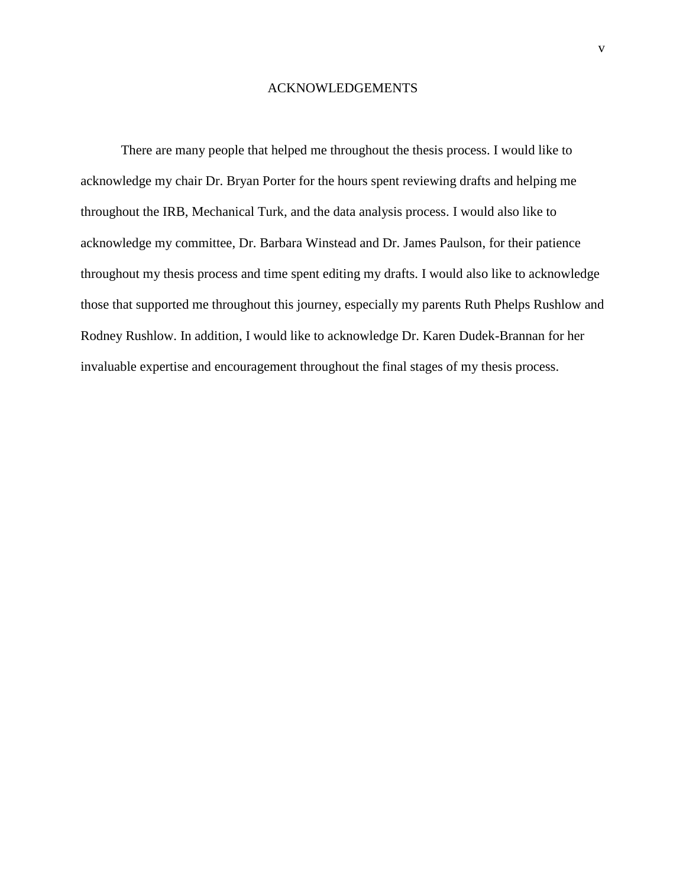# ACKNOWLEDGEMENTS

There are many people that helped me throughout the thesis process. I would like to acknowledge my chair Dr. Bryan Porter for the hours spent reviewing drafts and helping me throughout the IRB, Mechanical Turk, and the data analysis process. I would also like to acknowledge my committee, Dr. Barbara Winstead and Dr. James Paulson, for their patience throughout my thesis process and time spent editing my drafts. I would also like to acknowledge those that supported me throughout this journey, especially my parents Ruth Phelps Rushlow and Rodney Rushlow. In addition, I would like to acknowledge Dr. Karen Dudek-Brannan for her invaluable expertise and encouragement throughout the final stages of my thesis process.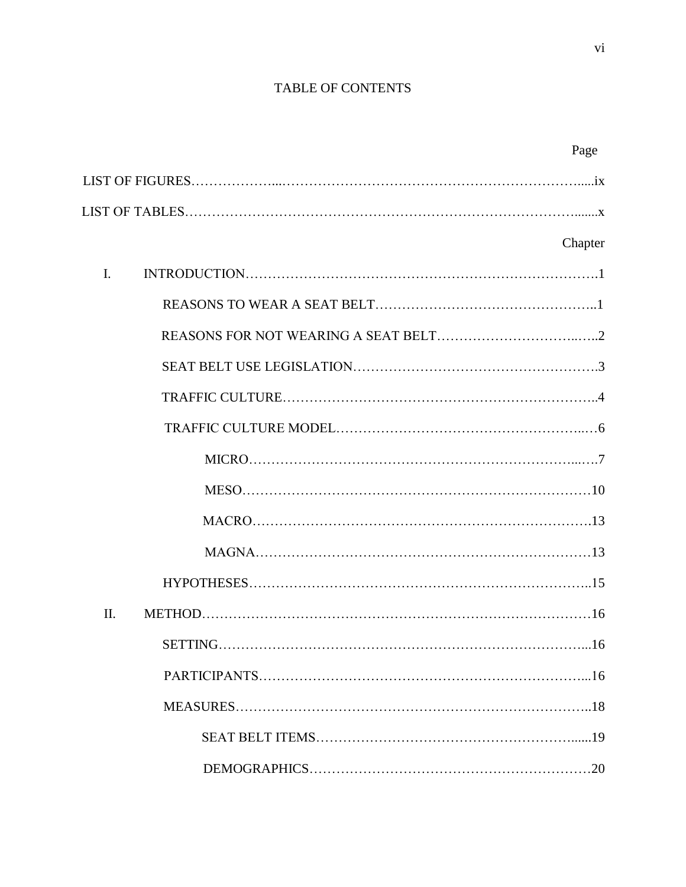# TABLE OF CONTENTS

|     | Page    |
|-----|---------|
|     |         |
|     |         |
|     | Chapter |
| I.  |         |
|     |         |
|     |         |
|     |         |
|     |         |
|     |         |
|     |         |
|     |         |
|     |         |
|     |         |
|     |         |
| II. |         |
|     |         |
|     |         |
|     |         |
|     |         |
|     |         |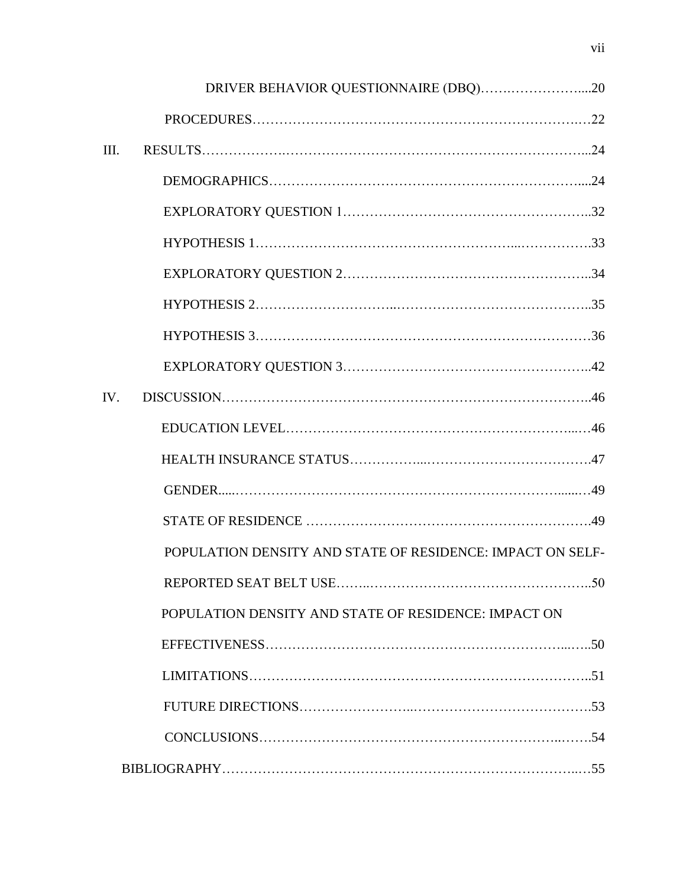| III. |                                                            |  |
|------|------------------------------------------------------------|--|
|      |                                                            |  |
|      |                                                            |  |
|      |                                                            |  |
|      |                                                            |  |
|      |                                                            |  |
|      |                                                            |  |
|      |                                                            |  |
| IV.  |                                                            |  |
|      |                                                            |  |
|      |                                                            |  |
|      |                                                            |  |
|      |                                                            |  |
|      | POPULATION DENSITY AND STATE OF RESIDENCE: IMPACT ON SELF- |  |
|      |                                                            |  |
|      | POPULATION DENSITY AND STATE OF RESIDENCE: IMPACT ON       |  |
|      |                                                            |  |
|      |                                                            |  |
|      |                                                            |  |
|      |                                                            |  |
|      |                                                            |  |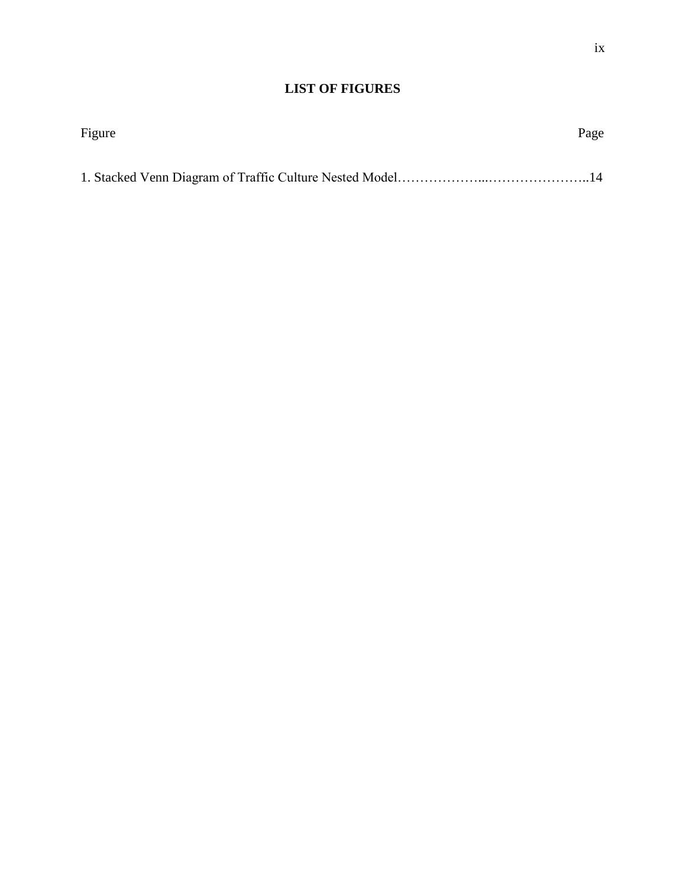# **LIST OF FIGURES**

| Figure | Page |
|--------|------|
|        |      |
|        |      |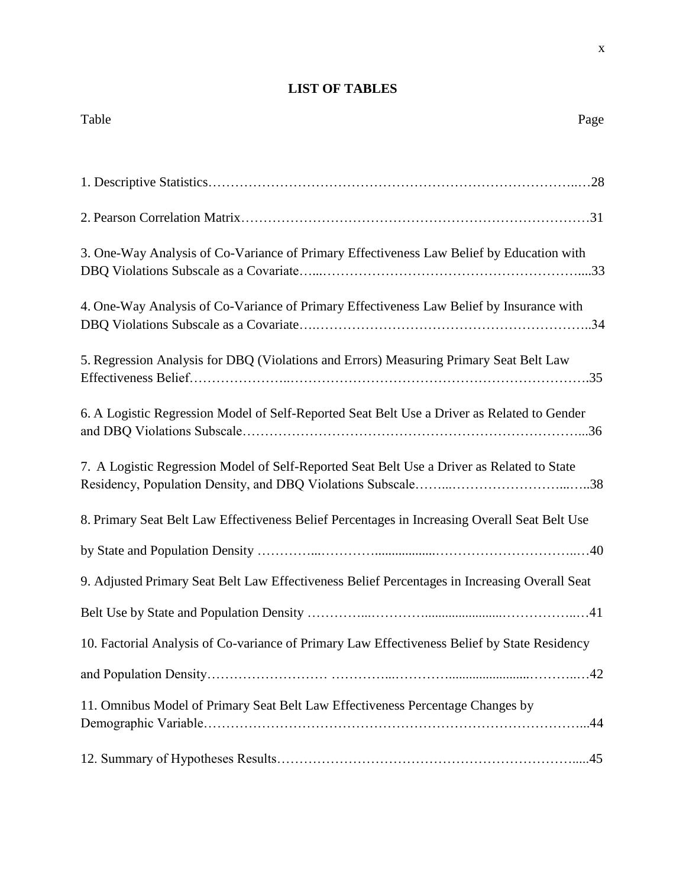# **LIST OF TABLES**

| Table                                                                                         | Page |
|-----------------------------------------------------------------------------------------------|------|
|                                                                                               |      |
|                                                                                               |      |
| 3. One-Way Analysis of Co-Variance of Primary Effectiveness Law Belief by Education with      |      |
| 4. One-Way Analysis of Co-Variance of Primary Effectiveness Law Belief by Insurance with      |      |
| 5. Regression Analysis for DBQ (Violations and Errors) Measuring Primary Seat Belt Law        |      |
| 6. A Logistic Regression Model of Self-Reported Seat Belt Use a Driver as Related to Gender   |      |
| 7. A Logistic Regression Model of Self-Reported Seat Belt Use a Driver as Related to State    |      |
| 8. Primary Seat Belt Law Effectiveness Belief Percentages in Increasing Overall Seat Belt Use |      |
|                                                                                               |      |
| 9. Adjusted Primary Seat Belt Law Effectiveness Belief Percentages in Increasing Overall Seat |      |
|                                                                                               |      |
| 10. Factorial Analysis of Co-variance of Primary Law Effectiveness Belief by State Residency  |      |
|                                                                                               |      |
| 11. Omnibus Model of Primary Seat Belt Law Effectiveness Percentage Changes by                |      |
|                                                                                               |      |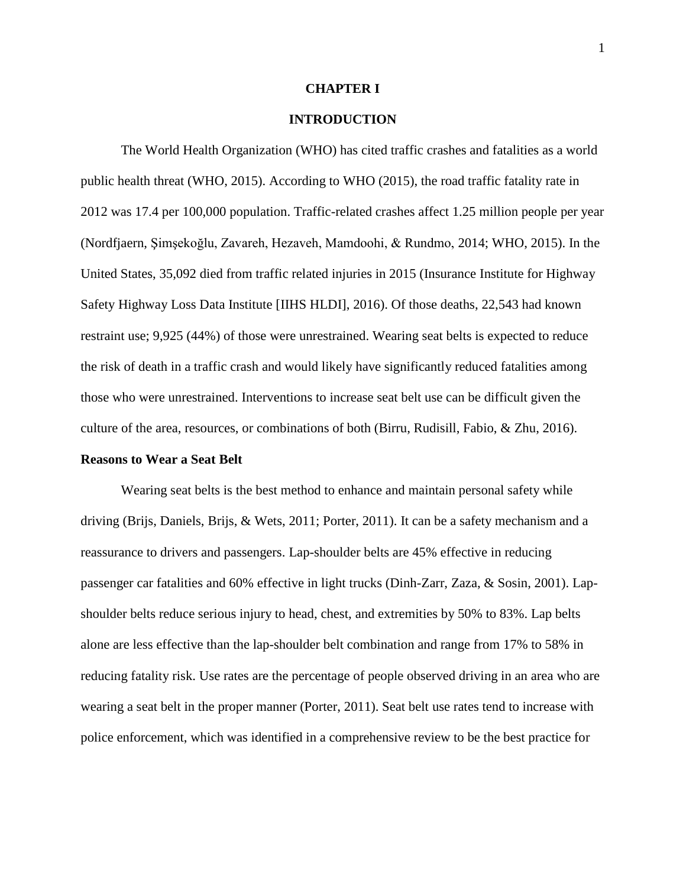#### **CHAPTER I**

# **INTRODUCTION**

The World Health Organization (WHO) has cited traffic crashes and fatalities as a world public health threat (WHO, 2015). According to WHO (2015), the road traffic fatality rate in 2012 was 17.4 per 100,000 population. Traffic-related crashes affect 1.25 million people per year (Nordfjaern, Şimşekoğlu, Zavareh, Hezaveh, Mamdoohi, & Rundmo, 2014; WHO, 2015). In the United States, 35,092 died from traffic related injuries in 2015 (Insurance Institute for Highway Safety Highway Loss Data Institute [IIHS HLDI], 2016). Of those deaths, 22,543 had known restraint use; 9,925 (44%) of those were unrestrained. Wearing seat belts is expected to reduce the risk of death in a traffic crash and would likely have significantly reduced fatalities among those who were unrestrained. Interventions to increase seat belt use can be difficult given the culture of the area, resources, or combinations of both (Birru, Rudisill, Fabio, & Zhu, 2016).

#### **Reasons to Wear a Seat Belt**

Wearing seat belts is the best method to enhance and maintain personal safety while driving (Brijs, Daniels, Brijs, & Wets, 2011; Porter, 2011). It can be a safety mechanism and a reassurance to drivers and passengers. Lap-shoulder belts are 45% effective in reducing passenger car fatalities and 60% effective in light trucks (Dinh-Zarr, Zaza, & Sosin, 2001). Lapshoulder belts reduce serious injury to head, chest, and extremities by 50% to 83%. Lap belts alone are less effective than the lap-shoulder belt combination and range from 17% to 58% in reducing fatality risk. Use rates are the percentage of people observed driving in an area who are wearing a seat belt in the proper manner (Porter, 2011). Seat belt use rates tend to increase with police enforcement, which was identified in a comprehensive review to be the best practice for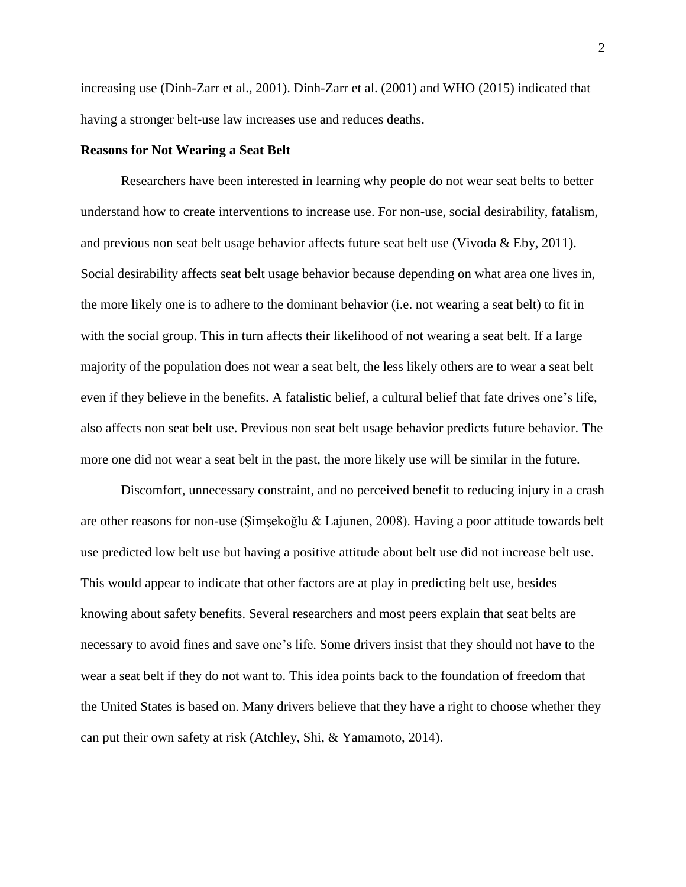increasing use (Dinh-Zarr et al., 2001). Dinh-Zarr et al. (2001) and WHO (2015) indicated that having a stronger belt-use law increases use and reduces deaths.

## **Reasons for Not Wearing a Seat Belt**

Researchers have been interested in learning why people do not wear seat belts to better understand how to create interventions to increase use. For non-use, social desirability, fatalism, and previous non seat belt usage behavior affects future seat belt use (Vivoda & Eby, 2011). Social desirability affects seat belt usage behavior because depending on what area one lives in, the more likely one is to adhere to the dominant behavior (i.e. not wearing a seat belt) to fit in with the social group. This in turn affects their likelihood of not wearing a seat belt. If a large majority of the population does not wear a seat belt, the less likely others are to wear a seat belt even if they believe in the benefits. A fatalistic belief, a cultural belief that fate drives one's life, also affects non seat belt use. Previous non seat belt usage behavior predicts future behavior. The more one did not wear a seat belt in the past, the more likely use will be similar in the future.

Discomfort, unnecessary constraint, and no perceived benefit to reducing injury in a crash are other reasons for non-use (Şimşekoğlu & Lajunen, 2008). Having a poor attitude towards belt use predicted low belt use but having a positive attitude about belt use did not increase belt use. This would appear to indicate that other factors are at play in predicting belt use, besides knowing about safety benefits. Several researchers and most peers explain that seat belts are necessary to avoid fines and save one's life. Some drivers insist that they should not have to the wear a seat belt if they do not want to. This idea points back to the foundation of freedom that the United States is based on. Many drivers believe that they have a right to choose whether they can put their own safety at risk (Atchley, Shi, & Yamamoto, 2014).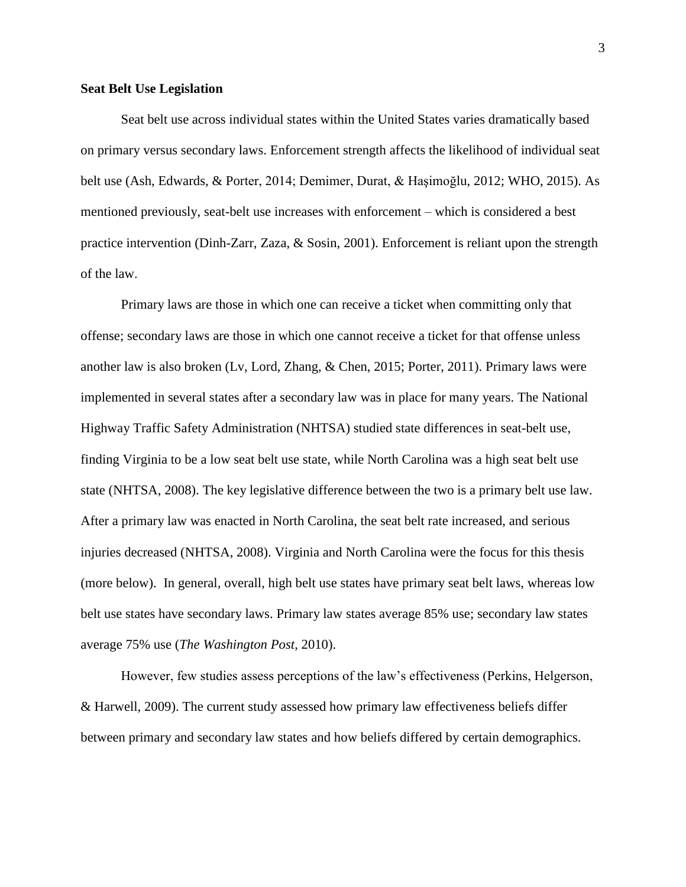# **Seat Belt Use Legislation**

Seat belt use across individual states within the United States varies dramatically based on primary versus secondary laws. Enforcement strength affects the likelihood of individual seat belt use (Ash, Edwards, & Porter, 2014; Demimer, Durat, & Haşimoğlu, 2012; WHO, 2015). As mentioned previously, seat-belt use increases with enforcement – which is considered a best practice intervention (Dinh-Zarr, Zaza, & Sosin, 2001). Enforcement is reliant upon the strength of the law.

Primary laws are those in which one can receive a ticket when committing only that offense; secondary laws are those in which one cannot receive a ticket for that offense unless another law is also broken (Lv, Lord, Zhang, & Chen, 2015; Porter, 2011). Primary laws were implemented in several states after a secondary law was in place for many years. The National Highway Traffic Safety Administration (NHTSA) studied state differences in seat-belt use, finding Virginia to be a low seat belt use state, while North Carolina was a high seat belt use state (NHTSA, 2008). The key legislative difference between the two is a primary belt use law. After a primary law was enacted in North Carolina, the seat belt rate increased, and serious injuries decreased (NHTSA, 2008). Virginia and North Carolina were the focus for this thesis (more below). In general, overall, high belt use states have primary seat belt laws, whereas low belt use states have secondary laws. Primary law states average 85% use; secondary law states average 75% use (*The Washington Post*, 2010).

However, few studies assess perceptions of the law's effectiveness (Perkins, Helgerson, & Harwell, 2009). The current study assessed how primary law effectiveness beliefs differ between primary and secondary law states and how beliefs differed by certain demographics.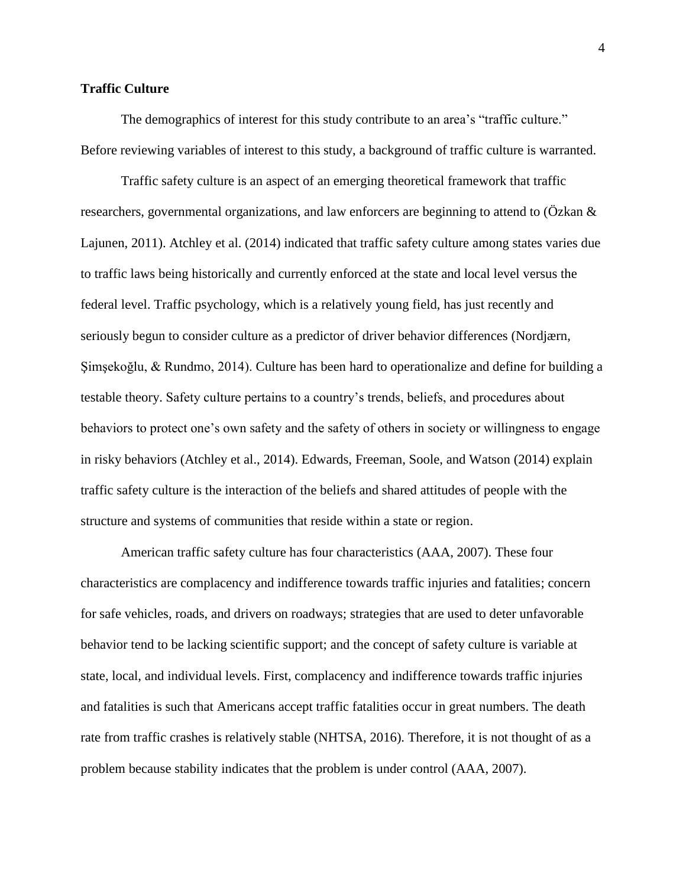# **Traffic Culture**

The demographics of interest for this study contribute to an area's "traffic culture." Before reviewing variables of interest to this study, a background of traffic culture is warranted.

Traffic safety culture is an aspect of an emerging theoretical framework that traffic researchers, governmental organizations, and law enforcers are beginning to attend to (Özkan & Lajunen, 2011). Atchley et al. (2014) indicated that traffic safety culture among states varies due to traffic laws being historically and currently enforced at the state and local level versus the federal level. Traffic psychology, which is a relatively young field, has just recently and seriously begun to consider culture as a predictor of driver behavior differences (Nordjærn, Şimşekoğlu, & Rundmo, 2014). Culture has been hard to operationalize and define for building a testable theory. Safety culture pertains to a country's trends, beliefs, and procedures about behaviors to protect one's own safety and the safety of others in society or willingness to engage in risky behaviors (Atchley et al., 2014). Edwards, Freeman, Soole, and Watson (2014) explain traffic safety culture is the interaction of the beliefs and shared attitudes of people with the structure and systems of communities that reside within a state or region.

American traffic safety culture has four characteristics (AAA, 2007). These four characteristics are complacency and indifference towards traffic injuries and fatalities; concern for safe vehicles, roads, and drivers on roadways; strategies that are used to deter unfavorable behavior tend to be lacking scientific support; and the concept of safety culture is variable at state, local, and individual levels. First, complacency and indifference towards traffic injuries and fatalities is such that Americans accept traffic fatalities occur in great numbers. The death rate from traffic crashes is relatively stable (NHTSA, 2016). Therefore, it is not thought of as a problem because stability indicates that the problem is under control (AAA, 2007).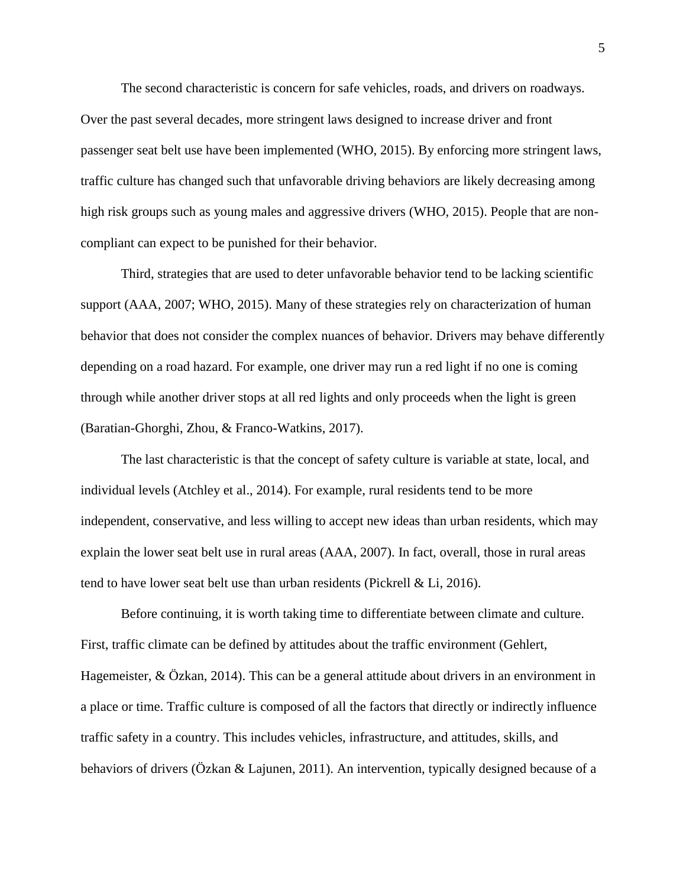The second characteristic is concern for safe vehicles, roads, and drivers on roadways. Over the past several decades, more stringent laws designed to increase driver and front passenger seat belt use have been implemented (WHO, 2015). By enforcing more stringent laws, traffic culture has changed such that unfavorable driving behaviors are likely decreasing among high risk groups such as young males and aggressive drivers (WHO, 2015). People that are noncompliant can expect to be punished for their behavior.

Third, strategies that are used to deter unfavorable behavior tend to be lacking scientific support (AAA, 2007; WHO, 2015). Many of these strategies rely on characterization of human behavior that does not consider the complex nuances of behavior. Drivers may behave differently depending on a road hazard. For example, one driver may run a red light if no one is coming through while another driver stops at all red lights and only proceeds when the light is green (Baratian-Ghorghi, Zhou, & Franco-Watkins, 2017).

The last characteristic is that the concept of safety culture is variable at state, local, and individual levels (Atchley et al., 2014). For example, rural residents tend to be more independent, conservative, and less willing to accept new ideas than urban residents, which may explain the lower seat belt use in rural areas (AAA, 2007). In fact, overall, those in rural areas tend to have lower seat belt use than urban residents (Pickrell & Li, 2016).

Before continuing, it is worth taking time to differentiate between climate and culture. First, traffic climate can be defined by attitudes about the traffic environment (Gehlert, Hagemeister, & Özkan, 2014). This can be a general attitude about drivers in an environment in a place or time. Traffic culture is composed of all the factors that directly or indirectly influence traffic safety in a country. This includes vehicles, infrastructure, and attitudes, skills, and behaviors of drivers (Özkan & Lajunen, 2011). An intervention, typically designed because of a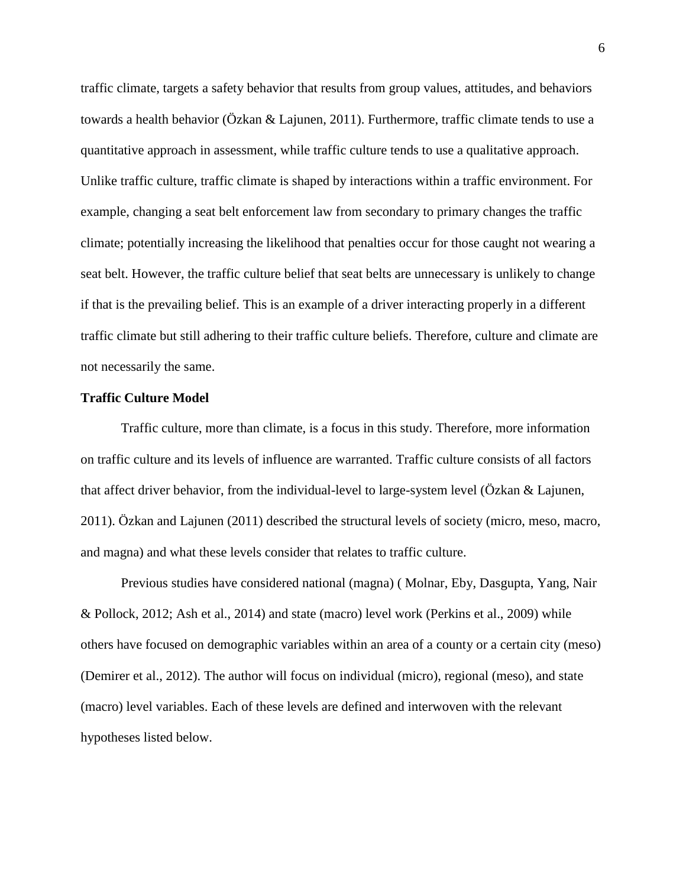traffic climate, targets a safety behavior that results from group values, attitudes, and behaviors towards a health behavior (Özkan & Lajunen, 2011). Furthermore, traffic climate tends to use a quantitative approach in assessment, while traffic culture tends to use a qualitative approach. Unlike traffic culture, traffic climate is shaped by interactions within a traffic environment. For example, changing a seat belt enforcement law from secondary to primary changes the traffic climate; potentially increasing the likelihood that penalties occur for those caught not wearing a seat belt. However, the traffic culture belief that seat belts are unnecessary is unlikely to change if that is the prevailing belief. This is an example of a driver interacting properly in a different traffic climate but still adhering to their traffic culture beliefs. Therefore, culture and climate are not necessarily the same.

#### **Traffic Culture Model**

Traffic culture, more than climate, is a focus in this study. Therefore, more information on traffic culture and its levels of influence are warranted. Traffic culture consists of all factors that affect driver behavior, from the individual-level to large-system level ( $Oz$ kan & Lajunen, 2011). Özkan and Lajunen (2011) described the structural levels of society (micro, meso, macro, and magna) and what these levels consider that relates to traffic culture.

Previous studies have considered national (magna) ( Molnar, Eby, Dasgupta, Yang, Nair & Pollock, 2012; Ash et al., 2014) and state (macro) level work (Perkins et al., 2009) while others have focused on demographic variables within an area of a county or a certain city (meso) (Demirer et al., 2012). The author will focus on individual (micro), regional (meso), and state (macro) level variables. Each of these levels are defined and interwoven with the relevant hypotheses listed below.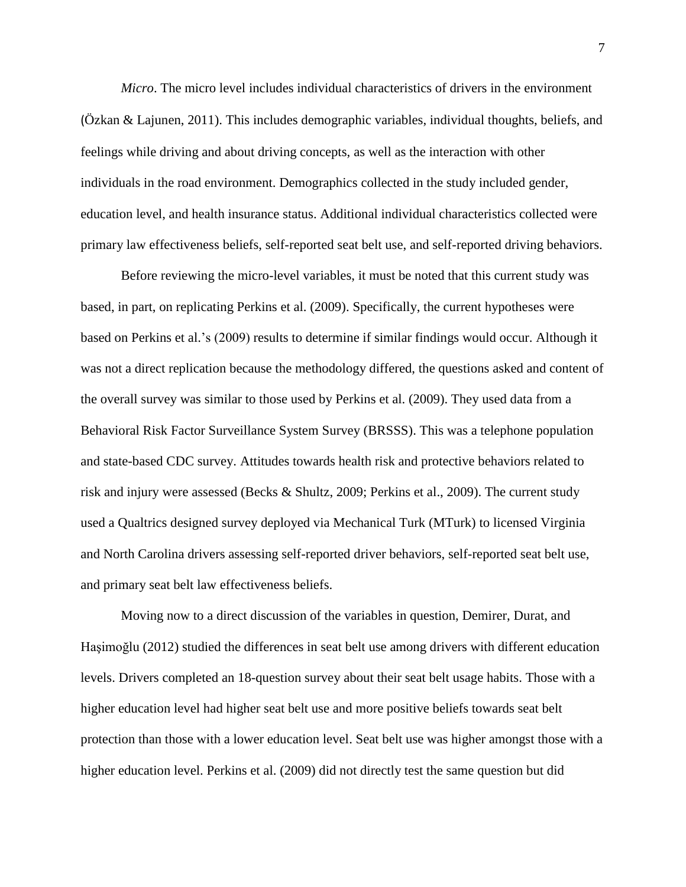*Micro*. The micro level includes individual characteristics of drivers in the environment (Özkan & Lajunen, 2011). This includes demographic variables, individual thoughts, beliefs, and feelings while driving and about driving concepts, as well as the interaction with other individuals in the road environment. Demographics collected in the study included gender, education level, and health insurance status. Additional individual characteristics collected were primary law effectiveness beliefs, self-reported seat belt use, and self-reported driving behaviors.

Before reviewing the micro-level variables, it must be noted that this current study was based, in part, on replicating Perkins et al. (2009). Specifically, the current hypotheses were based on Perkins et al.'s (2009) results to determine if similar findings would occur. Although it was not a direct replication because the methodology differed, the questions asked and content of the overall survey was similar to those used by Perkins et al. (2009). They used data from a Behavioral Risk Factor Surveillance System Survey (BRSSS). This was a telephone population and state-based CDC survey. Attitudes towards health risk and protective behaviors related to risk and injury were assessed (Becks & Shultz, 2009; Perkins et al., 2009). The current study used a Qualtrics designed survey deployed via Mechanical Turk (MTurk) to licensed Virginia and North Carolina drivers assessing self-reported driver behaviors, self-reported seat belt use, and primary seat belt law effectiveness beliefs.

Moving now to a direct discussion of the variables in question, Demirer, Durat, and Haşimoğlu (2012) studied the differences in seat belt use among drivers with different education levels. Drivers completed an 18-question survey about their seat belt usage habits. Those with a higher education level had higher seat belt use and more positive beliefs towards seat belt protection than those with a lower education level. Seat belt use was higher amongst those with a higher education level. Perkins et al. (2009) did not directly test the same question but did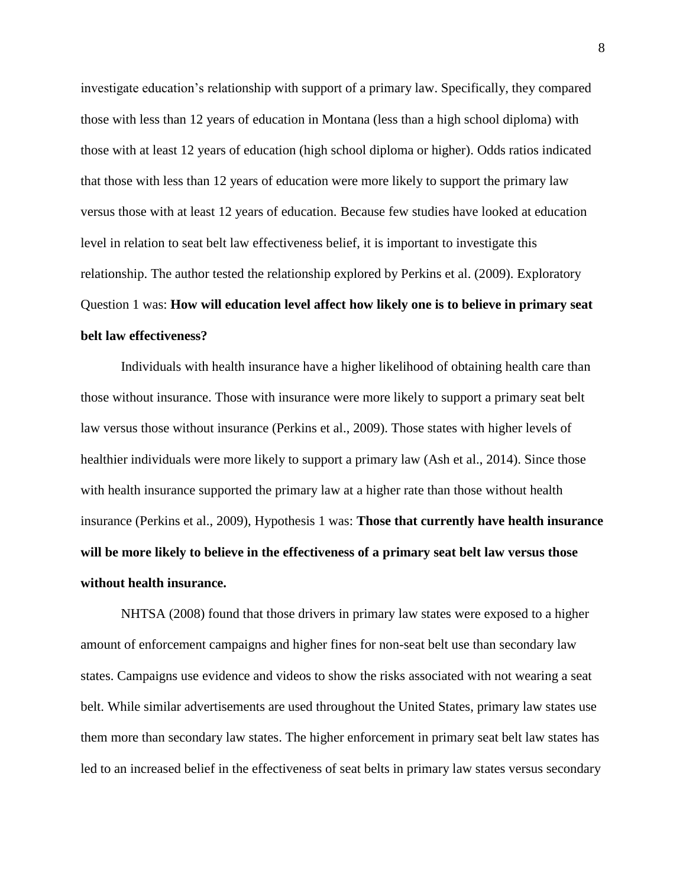investigate education's relationship with support of a primary law. Specifically, they compared those with less than 12 years of education in Montana (less than a high school diploma) with those with at least 12 years of education (high school diploma or higher). Odds ratios indicated that those with less than 12 years of education were more likely to support the primary law versus those with at least 12 years of education. Because few studies have looked at education level in relation to seat belt law effectiveness belief, it is important to investigate this relationship. The author tested the relationship explored by Perkins et al. (2009). Exploratory Question 1 was: **How will education level affect how likely one is to believe in primary seat belt law effectiveness?** 

Individuals with health insurance have a higher likelihood of obtaining health care than those without insurance. Those with insurance were more likely to support a primary seat belt law versus those without insurance (Perkins et al., 2009). Those states with higher levels of healthier individuals were more likely to support a primary law (Ash et al., 2014). Since those with health insurance supported the primary law at a higher rate than those without health insurance (Perkins et al., 2009), Hypothesis 1 was: **Those that currently have health insurance will be more likely to believe in the effectiveness of a primary seat belt law versus those without health insurance.**

NHTSA (2008) found that those drivers in primary law states were exposed to a higher amount of enforcement campaigns and higher fines for non-seat belt use than secondary law states. Campaigns use evidence and videos to show the risks associated with not wearing a seat belt. While similar advertisements are used throughout the United States, primary law states use them more than secondary law states. The higher enforcement in primary seat belt law states has led to an increased belief in the effectiveness of seat belts in primary law states versus secondary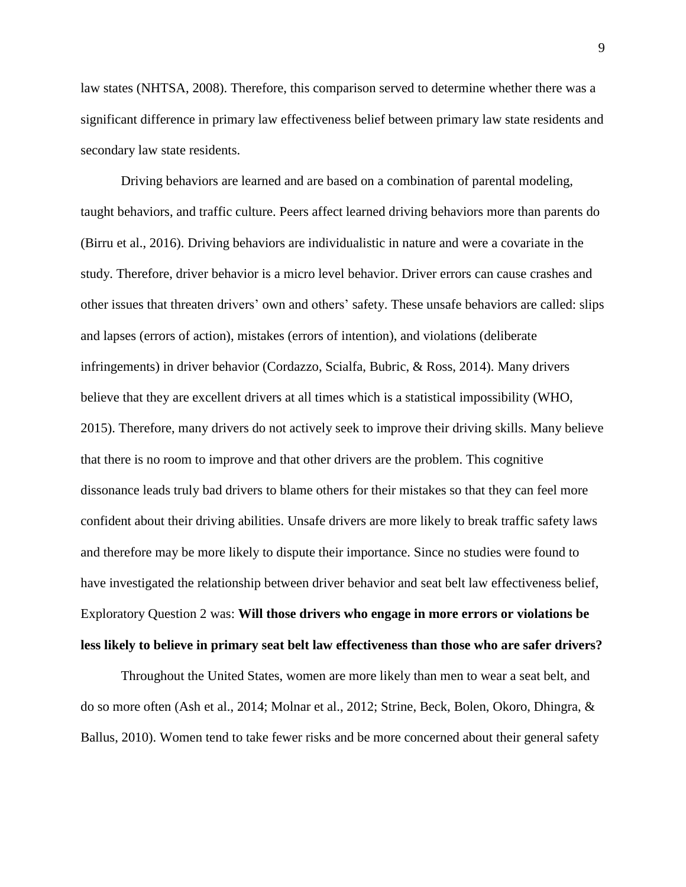law states (NHTSA, 2008). Therefore, this comparison served to determine whether there was a significant difference in primary law effectiveness belief between primary law state residents and secondary law state residents.

Driving behaviors are learned and are based on a combination of parental modeling, taught behaviors, and traffic culture. Peers affect learned driving behaviors more than parents do (Birru et al., 2016). Driving behaviors are individualistic in nature and were a covariate in the study. Therefore, driver behavior is a micro level behavior. Driver errors can cause crashes and other issues that threaten drivers' own and others' safety. These unsafe behaviors are called: slips and lapses (errors of action), mistakes (errors of intention), and violations (deliberate infringements) in driver behavior (Cordazzo, Scialfa, Bubric, & Ross, 2014). Many drivers believe that they are excellent drivers at all times which is a statistical impossibility (WHO, 2015). Therefore, many drivers do not actively seek to improve their driving skills. Many believe that there is no room to improve and that other drivers are the problem. This cognitive dissonance leads truly bad drivers to blame others for their mistakes so that they can feel more confident about their driving abilities. Unsafe drivers are more likely to break traffic safety laws and therefore may be more likely to dispute their importance. Since no studies were found to have investigated the relationship between driver behavior and seat belt law effectiveness belief, Exploratory Question 2 was: **Will those drivers who engage in more errors or violations be less likely to believe in primary seat belt law effectiveness than those who are safer drivers?** 

Throughout the United States, women are more likely than men to wear a seat belt, and do so more often (Ash et al., 2014; Molnar et al., 2012; Strine, Beck, Bolen, Okoro, Dhingra, & Ballus, 2010). Women tend to take fewer risks and be more concerned about their general safety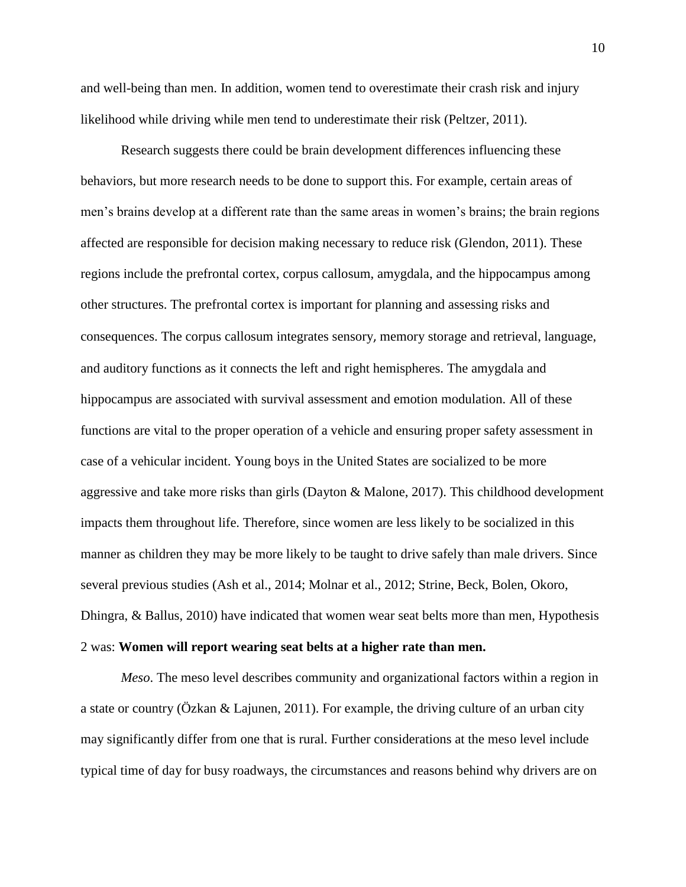and well-being than men. In addition, women tend to overestimate their crash risk and injury likelihood while driving while men tend to underestimate their risk (Peltzer, 2011).

Research suggests there could be brain development differences influencing these behaviors, but more research needs to be done to support this. For example, certain areas of men's brains develop at a different rate than the same areas in women's brains; the brain regions affected are responsible for decision making necessary to reduce risk (Glendon, 2011). These regions include the prefrontal cortex, corpus callosum, amygdala, and the hippocampus among other structures. The prefrontal cortex is important for planning and assessing risks and consequences. The corpus callosum integrates sensory, memory storage and retrieval, language, and auditory functions as it connects the left and right hemispheres. The amygdala and hippocampus are associated with survival assessment and emotion modulation. All of these functions are vital to the proper operation of a vehicle and ensuring proper safety assessment in case of a vehicular incident. Young boys in the United States are socialized to be more aggressive and take more risks than girls (Dayton & Malone, 2017). This childhood development impacts them throughout life. Therefore, since women are less likely to be socialized in this manner as children they may be more likely to be taught to drive safely than male drivers. Since several previous studies (Ash et al., 2014; Molnar et al., 2012; Strine, Beck, Bolen, Okoro, Dhingra, & Ballus, 2010) have indicated that women wear seat belts more than men, Hypothesis 2 was: **Women will report wearing seat belts at a higher rate than men.**

*Meso*. The meso level describes community and organizational factors within a region in a state or country ( $Oz$ kan & Lajunen, 2011). For example, the driving culture of an urban city may significantly differ from one that is rural. Further considerations at the meso level include typical time of day for busy roadways, the circumstances and reasons behind why drivers are on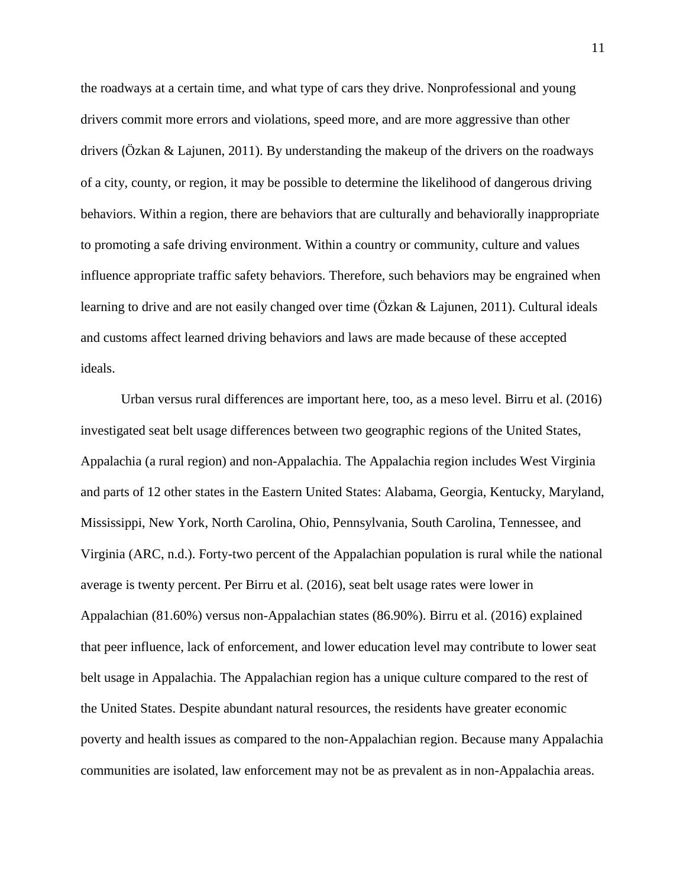the roadways at a certain time, and what type of cars they drive. Nonprofessional and young drivers commit more errors and violations, speed more, and are more aggressive than other drivers (Özkan & Lajunen, 2011). By understanding the makeup of the drivers on the roadways of a city, county, or region, it may be possible to determine the likelihood of dangerous driving behaviors. Within a region, there are behaviors that are culturally and behaviorally inappropriate to promoting a safe driving environment. Within a country or community, culture and values influence appropriate traffic safety behaviors. Therefore, such behaviors may be engrained when learning to drive and are not easily changed over time (Özkan & Lajunen, 2011). Cultural ideals and customs affect learned driving behaviors and laws are made because of these accepted ideals.

Urban versus rural differences are important here, too, as a meso level. Birru et al. (2016) investigated seat belt usage differences between two geographic regions of the United States, Appalachia (a rural region) and non-Appalachia. The Appalachia region includes West Virginia and parts of 12 other states in the Eastern United States: Alabama, Georgia, Kentucky, Maryland, Mississippi, New York, North Carolina, Ohio, Pennsylvania, South Carolina, Tennessee, and Virginia (ARC, n.d.). Forty-two percent of the Appalachian population is rural while the national average is twenty percent. Per Birru et al. (2016), seat belt usage rates were lower in Appalachian (81.60%) versus non-Appalachian states (86.90%). Birru et al. (2016) explained that peer influence, lack of enforcement, and lower education level may contribute to lower seat belt usage in Appalachia. The Appalachian region has a unique culture compared to the rest of the United States. Despite abundant natural resources, the residents have greater economic poverty and health issues as compared to the non-Appalachian region. Because many Appalachia communities are isolated, law enforcement may not be as prevalent as in non-Appalachia areas.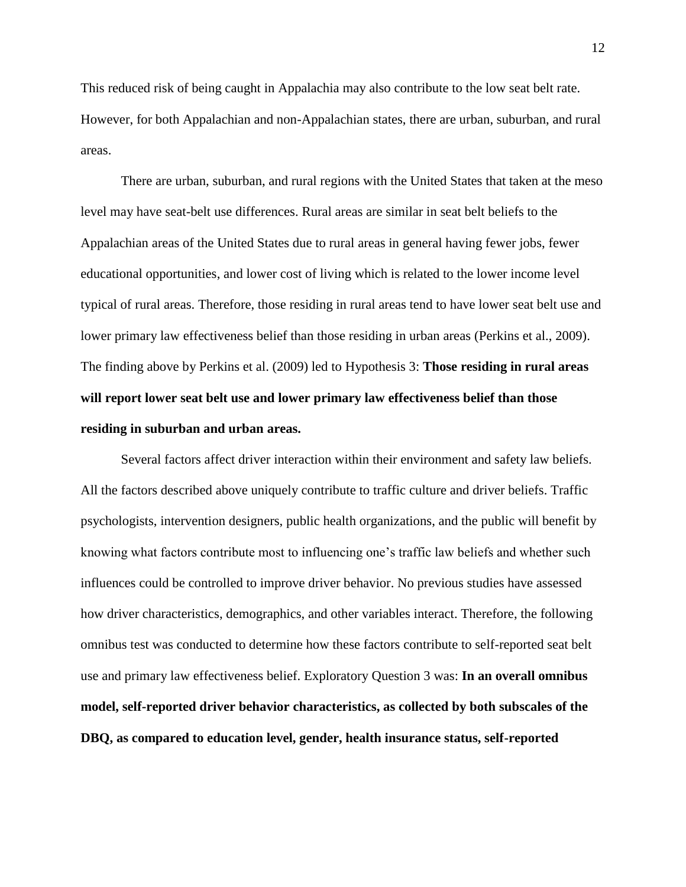This reduced risk of being caught in Appalachia may also contribute to the low seat belt rate. However, for both Appalachian and non-Appalachian states, there are urban, suburban, and rural areas.

There are urban, suburban, and rural regions with the United States that taken at the meso level may have seat-belt use differences. Rural areas are similar in seat belt beliefs to the Appalachian areas of the United States due to rural areas in general having fewer jobs, fewer educational opportunities, and lower cost of living which is related to the lower income level typical of rural areas. Therefore, those residing in rural areas tend to have lower seat belt use and lower primary law effectiveness belief than those residing in urban areas (Perkins et al., 2009). The finding above by Perkins et al. (2009) led to Hypothesis 3: **Those residing in rural areas will report lower seat belt use and lower primary law effectiveness belief than those residing in suburban and urban areas.**

Several factors affect driver interaction within their environment and safety law beliefs. All the factors described above uniquely contribute to traffic culture and driver beliefs. Traffic psychologists, intervention designers, public health organizations, and the public will benefit by knowing what factors contribute most to influencing one's traffic law beliefs and whether such influences could be controlled to improve driver behavior. No previous studies have assessed how driver characteristics, demographics, and other variables interact. Therefore, the following omnibus test was conducted to determine how these factors contribute to self-reported seat belt use and primary law effectiveness belief. Exploratory Question 3 was: **In an overall omnibus model, self-reported driver behavior characteristics, as collected by both subscales of the DBQ, as compared to education level, gender, health insurance status, self-reported**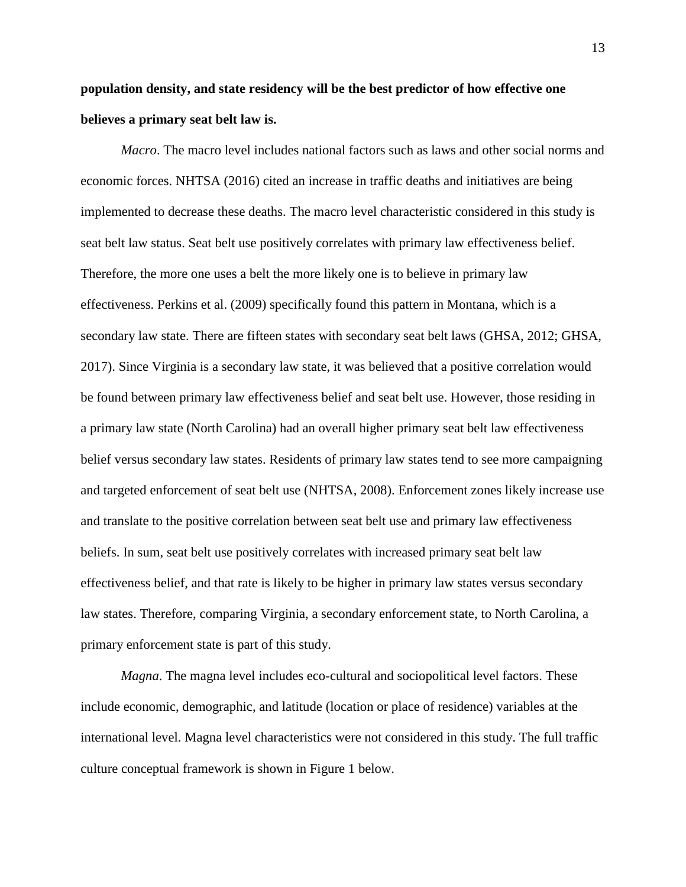# **population density, and state residency will be the best predictor of how effective one believes a primary seat belt law is.**

*Macro*. The macro level includes national factors such as laws and other social norms and economic forces. NHTSA (2016) cited an increase in traffic deaths and initiatives are being implemented to decrease these deaths. The macro level characteristic considered in this study is seat belt law status. Seat belt use positively correlates with primary law effectiveness belief. Therefore, the more one uses a belt the more likely one is to believe in primary law effectiveness. Perkins et al. (2009) specifically found this pattern in Montana, which is a secondary law state. There are fifteen states with secondary seat belt laws (GHSA, 2012; GHSA, 2017). Since Virginia is a secondary law state, it was believed that a positive correlation would be found between primary law effectiveness belief and seat belt use. However, those residing in a primary law state (North Carolina) had an overall higher primary seat belt law effectiveness belief versus secondary law states. Residents of primary law states tend to see more campaigning and targeted enforcement of seat belt use (NHTSA, 2008). Enforcement zones likely increase use and translate to the positive correlation between seat belt use and primary law effectiveness beliefs. In sum, seat belt use positively correlates with increased primary seat belt law effectiveness belief, and that rate is likely to be higher in primary law states versus secondary law states. Therefore, comparing Virginia, a secondary enforcement state, to North Carolina, a primary enforcement state is part of this study.

*Magna*. The magna level includes eco-cultural and sociopolitical level factors. These include economic, demographic, and latitude (location or place of residence) variables at the international level. Magna level characteristics were not considered in this study. The full traffic culture conceptual framework is shown in Figure 1 below.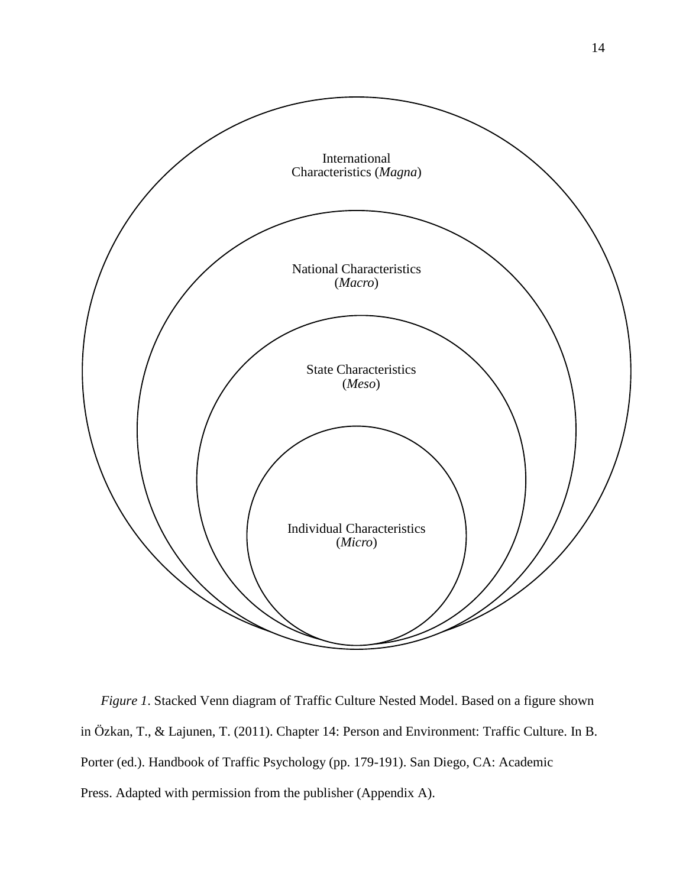

*Figure 1*. Stacked Venn diagram of Traffic Culture Nested Model. Based on a figure shown in Özkan, T., & Lajunen, T. (2011). Chapter 14: Person and Environment: Traffic Culture. In B. Porter (ed.). Handbook of Traffic Psychology (pp. 179-191). San Diego, CA: Academic Press. Adapted with permission from the publisher (Appendix A).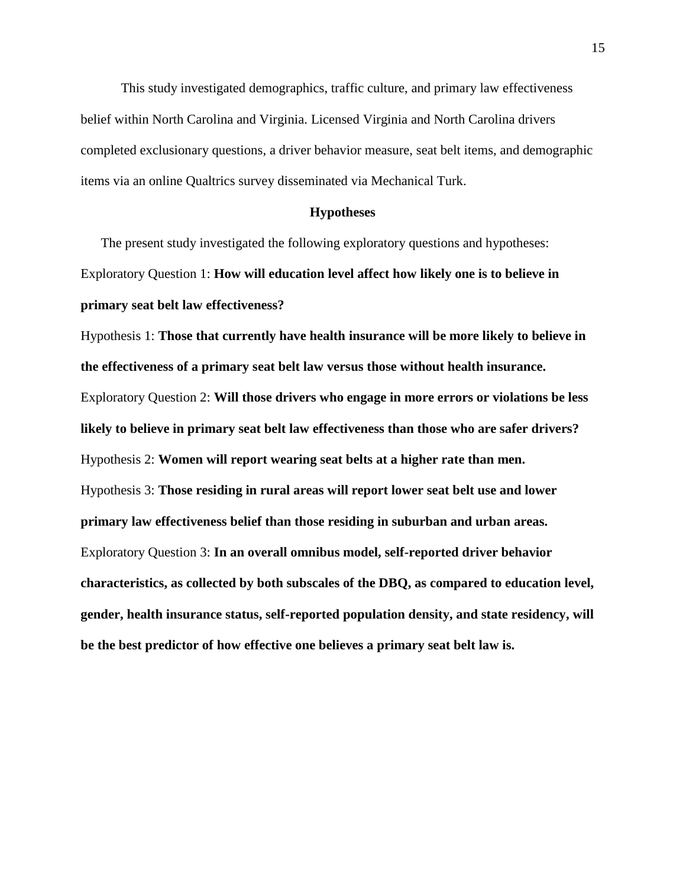This study investigated demographics, traffic culture, and primary law effectiveness belief within North Carolina and Virginia. Licensed Virginia and North Carolina drivers completed exclusionary questions, a driver behavior measure, seat belt items, and demographic items via an online Qualtrics survey disseminated via Mechanical Turk.

#### **Hypotheses**

The present study investigated the following exploratory questions and hypotheses: Exploratory Question 1: **How will education level affect how likely one is to believe in primary seat belt law effectiveness?**

Hypothesis 1: **Those that currently have health insurance will be more likely to believe in the effectiveness of a primary seat belt law versus those without health insurance.** Exploratory Question 2: **Will those drivers who engage in more errors or violations be less likely to believe in primary seat belt law effectiveness than those who are safer drivers?** Hypothesis 2: **Women will report wearing seat belts at a higher rate than men.** Hypothesis 3: **Those residing in rural areas will report lower seat belt use and lower primary law effectiveness belief than those residing in suburban and urban areas.**  Exploratory Question 3: **In an overall omnibus model, self-reported driver behavior characteristics, as collected by both subscales of the DBQ, as compared to education level, gender, health insurance status, self-reported population density, and state residency, will be the best predictor of how effective one believes a primary seat belt law is.**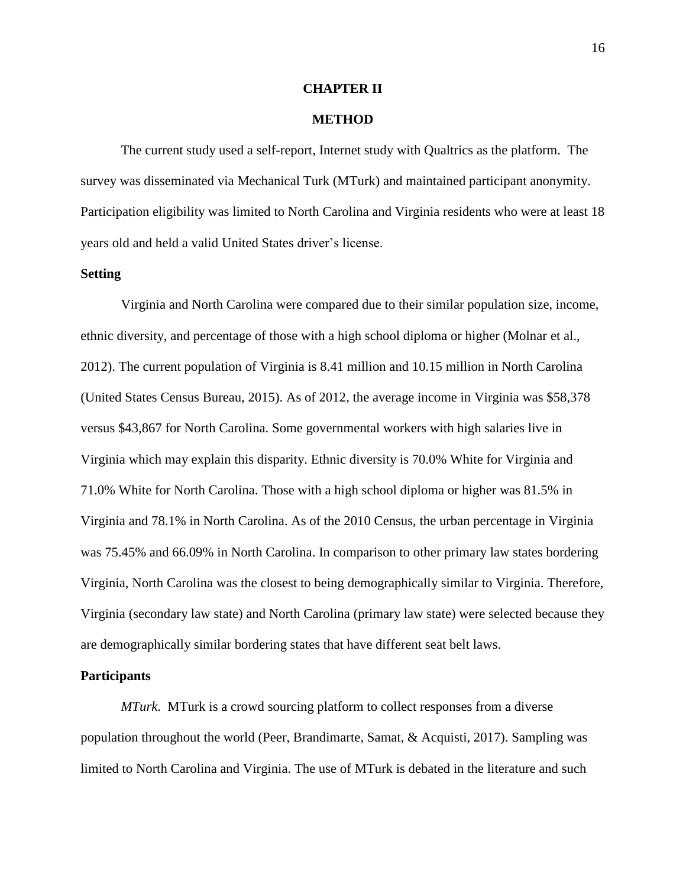### **CHAPTER II**

## **METHOD**

The current study used a self-report, Internet study with Qualtrics as the platform. The survey was disseminated via Mechanical Turk (MTurk) and maintained participant anonymity. Participation eligibility was limited to North Carolina and Virginia residents who were at least 18 years old and held a valid United States driver's license.

## **Setting**

Virginia and North Carolina were compared due to their similar population size, income, ethnic diversity, and percentage of those with a high school diploma or higher (Molnar et al., 2012). The current population of Virginia is 8.41 million and 10.15 million in North Carolina (United States Census Bureau, 2015). As of 2012, the average income in Virginia was \$58,378 versus \$43,867 for North Carolina. Some governmental workers with high salaries live in Virginia which may explain this disparity. Ethnic diversity is 70.0% White for Virginia and 71.0% White for North Carolina. Those with a high school diploma or higher was 81.5% in Virginia and 78.1% in North Carolina. As of the 2010 Census, the urban percentage in Virginia was 75.45% and 66.09% in North Carolina. In comparison to other primary law states bordering Virginia, North Carolina was the closest to being demographically similar to Virginia. Therefore, Virginia (secondary law state) and North Carolina (primary law state) were selected because they are demographically similar bordering states that have different seat belt laws.

### **Participants**

*MTurk*. MTurk is a crowd sourcing platform to collect responses from a diverse population throughout the world (Peer, Brandimarte, Samat, & Acquisti, 2017). Sampling was limited to North Carolina and Virginia. The use of MTurk is debated in the literature and such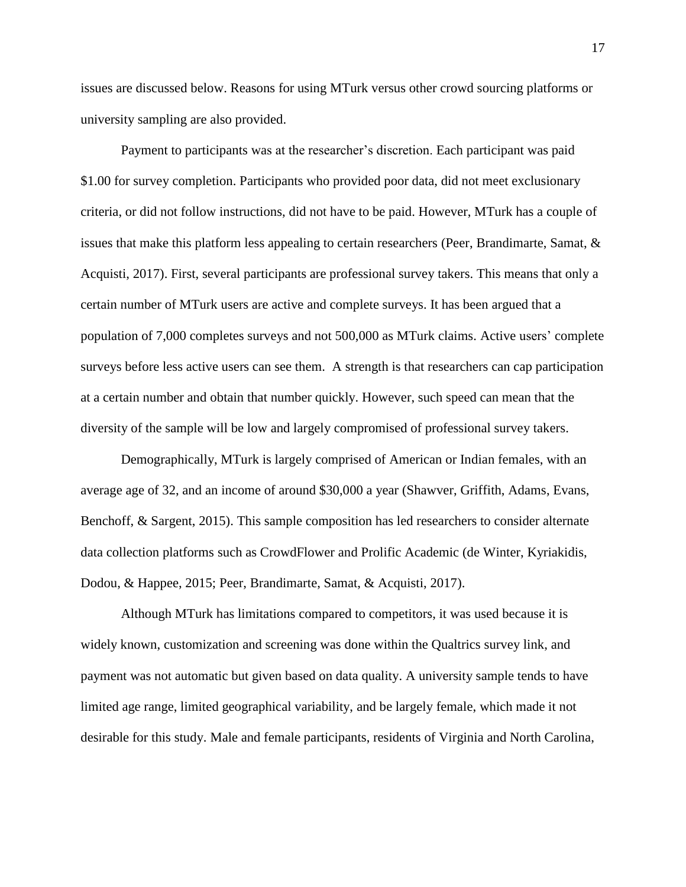issues are discussed below. Reasons for using MTurk versus other crowd sourcing platforms or university sampling are also provided.

Payment to participants was at the researcher's discretion. Each participant was paid \$1.00 for survey completion. Participants who provided poor data, did not meet exclusionary criteria, or did not follow instructions, did not have to be paid. However, MTurk has a couple of issues that make this platform less appealing to certain researchers (Peer, Brandimarte, Samat, & Acquisti, 2017). First, several participants are professional survey takers. This means that only a certain number of MTurk users are active and complete surveys. It has been argued that a population of 7,000 completes surveys and not 500,000 as MTurk claims. Active users' complete surveys before less active users can see them. A strength is that researchers can cap participation at a certain number and obtain that number quickly. However, such speed can mean that the diversity of the sample will be low and largely compromised of professional survey takers.

Demographically, MTurk is largely comprised of American or Indian females, with an average age of 32, and an income of around \$30,000 a year (Shawver, Griffith, Adams, Evans, Benchoff, & Sargent, 2015). This sample composition has led researchers to consider alternate data collection platforms such as CrowdFlower and Prolific Academic (de Winter, Kyriakidis, Dodou, & Happee, 2015; Peer, Brandimarte, Samat, & Acquisti, 2017).

Although MTurk has limitations compared to competitors, it was used because it is widely known, customization and screening was done within the Qualtrics survey link, and payment was not automatic but given based on data quality. A university sample tends to have limited age range, limited geographical variability, and be largely female, which made it not desirable for this study. Male and female participants, residents of Virginia and North Carolina,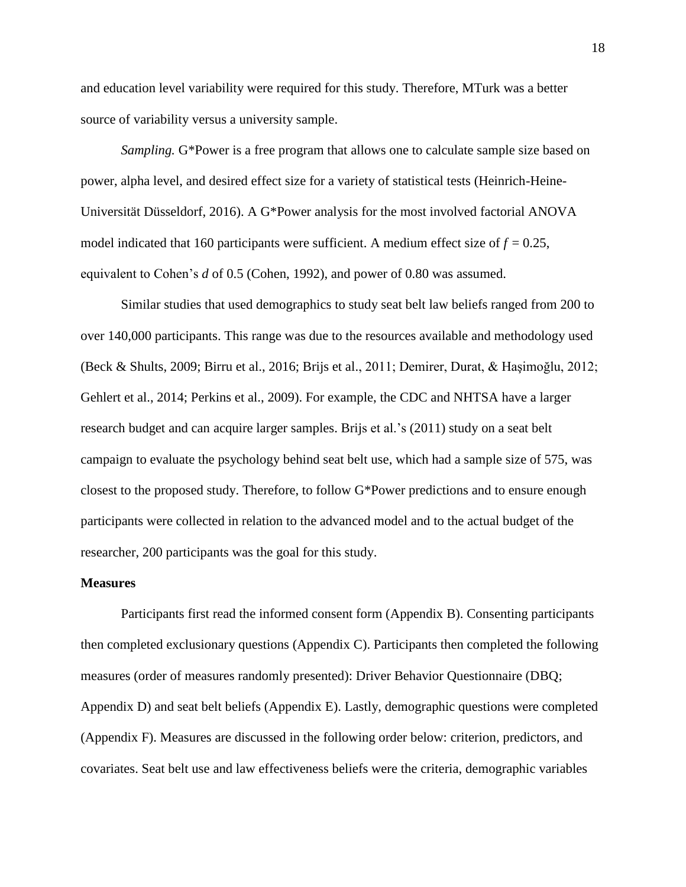and education level variability were required for this study. Therefore, MTurk was a better source of variability versus a university sample.

*Sampling.* G\*Power is a free program that allows one to calculate sample size based on power, alpha level, and desired effect size for a variety of statistical tests (Heinrich-Heine-Universität Düsseldorf, 2016). A G\*Power analysis for the most involved factorial ANOVA model indicated that 160 participants were sufficient. A medium effect size of  $f = 0.25$ , equivalent to Cohen's *d* of 0.5 (Cohen, 1992), and power of 0.80 was assumed.

Similar studies that used demographics to study seat belt law beliefs ranged from 200 to over 140,000 participants. This range was due to the resources available and methodology used (Beck & Shults, 2009; Birru et al., 2016; Brijs et al., 2011; Demirer, Durat, & Haşimoğlu, 2012; Gehlert et al., 2014; Perkins et al., 2009). For example, the CDC and NHTSA have a larger research budget and can acquire larger samples. Brijs et al.'s (2011) study on a seat belt campaign to evaluate the psychology behind seat belt use, which had a sample size of 575, was closest to the proposed study. Therefore, to follow G\*Power predictions and to ensure enough participants were collected in relation to the advanced model and to the actual budget of the researcher, 200 participants was the goal for this study.

#### **Measures**

Participants first read the informed consent form (Appendix B). Consenting participants then completed exclusionary questions (Appendix C). Participants then completed the following measures (order of measures randomly presented): Driver Behavior Questionnaire (DBQ; Appendix D) and seat belt beliefs (Appendix E). Lastly, demographic questions were completed (Appendix F). Measures are discussed in the following order below: criterion, predictors, and covariates. Seat belt use and law effectiveness beliefs were the criteria, demographic variables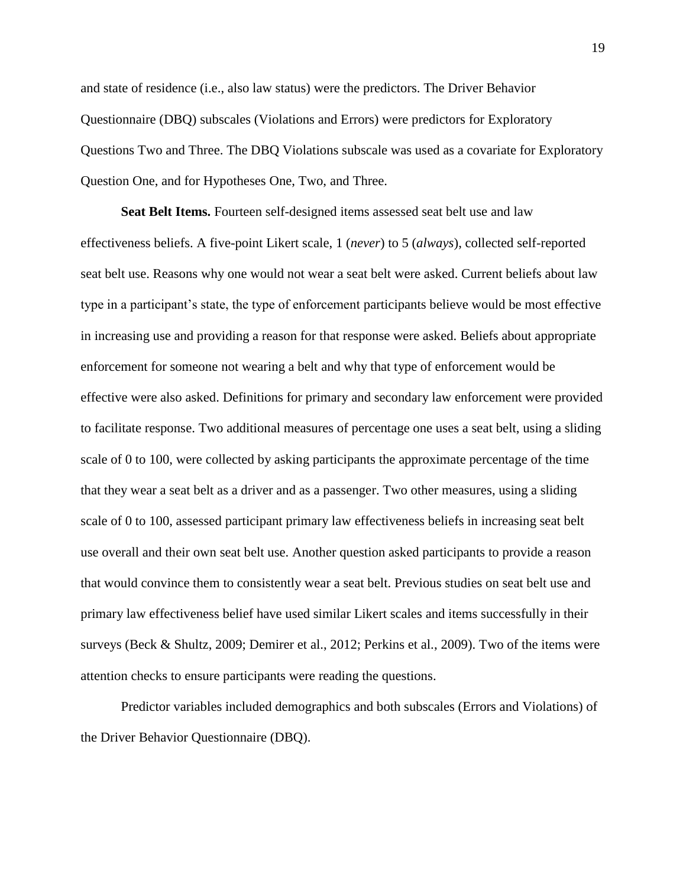and state of residence (i.e., also law status) were the predictors. The Driver Behavior Questionnaire (DBQ) subscales (Violations and Errors) were predictors for Exploratory Questions Two and Three. The DBQ Violations subscale was used as a covariate for Exploratory Question One, and for Hypotheses One, Two, and Three.

**Seat Belt Items.** Fourteen self-designed items assessed seat belt use and law effectiveness beliefs. A five-point Likert scale, 1 (*never*) to 5 (*always*), collected self-reported seat belt use. Reasons why one would not wear a seat belt were asked. Current beliefs about law type in a participant's state, the type of enforcement participants believe would be most effective in increasing use and providing a reason for that response were asked. Beliefs about appropriate enforcement for someone not wearing a belt and why that type of enforcement would be effective were also asked. Definitions for primary and secondary law enforcement were provided to facilitate response. Two additional measures of percentage one uses a seat belt, using a sliding scale of 0 to 100, were collected by asking participants the approximate percentage of the time that they wear a seat belt as a driver and as a passenger. Two other measures, using a sliding scale of 0 to 100, assessed participant primary law effectiveness beliefs in increasing seat belt use overall and their own seat belt use. Another question asked participants to provide a reason that would convince them to consistently wear a seat belt. Previous studies on seat belt use and primary law effectiveness belief have used similar Likert scales and items successfully in their surveys (Beck & Shultz, 2009; Demirer et al., 2012; Perkins et al., 2009). Two of the items were attention checks to ensure participants were reading the questions.

Predictor variables included demographics and both subscales (Errors and Violations) of the Driver Behavior Questionnaire (DBQ).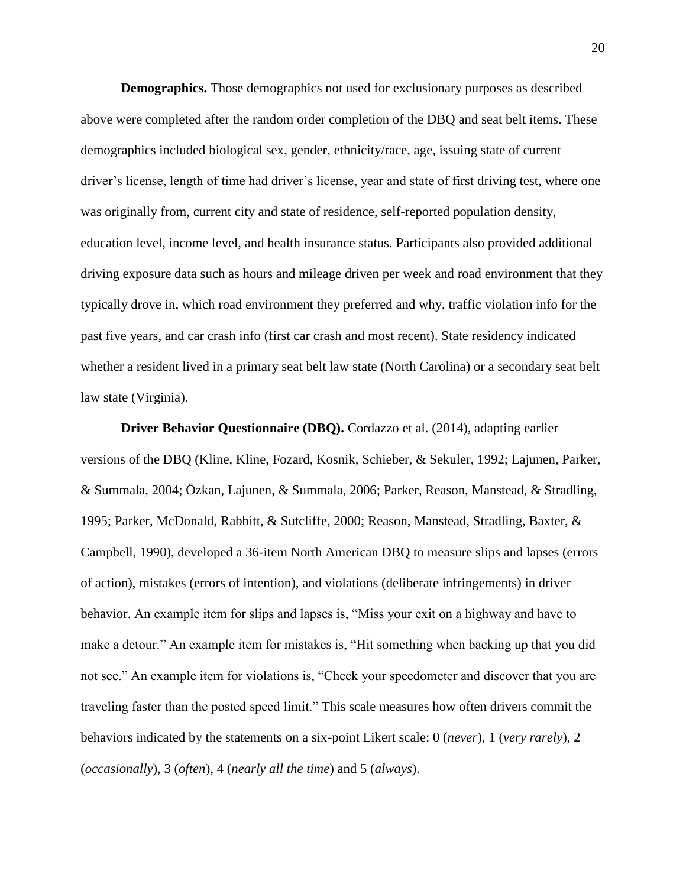**Demographics.** Those demographics not used for exclusionary purposes as described above were completed after the random order completion of the DBQ and seat belt items. These demographics included biological sex, gender, ethnicity/race, age, issuing state of current driver's license, length of time had driver's license, year and state of first driving test, where one was originally from, current city and state of residence, self-reported population density, education level, income level, and health insurance status. Participants also provided additional driving exposure data such as hours and mileage driven per week and road environment that they typically drove in, which road environment they preferred and why, traffic violation info for the past five years, and car crash info (first car crash and most recent). State residency indicated whether a resident lived in a primary seat belt law state (North Carolina) or a secondary seat belt law state (Virginia).

**Driver Behavior Questionnaire (DBQ).** Cordazzo et al. (2014), adapting earlier versions of the DBQ (Kline, Kline, Fozard, Kosnik, Schieber, & Sekuler, 1992; Lajunen, Parker, & Summala, 2004; Özkan, Lajunen, & Summala, 2006; Parker, Reason, Manstead, & Stradling, 1995; Parker, McDonald, Rabbitt, & Sutcliffe, 2000; Reason, Manstead, Stradling, Baxter, & Campbell, 1990), developed a 36-item North American DBQ to measure slips and lapses (errors of action), mistakes (errors of intention), and violations (deliberate infringements) in driver behavior. An example item for slips and lapses is, "Miss your exit on a highway and have to make a detour." An example item for mistakes is, "Hit something when backing up that you did not see." An example item for violations is, "Check your speedometer and discover that you are traveling faster than the posted speed limit." This scale measures how often drivers commit the behaviors indicated by the statements on a six-point Likert scale: 0 (*never*), 1 (*very rarely*), 2 (*occasionally*), 3 (*often*), 4 (*nearly all the time*) and 5 (*always*).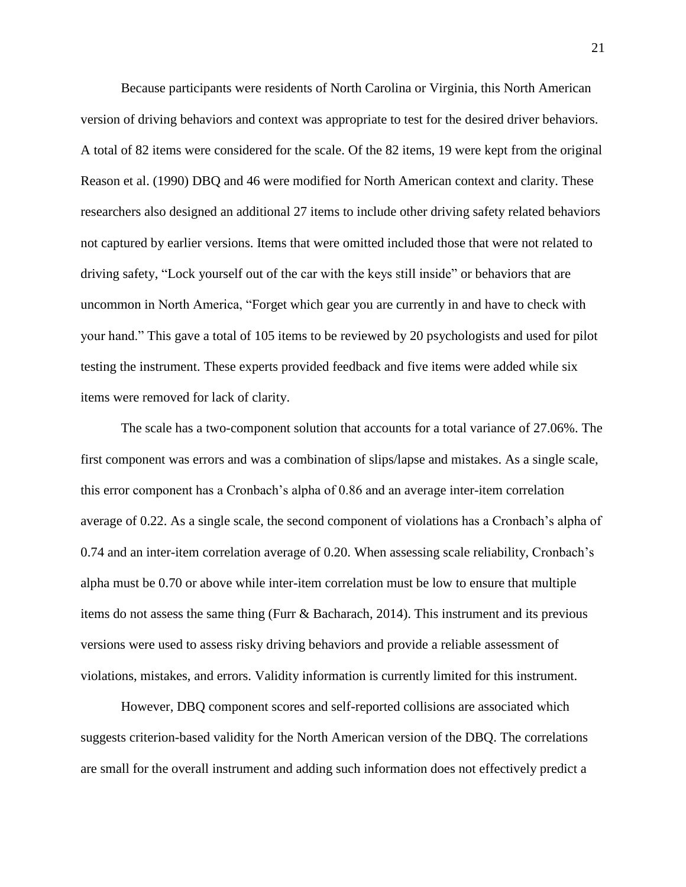Because participants were residents of North Carolina or Virginia, this North American version of driving behaviors and context was appropriate to test for the desired driver behaviors. A total of 82 items were considered for the scale. Of the 82 items, 19 were kept from the original Reason et al. (1990) DBQ and 46 were modified for North American context and clarity. These researchers also designed an additional 27 items to include other driving safety related behaviors not captured by earlier versions. Items that were omitted included those that were not related to driving safety, "Lock yourself out of the car with the keys still inside" or behaviors that are uncommon in North America, "Forget which gear you are currently in and have to check with your hand." This gave a total of 105 items to be reviewed by 20 psychologists and used for pilot testing the instrument. These experts provided feedback and five items were added while six items were removed for lack of clarity.

The scale has a two-component solution that accounts for a total variance of 27.06%. The first component was errors and was a combination of slips/lapse and mistakes. As a single scale, this error component has a Cronbach's alpha of 0.86 and an average inter-item correlation average of 0.22. As a single scale, the second component of violations has a Cronbach's alpha of 0.74 and an inter-item correlation average of 0.20. When assessing scale reliability, Cronbach's alpha must be 0.70 or above while inter-item correlation must be low to ensure that multiple items do not assess the same thing (Furr & Bacharach, 2014). This instrument and its previous versions were used to assess risky driving behaviors and provide a reliable assessment of violations, mistakes, and errors. Validity information is currently limited for this instrument.

However, DBQ component scores and self-reported collisions are associated which suggests criterion-based validity for the North American version of the DBQ. The correlations are small for the overall instrument and adding such information does not effectively predict a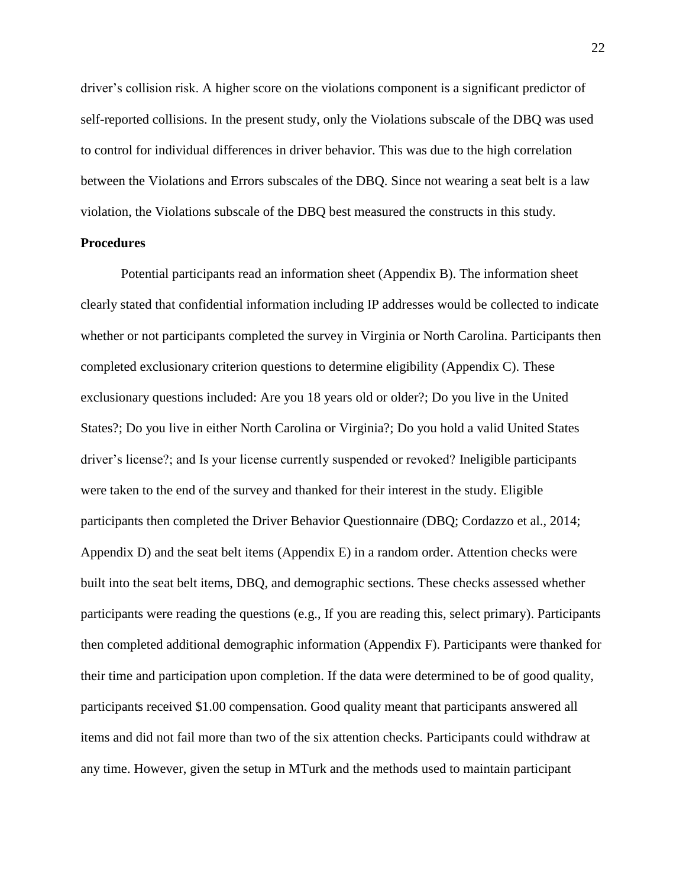driver's collision risk. A higher score on the violations component is a significant predictor of self-reported collisions. In the present study, only the Violations subscale of the DBQ was used to control for individual differences in driver behavior. This was due to the high correlation between the Violations and Errors subscales of the DBQ. Since not wearing a seat belt is a law violation, the Violations subscale of the DBQ best measured the constructs in this study.

# **Procedures**

Potential participants read an information sheet (Appendix B). The information sheet clearly stated that confidential information including IP addresses would be collected to indicate whether or not participants completed the survey in Virginia or North Carolina. Participants then completed exclusionary criterion questions to determine eligibility (Appendix C). These exclusionary questions included: Are you 18 years old or older?; Do you live in the United States?; Do you live in either North Carolina or Virginia?; Do you hold a valid United States driver's license?; and Is your license currently suspended or revoked? Ineligible participants were taken to the end of the survey and thanked for their interest in the study. Eligible participants then completed the Driver Behavior Questionnaire (DBQ; Cordazzo et al., 2014; Appendix D) and the seat belt items (Appendix E) in a random order. Attention checks were built into the seat belt items, DBQ, and demographic sections. These checks assessed whether participants were reading the questions (e.g., If you are reading this, select primary). Participants then completed additional demographic information (Appendix F). Participants were thanked for their time and participation upon completion. If the data were determined to be of good quality, participants received \$1.00 compensation. Good quality meant that participants answered all items and did not fail more than two of the six attention checks. Participants could withdraw at any time. However, given the setup in MTurk and the methods used to maintain participant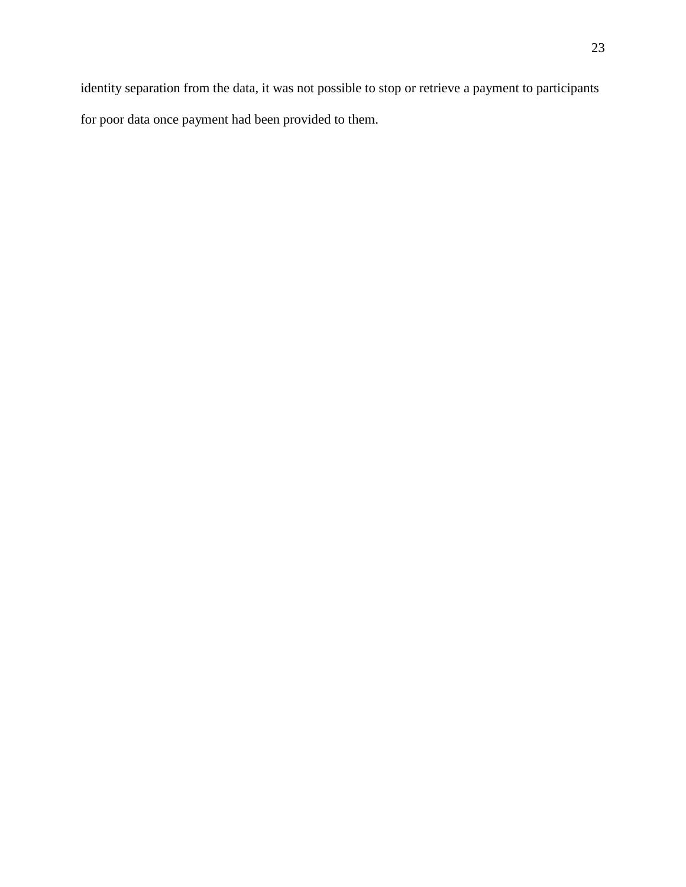identity separation from the data, it was not possible to stop or retrieve a payment to participants for poor data once payment had been provided to them.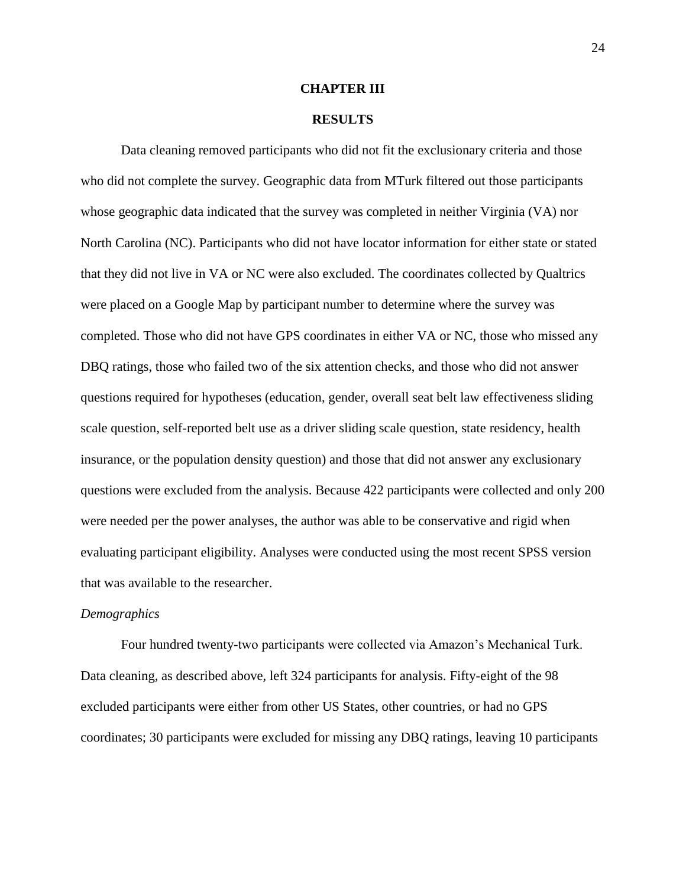## **CHAPTER III**

## **RESULTS**

Data cleaning removed participants who did not fit the exclusionary criteria and those who did not complete the survey. Geographic data from MTurk filtered out those participants whose geographic data indicated that the survey was completed in neither Virginia (VA) nor North Carolina (NC). Participants who did not have locator information for either state or stated that they did not live in VA or NC were also excluded. The coordinates collected by Qualtrics were placed on a Google Map by participant number to determine where the survey was completed. Those who did not have GPS coordinates in either VA or NC, those who missed any DBQ ratings, those who failed two of the six attention checks, and those who did not answer questions required for hypotheses (education, gender, overall seat belt law effectiveness sliding scale question, self-reported belt use as a driver sliding scale question, state residency, health insurance, or the population density question) and those that did not answer any exclusionary questions were excluded from the analysis. Because 422 participants were collected and only 200 were needed per the power analyses, the author was able to be conservative and rigid when evaluating participant eligibility. Analyses were conducted using the most recent SPSS version that was available to the researcher.

#### *Demographics*

Four hundred twenty-two participants were collected via Amazon's Mechanical Turk. Data cleaning, as described above, left 324 participants for analysis. Fifty-eight of the 98 excluded participants were either from other US States, other countries, or had no GPS coordinates; 30 participants were excluded for missing any DBQ ratings, leaving 10 participants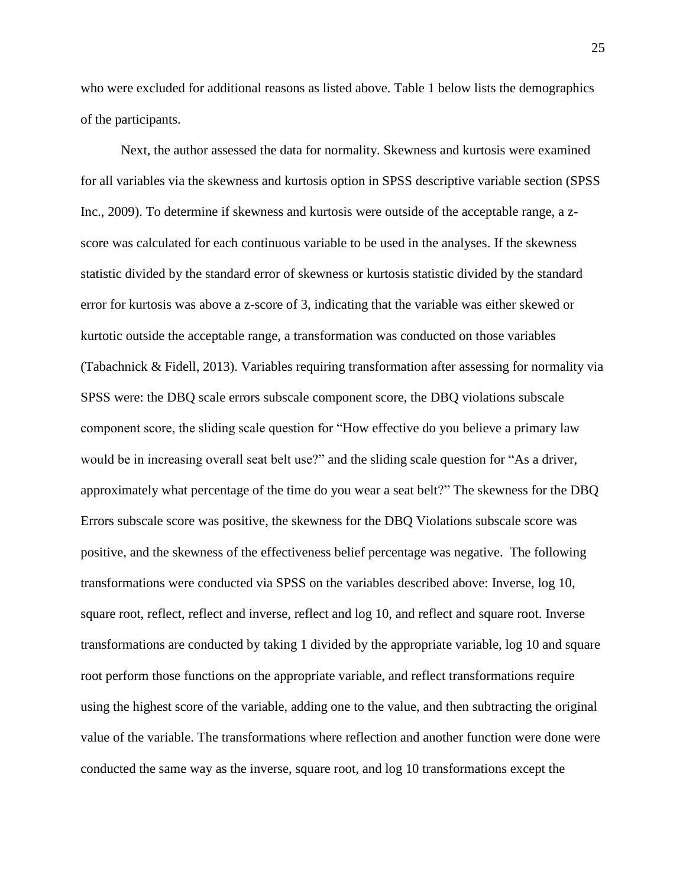who were excluded for additional reasons as listed above. Table 1 below lists the demographics of the participants.

Next, the author assessed the data for normality. Skewness and kurtosis were examined for all variables via the skewness and kurtosis option in SPSS descriptive variable section (SPSS Inc., 2009). To determine if skewness and kurtosis were outside of the acceptable range, a zscore was calculated for each continuous variable to be used in the analyses. If the skewness statistic divided by the standard error of skewness or kurtosis statistic divided by the standard error for kurtosis was above a z-score of 3, indicating that the variable was either skewed or kurtotic outside the acceptable range, a transformation was conducted on those variables (Tabachnick & Fidell, 2013). Variables requiring transformation after assessing for normality via SPSS were: the DBQ scale errors subscale component score, the DBQ violations subscale component score, the sliding scale question for "How effective do you believe a primary law would be in increasing overall seat belt use?" and the sliding scale question for "As a driver, approximately what percentage of the time do you wear a seat belt?" The skewness for the DBQ Errors subscale score was positive, the skewness for the DBQ Violations subscale score was positive, and the skewness of the effectiveness belief percentage was negative. The following transformations were conducted via SPSS on the variables described above: Inverse, log 10, square root, reflect, reflect and inverse, reflect and log 10, and reflect and square root. Inverse transformations are conducted by taking 1 divided by the appropriate variable, log 10 and square root perform those functions on the appropriate variable, and reflect transformations require using the highest score of the variable, adding one to the value, and then subtracting the original value of the variable. The transformations where reflection and another function were done were conducted the same way as the inverse, square root, and log 10 transformations except the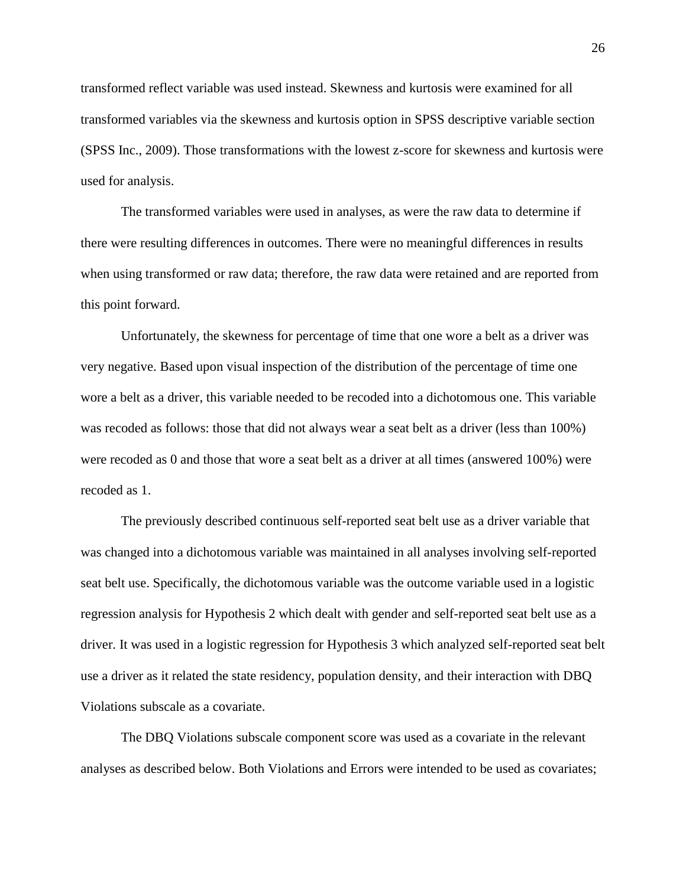transformed reflect variable was used instead. Skewness and kurtosis were examined for all transformed variables via the skewness and kurtosis option in SPSS descriptive variable section (SPSS Inc., 2009). Those transformations with the lowest z-score for skewness and kurtosis were used for analysis.

The transformed variables were used in analyses, as were the raw data to determine if there were resulting differences in outcomes. There were no meaningful differences in results when using transformed or raw data; therefore, the raw data were retained and are reported from this point forward.

Unfortunately, the skewness for percentage of time that one wore a belt as a driver was very negative. Based upon visual inspection of the distribution of the percentage of time one wore a belt as a driver, this variable needed to be recoded into a dichotomous one. This variable was recoded as follows: those that did not always wear a seat belt as a driver (less than 100%) were recoded as 0 and those that wore a seat belt as a driver at all times (answered 100%) were recoded as 1.

The previously described continuous self-reported seat belt use as a driver variable that was changed into a dichotomous variable was maintained in all analyses involving self-reported seat belt use. Specifically, the dichotomous variable was the outcome variable used in a logistic regression analysis for Hypothesis 2 which dealt with gender and self-reported seat belt use as a driver. It was used in a logistic regression for Hypothesis 3 which analyzed self-reported seat belt use a driver as it related the state residency, population density, and their interaction with DBQ Violations subscale as a covariate.

The DBQ Violations subscale component score was used as a covariate in the relevant analyses as described below. Both Violations and Errors were intended to be used as covariates;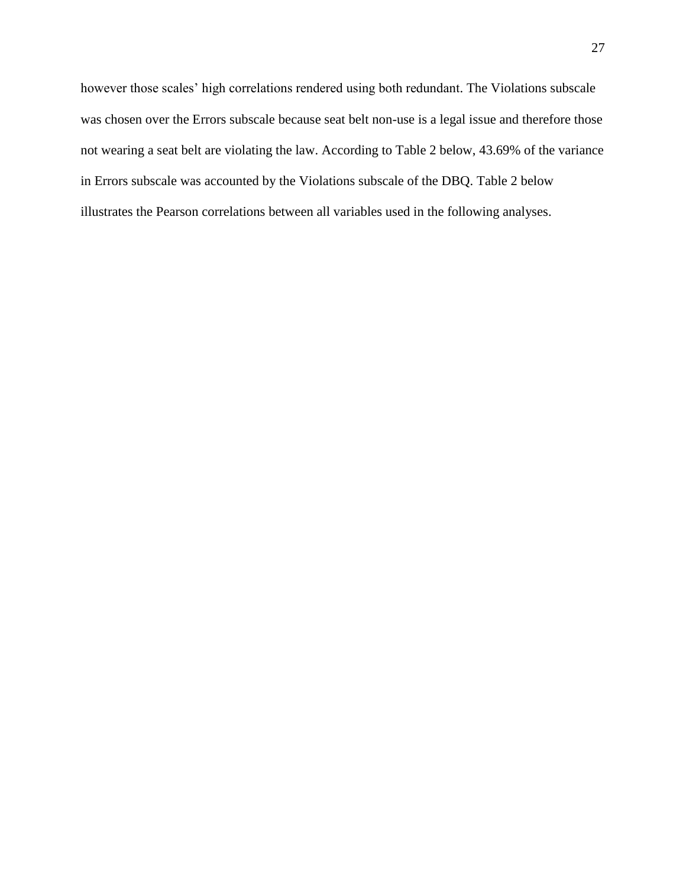however those scales' high correlations rendered using both redundant. The Violations subscale was chosen over the Errors subscale because seat belt non-use is a legal issue and therefore those not wearing a seat belt are violating the law. According to Table 2 below, 43.69% of the variance in Errors subscale was accounted by the Violations subscale of the DBQ. Table 2 below illustrates the Pearson correlations between all variables used in the following analyses.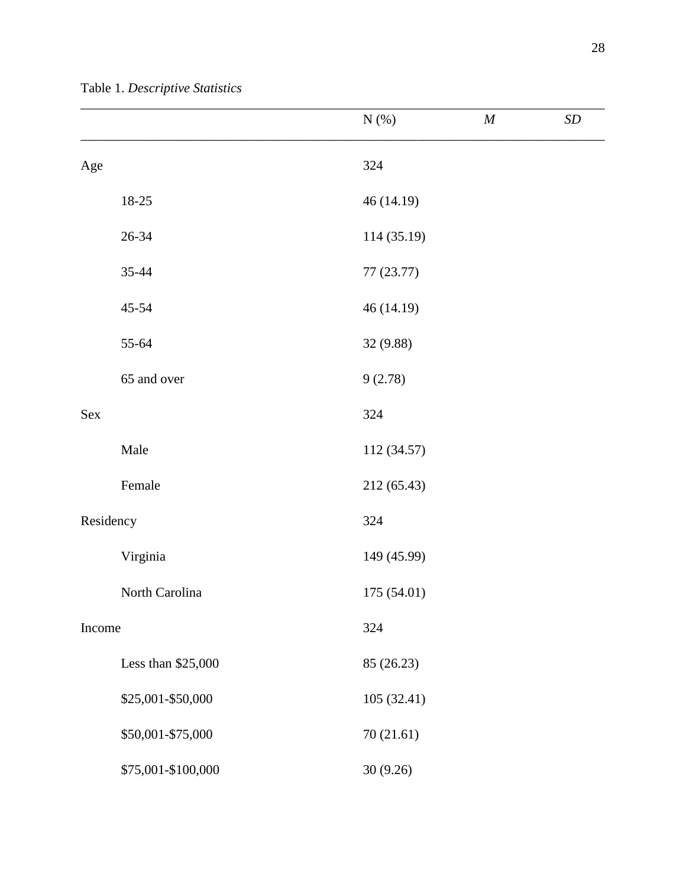Table 1. *Descriptive Statistics*

|                    | $N(\%)$     | $\boldsymbol{M}$ | SD |
|--------------------|-------------|------------------|----|
| Age                | 324         |                  |    |
| 18-25              | 46 (14.19)  |                  |    |
| $26 - 34$          | 114 (35.19) |                  |    |
| 35-44              | 77 (23.77)  |                  |    |
| $45 - 54$          | 46 (14.19)  |                  |    |
| 55-64              | 32 (9.88)   |                  |    |
| 65 and over        | 9(2.78)     |                  |    |
| Sex                | 324         |                  |    |
| Male               | 112 (34.57) |                  |    |
| Female             | 212 (65.43) |                  |    |
| Residency          | 324         |                  |    |
| Virginia           | 149 (45.99) |                  |    |
| North Carolina     | 175 (54.01) |                  |    |
| Income             | 324         |                  |    |
| Less than \$25,000 | 85 (26.23)  |                  |    |
| \$25,001-\$50,000  | 105 (32.41) |                  |    |
| \$50,001-\$75,000  | 70 (21.61)  |                  |    |
| \$75,001-\$100,000 | 30(9.26)    |                  |    |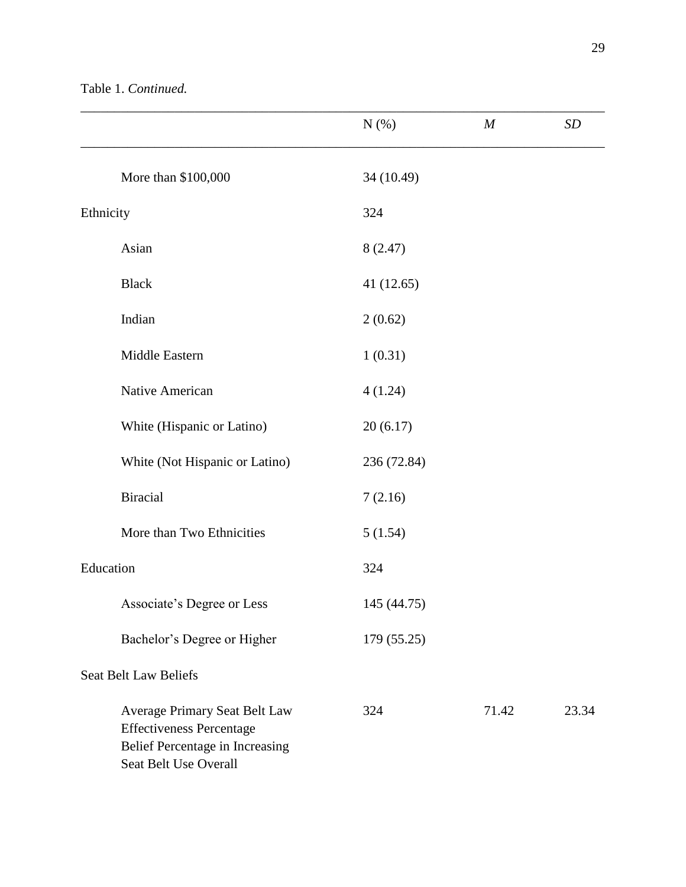# Table 1. *Continued.*

|                                                                                                                              | $N(\%)$     | $\boldsymbol{M}$ | SD    |
|------------------------------------------------------------------------------------------------------------------------------|-------------|------------------|-------|
| More than \$100,000                                                                                                          | 34 (10.49)  |                  |       |
| Ethnicity                                                                                                                    | 324         |                  |       |
| Asian                                                                                                                        | 8(2.47)     |                  |       |
| <b>Black</b>                                                                                                                 | 41(12.65)   |                  |       |
| Indian                                                                                                                       | 2(0.62)     |                  |       |
| Middle Eastern                                                                                                               | 1(0.31)     |                  |       |
| Native American                                                                                                              | 4(1.24)     |                  |       |
| White (Hispanic or Latino)                                                                                                   | 20(6.17)    |                  |       |
| White (Not Hispanic or Latino)                                                                                               | 236 (72.84) |                  |       |
| <b>Biracial</b>                                                                                                              | 7(2.16)     |                  |       |
| More than Two Ethnicities                                                                                                    | 5(1.54)     |                  |       |
| Education                                                                                                                    | 324         |                  |       |
| Associate's Degree or Less                                                                                                   | 145 (44.75) |                  |       |
| Bachelor's Degree or Higher                                                                                                  | 179(55.25)  |                  |       |
| <b>Seat Belt Law Beliefs</b>                                                                                                 |             |                  |       |
| Average Primary Seat Belt Law<br><b>Effectiveness Percentage</b><br>Belief Percentage in Increasing<br>Seat Belt Use Overall | 324         | 71.42            | 23.34 |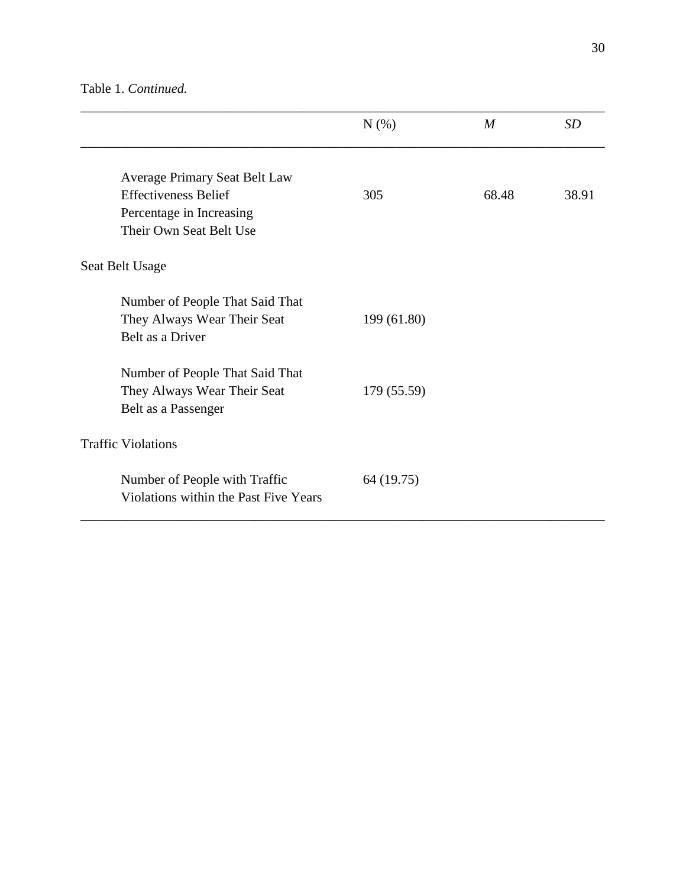# Table 1. *Continued.*

|                                                                                                                            | $N(\%)$     | $\boldsymbol{M}$ | <b>SD</b> |
|----------------------------------------------------------------------------------------------------------------------------|-------------|------------------|-----------|
| <b>Average Primary Seat Belt Law</b><br><b>Effectiveness Belief</b><br>Percentage in Increasing<br>Their Own Seat Belt Use | 305         | 68.48            | 38.91     |
| Seat Belt Usage                                                                                                            |             |                  |           |
| Number of People That Said That<br>They Always Wear Their Seat<br>Belt as a Driver                                         | 199 (61.80) |                  |           |
| Number of People That Said That<br>They Always Wear Their Seat<br>Belt as a Passenger                                      | 179 (55.59) |                  |           |
| <b>Traffic Violations</b>                                                                                                  |             |                  |           |
| Number of People with Traffic<br>Violations within the Past Five Years                                                     | 64 (19.75)  |                  |           |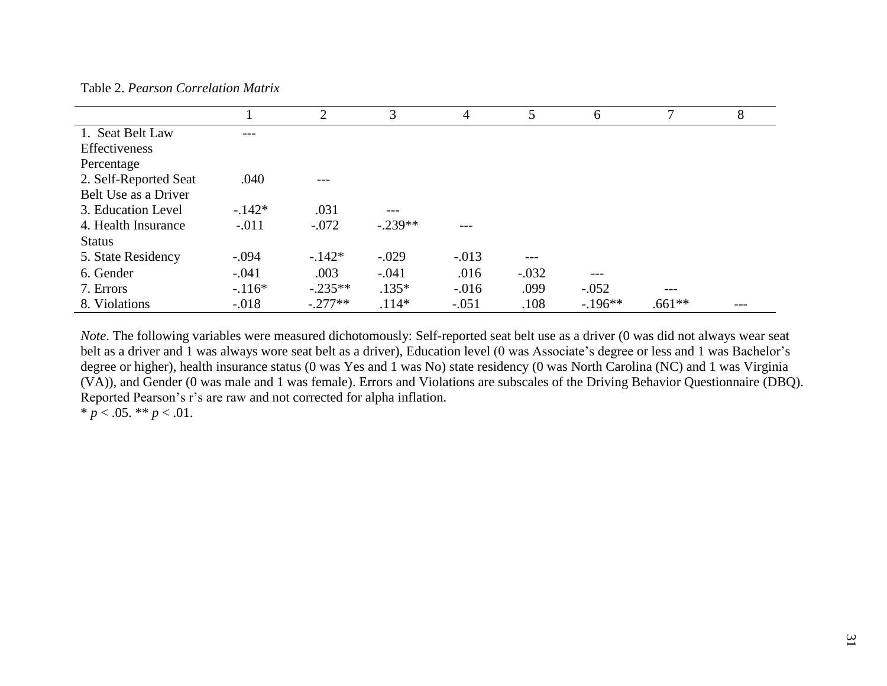Table 2. *Pearson Correlation Matrix*

|                       |          | 2         | 3         | 4        | 5       | 6        | $\mathbf{r}$ | 8 |
|-----------------------|----------|-----------|-----------|----------|---------|----------|--------------|---|
| 1. Seat Belt Law      |          |           |           |          |         |          |              |   |
| Effectiveness         |          |           |           |          |         |          |              |   |
| Percentage            |          |           |           |          |         |          |              |   |
| 2. Self-Reported Seat | .040     |           |           |          |         |          |              |   |
| Belt Use as a Driver  |          |           |           |          |         |          |              |   |
| 3. Education Level    | $-.142*$ | .031      | ---       |          |         |          |              |   |
| 4. Health Insurance   | $-.011$  | $-.072$   | $-.239**$ | ---      |         |          |              |   |
| <b>Status</b>         |          |           |           |          |         |          |              |   |
| 5. State Residency    | $-.094$  | $-.142*$  | $-.029$   | $-.013$  |         |          |              |   |
| 6. Gender             | $-.041$  | .003      | $-.041$   | .016     | $-.032$ | $---$    |              |   |
| 7. Errors             | $-.116*$ | $-.235**$ | $.135*$   | $-0.016$ | .099    | $-.052$  |              |   |
| 8. Violations         | $-.018$  | $-.277**$ | $.114*$   | $-.051$  | .108    | $-196**$ | $.661**$     |   |

*Note*. The following variables were measured dichotomously: Self-reported seat belt use as a driver (0 was did not always wear seat belt as a driver and 1 was always wore seat belt as a driver), Education level (0 was Associate's degree or less and 1 was Bachelor's degree or higher), health insurance status (0 was Yes and 1 was No) state residency (0 was North Carolina (NC) and 1 was Virginia (VA)), and Gender (0 was male and 1 was female). Errors and Violations are subscales of the Driving Behavior Questionnaire (DBQ). Reported Pearson's r's are raw and not corrected for alpha inflation.

 $* p < .05. ** p < .01.$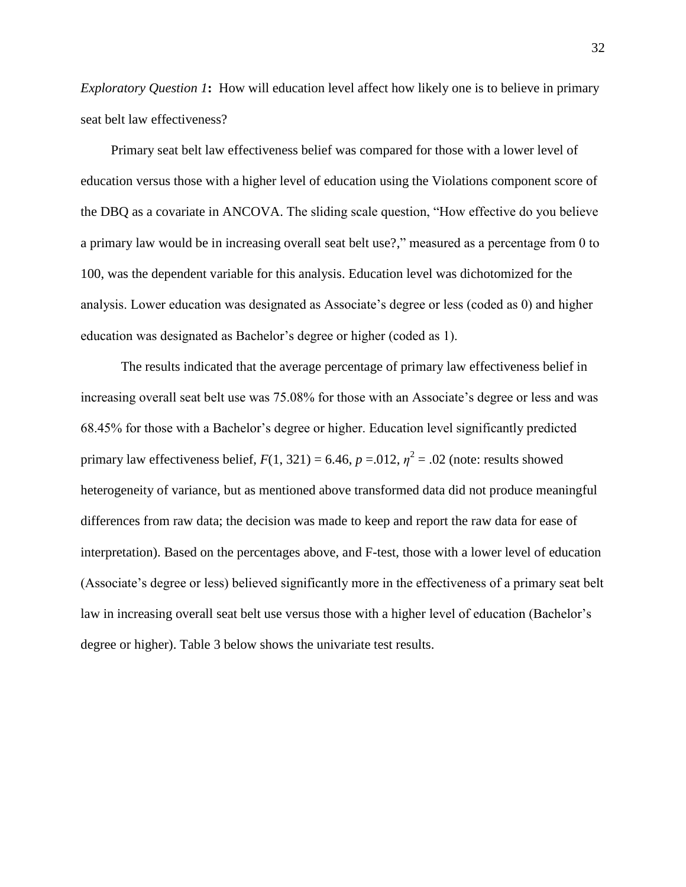*Exploratory Question 1*: How will education level affect how likely one is to believe in primary seat belt law effectiveness?

Primary seat belt law effectiveness belief was compared for those with a lower level of education versus those with a higher level of education using the Violations component score of the DBQ as a covariate in ANCOVA. The sliding scale question, "How effective do you believe a primary law would be in increasing overall seat belt use?," measured as a percentage from 0 to 100, was the dependent variable for this analysis. Education level was dichotomized for the analysis. Lower education was designated as Associate's degree or less (coded as 0) and higher education was designated as Bachelor's degree or higher (coded as 1).

The results indicated that the average percentage of primary law effectiveness belief in increasing overall seat belt use was 75.08% for those with an Associate's degree or less and was 68.45% for those with a Bachelor's degree or higher. Education level significantly predicted primary law effectiveness belief,  $F(1, 321) = 6.46$ ,  $p = .012$ ,  $\eta^2 = .02$  (note: results showed heterogeneity of variance, but as mentioned above transformed data did not produce meaningful differences from raw data; the decision was made to keep and report the raw data for ease of interpretation). Based on the percentages above, and F-test, those with a lower level of education (Associate's degree or less) believed significantly more in the effectiveness of a primary seat belt law in increasing overall seat belt use versus those with a higher level of education (Bachelor's degree or higher). Table 3 below shows the univariate test results.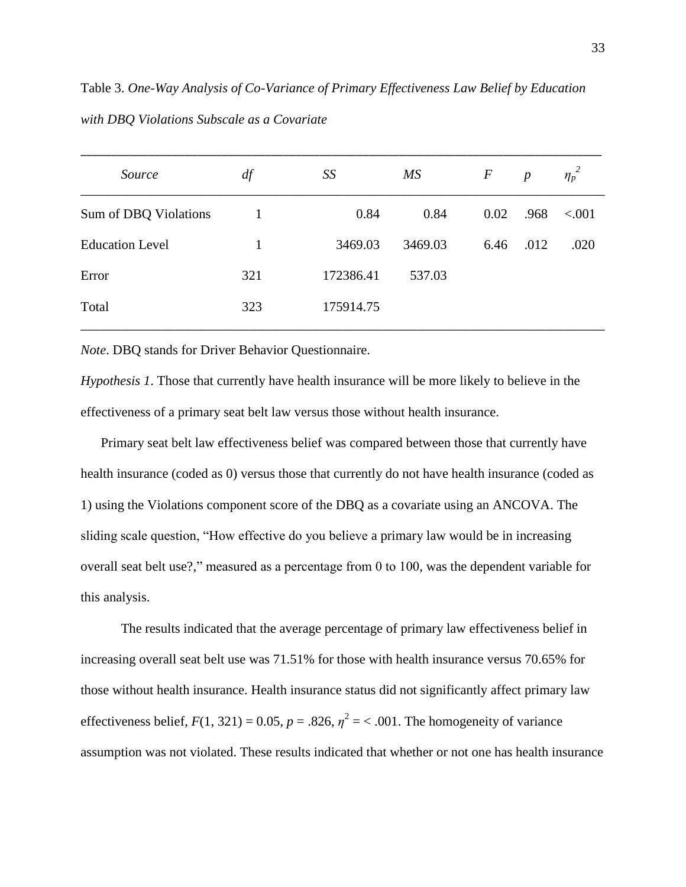Table 3. *One-Way Analysis of Co-Variance of Primary Effectiveness Law Belief by Education with DBQ Violations Subscale as a Covariate*

| Source                 | df  | SS        | $\overline{MS}$ | $\boldsymbol{F}$ | $\boldsymbol{p}$ | $\eta_p^2$ |
|------------------------|-----|-----------|-----------------|------------------|------------------|------------|
| Sum of DBQ Violations  |     | 0.84      | 0.84            | 0.02             | .968             | < 0.001    |
| <b>Education Level</b> |     | 3469.03   | 3469.03         | 6.46             | .012             | .020       |
| Error                  | 321 | 172386.41 | 537.03          |                  |                  |            |
| Total                  | 323 | 175914.75 |                 |                  |                  |            |

*Note*. DBQ stands for Driver Behavior Questionnaire.

*Hypothesis 1*. Those that currently have health insurance will be more likely to believe in the effectiveness of a primary seat belt law versus those without health insurance.

Primary seat belt law effectiveness belief was compared between those that currently have health insurance (coded as 0) versus those that currently do not have health insurance (coded as 1) using the Violations component score of the DBQ as a covariate using an ANCOVA. The sliding scale question, "How effective do you believe a primary law would be in increasing overall seat belt use?," measured as a percentage from 0 to 100, was the dependent variable for this analysis.

The results indicated that the average percentage of primary law effectiveness belief in increasing overall seat belt use was 71.51% for those with health insurance versus 70.65% for those without health insurance. Health insurance status did not significantly affect primary law effectiveness belief,  $F(1, 321) = 0.05$ ,  $p = .826$ ,  $\eta^2 = < .001$ . The homogeneity of variance assumption was not violated. These results indicated that whether or not one has health insurance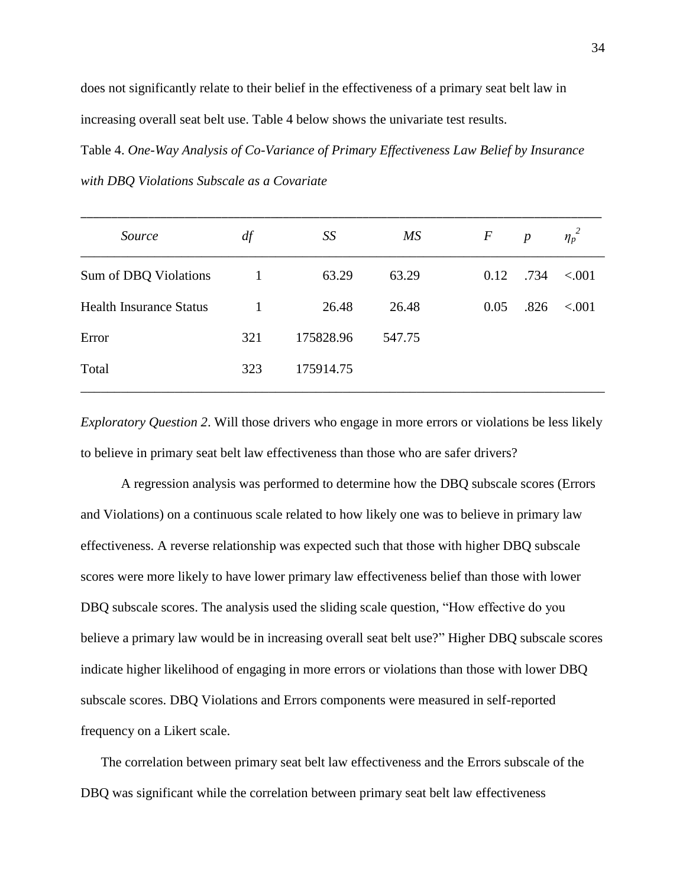does not significantly relate to their belief in the effectiveness of a primary seat belt law in increasing overall seat belt use. Table 4 below shows the univariate test results.

Table 4. *One-Way Analysis of Co-Variance of Primary Effectiveness Law Belief by Insurance with DBQ Violations Subscale as a Covariate*

| Source                         | df  | SS        | $\overline{MS}$ | $\boldsymbol{F}$ |      | $\boldsymbol{p}$ | $\eta_p^2$ |
|--------------------------------|-----|-----------|-----------------|------------------|------|------------------|------------|
| Sum of DBQ Violations          |     | 63.29     | 63.29           |                  | 0.12 | .734             | < 0.001    |
| <b>Health Insurance Status</b> |     | 26.48     | 26.48           |                  | 0.05 | .826             | ${<}001$   |
| Error                          | 321 | 175828.96 | 547.75          |                  |      |                  |            |
| Total                          | 323 | 175914.75 |                 |                  |      |                  |            |

*Exploratory Question 2*. Will those drivers who engage in more errors or violations be less likely to believe in primary seat belt law effectiveness than those who are safer drivers?

A regression analysis was performed to determine how the DBQ subscale scores (Errors and Violations) on a continuous scale related to how likely one was to believe in primary law effectiveness. A reverse relationship was expected such that those with higher DBQ subscale scores were more likely to have lower primary law effectiveness belief than those with lower DBQ subscale scores. The analysis used the sliding scale question, "How effective do you believe a primary law would be in increasing overall seat belt use?" Higher DBQ subscale scores indicate higher likelihood of engaging in more errors or violations than those with lower DBQ subscale scores. DBQ Violations and Errors components were measured in self-reported frequency on a Likert scale.

The correlation between primary seat belt law effectiveness and the Errors subscale of the DBQ was significant while the correlation between primary seat belt law effectiveness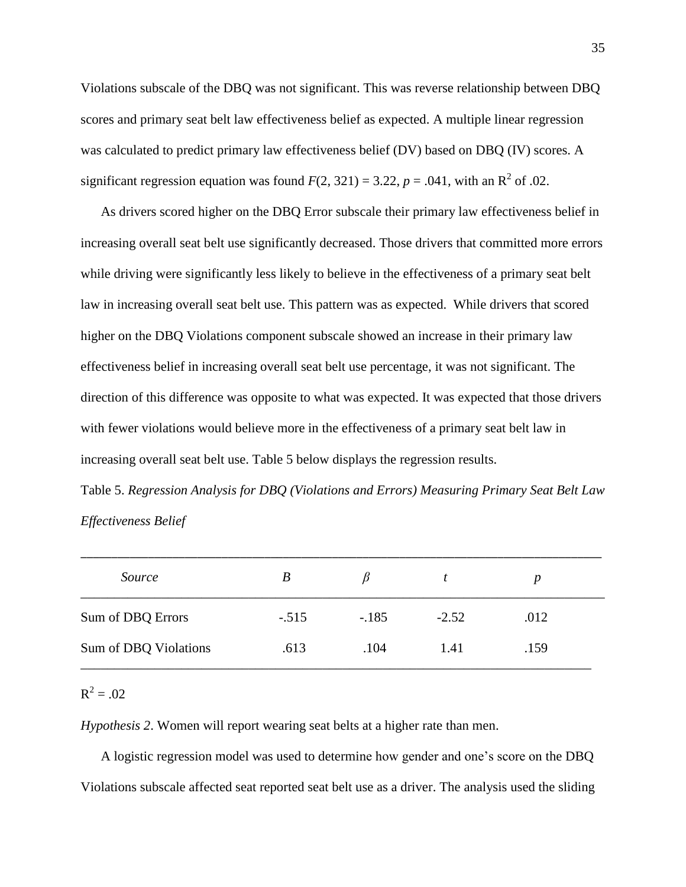Violations subscale of the DBQ was not significant. This was reverse relationship between DBQ scores and primary seat belt law effectiveness belief as expected. A multiple linear regression was calculated to predict primary law effectiveness belief (DV) based on DBQ (IV) scores. A significant regression equation was found  $F(2, 321) = 3.22$ ,  $p = .041$ , with an R<sup>2</sup> of .02.

As drivers scored higher on the DBQ Error subscale their primary law effectiveness belief in increasing overall seat belt use significantly decreased. Those drivers that committed more errors while driving were significantly less likely to believe in the effectiveness of a primary seat belt law in increasing overall seat belt use. This pattern was as expected. While drivers that scored higher on the DBQ Violations component subscale showed an increase in their primary law effectiveness belief in increasing overall seat belt use percentage, it was not significant. The direction of this difference was opposite to what was expected. It was expected that those drivers with fewer violations would believe more in the effectiveness of a primary seat belt law in increasing overall seat belt use. Table 5 below displays the regression results.

Table 5. *Regression Analysis for DBQ (Violations and Errors) Measuring Primary Seat Belt Law Effectiveness Belief*

| Source                | B       |         |         |      |  |
|-----------------------|---------|---------|---------|------|--|
| Sum of DBQ Errors     | $-.515$ | $-.185$ | $-2.52$ | .012 |  |
| Sum of DBQ Violations | .613    | .104    | 1.41    | .159 |  |

# $R^2 = .02$

*Hypothesis 2*. Women will report wearing seat belts at a higher rate than men.

A logistic regression model was used to determine how gender and one's score on the DBQ Violations subscale affected seat reported seat belt use as a driver. The analysis used the sliding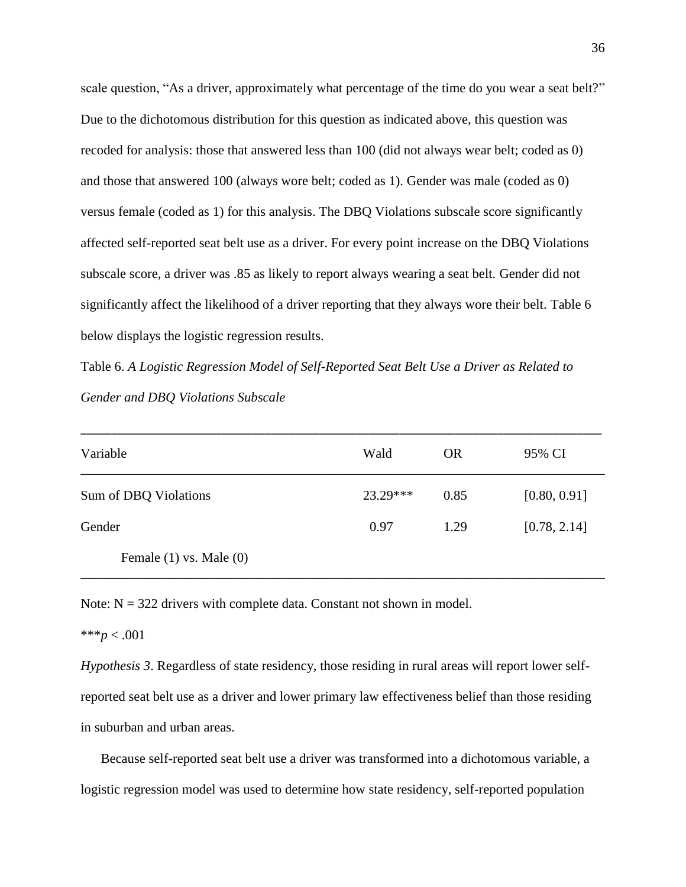scale question, "As a driver, approximately what percentage of the time do you wear a seat belt?" Due to the dichotomous distribution for this question as indicated above, this question was recoded for analysis: those that answered less than 100 (did not always wear belt; coded as 0) and those that answered 100 (always wore belt; coded as 1). Gender was male (coded as 0) versus female (coded as 1) for this analysis. The DBQ Violations subscale score significantly affected self-reported seat belt use as a driver. For every point increase on the DBQ Violations subscale score, a driver was .85 as likely to report always wearing a seat belt. Gender did not significantly affect the likelihood of a driver reporting that they always wore their belt. Table 6 below displays the logistic regression results.

Table 6. *A Logistic Regression Model of Self-Reported Seat Belt Use a Driver as Related to Gender and DBQ Violations Subscale*

| Variable                    | Wald     | <b>OR</b> | 95% CI       |
|-----------------------------|----------|-----------|--------------|
| Sum of DBQ Violations       | 23.29*** | 0.85      | [0.80, 0.91] |
| Gender                      | 0.97     | 1.29      | [0.78, 2.14] |
| Female $(1)$ vs. Male $(0)$ |          |           |              |

Note:  $N = 322$  drivers with complete data. Constant not shown in model.

\*\*\**p* < .001

*Hypothesis 3*. Regardless of state residency, those residing in rural areas will report lower selfreported seat belt use as a driver and lower primary law effectiveness belief than those residing in suburban and urban areas.

Because self-reported seat belt use a driver was transformed into a dichotomous variable, a logistic regression model was used to determine how state residency, self-reported population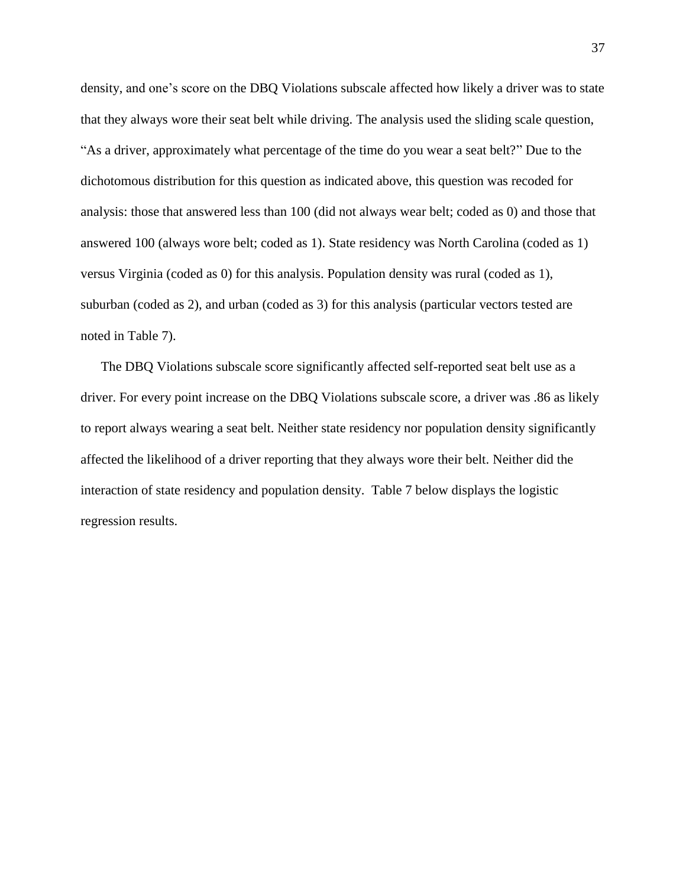density, and one's score on the DBQ Violations subscale affected how likely a driver was to state that they always wore their seat belt while driving. The analysis used the sliding scale question, "As a driver, approximately what percentage of the time do you wear a seat belt?" Due to the dichotomous distribution for this question as indicated above, this question was recoded for analysis: those that answered less than 100 (did not always wear belt; coded as 0) and those that answered 100 (always wore belt; coded as 1). State residency was North Carolina (coded as 1) versus Virginia (coded as 0) for this analysis. Population density was rural (coded as 1), suburban (coded as 2), and urban (coded as 3) for this analysis (particular vectors tested are noted in Table 7).

The DBQ Violations subscale score significantly affected self-reported seat belt use as a driver. For every point increase on the DBQ Violations subscale score, a driver was .86 as likely to report always wearing a seat belt. Neither state residency nor population density significantly affected the likelihood of a driver reporting that they always wore their belt. Neither did the interaction of state residency and population density. Table 7 below displays the logistic regression results.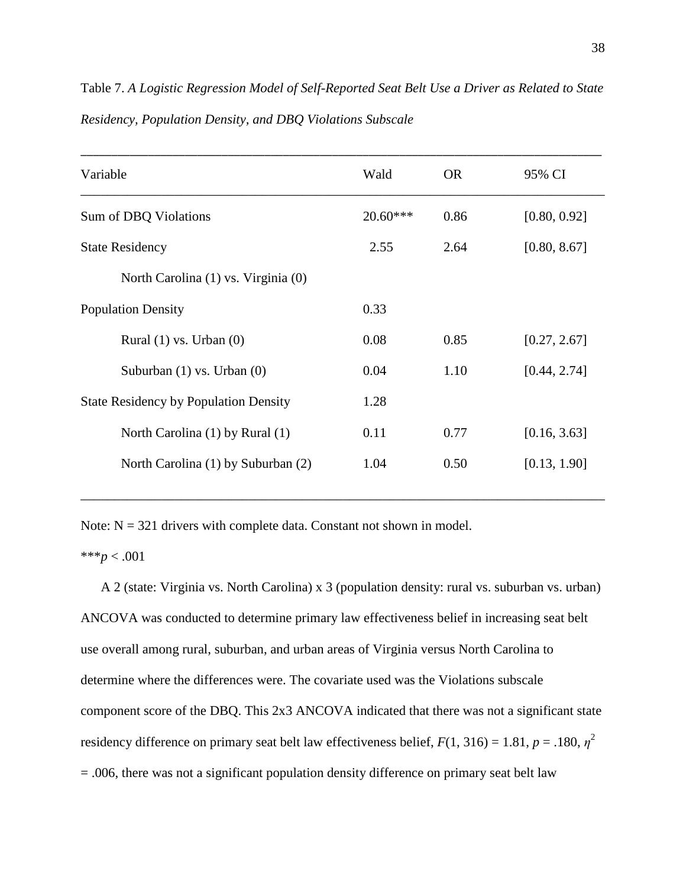| Variable                                     | Wald       | <b>OR</b> | 95% CI       |
|----------------------------------------------|------------|-----------|--------------|
| Sum of DBQ Violations                        | $20.60***$ | 0.86      | [0.80, 0.92] |
| <b>State Residency</b>                       | 2.55       | 2.64      | [0.80, 8.67] |
| North Carolina (1) vs. Virginia (0)          |            |           |              |
| <b>Population Density</b>                    | 0.33       |           |              |
| Rural $(1)$ vs. Urban $(0)$                  | 0.08       | 0.85      | [0.27, 2.67] |
| Suburban $(1)$ vs. Urban $(0)$               | 0.04       | 1.10      | [0.44, 2.74] |
| <b>State Residency by Population Density</b> | 1.28       |           |              |
| North Carolina (1) by Rural (1)              | 0.11       | 0.77      | [0.16, 3.63] |
| North Carolina (1) by Suburban (2)           | 1.04       | 0.50      | [0.13, 1.90] |
|                                              |            |           |              |

\_\_\_\_\_\_\_\_\_\_\_\_\_\_\_\_\_\_\_\_\_\_\_\_\_\_\_\_\_\_\_\_\_\_\_\_\_\_\_\_\_\_\_\_\_\_\_\_\_\_\_\_\_\_\_\_\_\_\_\_\_\_\_\_\_\_\_\_\_\_\_\_\_\_\_\_\_\_

Table 7. *A Logistic Regression Model of Self-Reported Seat Belt Use a Driver as Related to State Residency, Population Density, and DBQ Violations Subscale*

Note:  $N = 321$  drivers with complete data. Constant not shown in model.

\*\*\**p* < .001

A 2 (state: Virginia vs. North Carolina) x 3 (population density: rural vs. suburban vs. urban) ANCOVA was conducted to determine primary law effectiveness belief in increasing seat belt use overall among rural, suburban, and urban areas of Virginia versus North Carolina to determine where the differences were. The covariate used was the Violations subscale component score of the DBQ. This 2x3 ANCOVA indicated that there was not a significant state residency difference on primary seat belt law effectiveness belief,  $F(1, 316) = 1.81$ ,  $p = .180$ ,  $\eta^2$ = .006, there was not a significant population density difference on primary seat belt law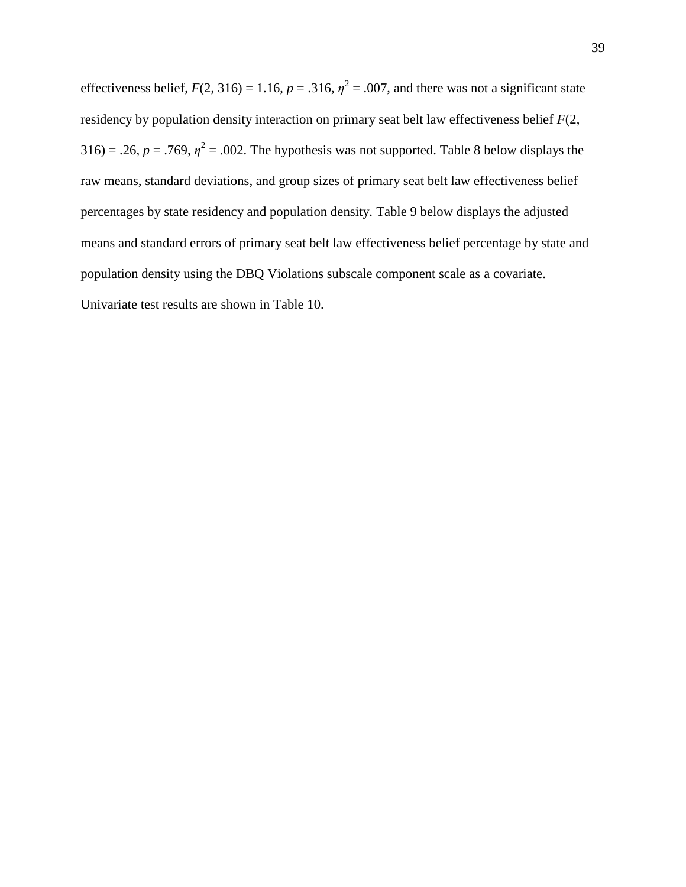effectiveness belief,  $F(2, 316) = 1.16$ ,  $p = .316$ ,  $\eta^2 = .007$ , and there was not a significant state residency by population density interaction on primary seat belt law effectiveness belief *F*(2,  $316$  = .26,  $p = .769$ ,  $\eta^2 = .002$ . The hypothesis was not supported. Table 8 below displays the raw means, standard deviations, and group sizes of primary seat belt law effectiveness belief percentages by state residency and population density. Table 9 below displays the adjusted means and standard errors of primary seat belt law effectiveness belief percentage by state and population density using the DBQ Violations subscale component scale as a covariate. Univariate test results are shown in Table 10.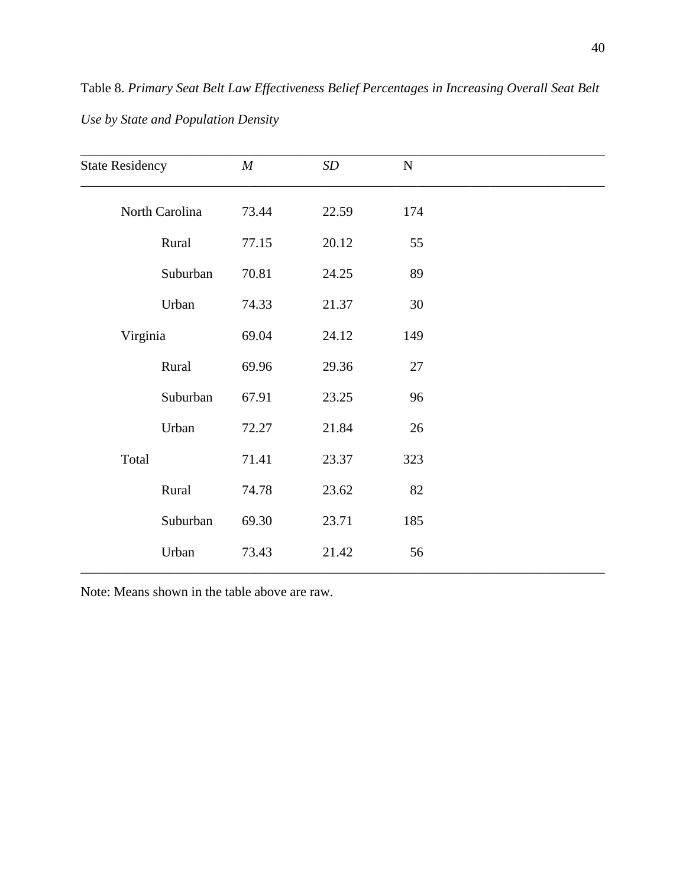Table 8. *Primary Seat Belt Law Effectiveness Belief Percentages in Increasing Overall Seat Belt Use by State and Population Density*

| <b>State Residency</b> |                | $\boldsymbol{M}$ | SD    | ${\bf N}$ |  |
|------------------------|----------------|------------------|-------|-----------|--|
|                        | North Carolina | 73.44            | 22.59 | 174       |  |
|                        | Rural          | 77.15            | 20.12 | 55        |  |
|                        | Suburban       | 70.81            | 24.25 | 89        |  |
|                        | Urban          | 74.33            | 21.37 | 30        |  |
| Virginia               |                | 69.04            | 24.12 | 149       |  |
|                        | Rural          | 69.96            | 29.36 | 27        |  |
|                        | Suburban       | 67.91            | 23.25 | 96        |  |
|                        | Urban          | 72.27            | 21.84 | 26        |  |
| Total                  |                | 71.41            | 23.37 | 323       |  |
|                        | Rural          | 74.78            | 23.62 | 82        |  |
|                        | Suburban       | 69.30            | 23.71 | 185       |  |
|                        | Urban          | 73.43            | 21.42 | 56        |  |

Note: Means shown in the table above are raw.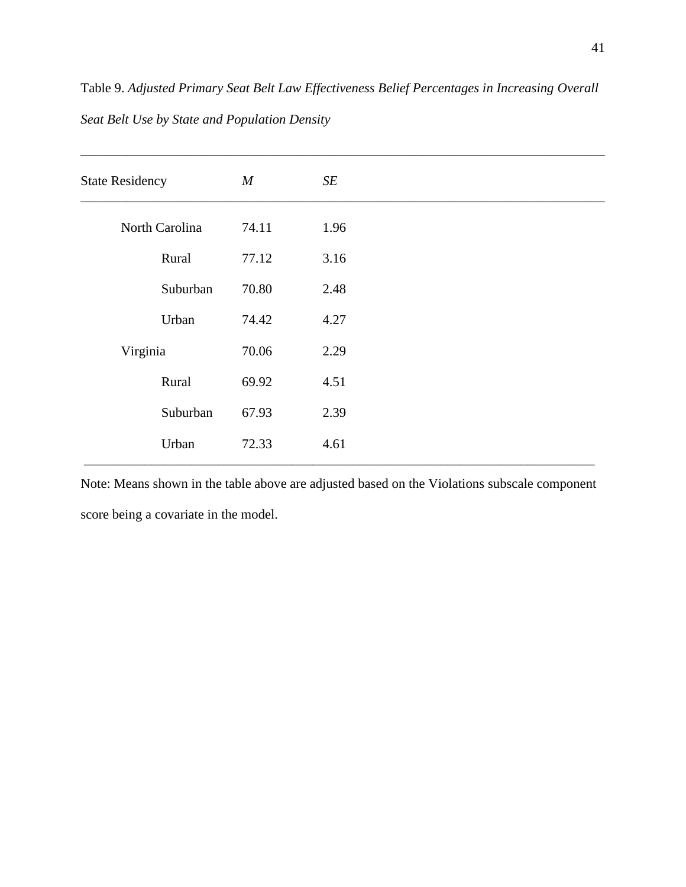\_\_\_\_\_\_\_\_\_\_\_\_\_\_\_\_\_\_\_\_\_\_\_\_\_\_\_\_\_\_\_\_\_\_\_\_\_\_\_\_\_\_\_\_\_\_\_\_\_\_\_\_\_\_\_\_\_\_\_\_\_\_\_\_\_\_\_\_\_\_\_\_\_\_\_\_\_\_ State Residency *M SE* \_\_\_\_\_\_\_\_\_\_\_\_\_\_\_\_\_\_\_\_\_\_\_\_\_\_\_\_\_\_\_\_\_\_\_\_\_\_\_\_\_\_\_\_\_\_\_\_\_\_\_\_\_\_\_\_\_\_\_\_\_\_\_\_\_\_\_\_\_\_\_\_\_\_\_\_\_\_ North Carolina 74.11 1.96 Rural 77.12 3.16 Suburban 70.80 2.48 Urban 74.42 4.27 Virginia 70.06 2.29 Rural 69.92 4.51 Suburban 67.93 2.39 Urban 72.33 4.61 \_\_\_\_\_\_\_\_\_\_\_\_\_\_\_\_\_\_\_\_\_\_\_\_\_\_\_\_\_\_\_\_\_\_\_\_\_\_\_\_\_\_\_\_\_\_\_\_\_\_\_\_\_\_\_\_\_\_\_\_\_\_\_\_\_\_\_\_\_\_\_\_\_\_\_\_

Table 9. *Adjusted Primary Seat Belt Law Effectiveness Belief Percentages in Increasing Overall Seat Belt Use by State and Population Density*

Note: Means shown in the table above are adjusted based on the Violations subscale component score being a covariate in the model.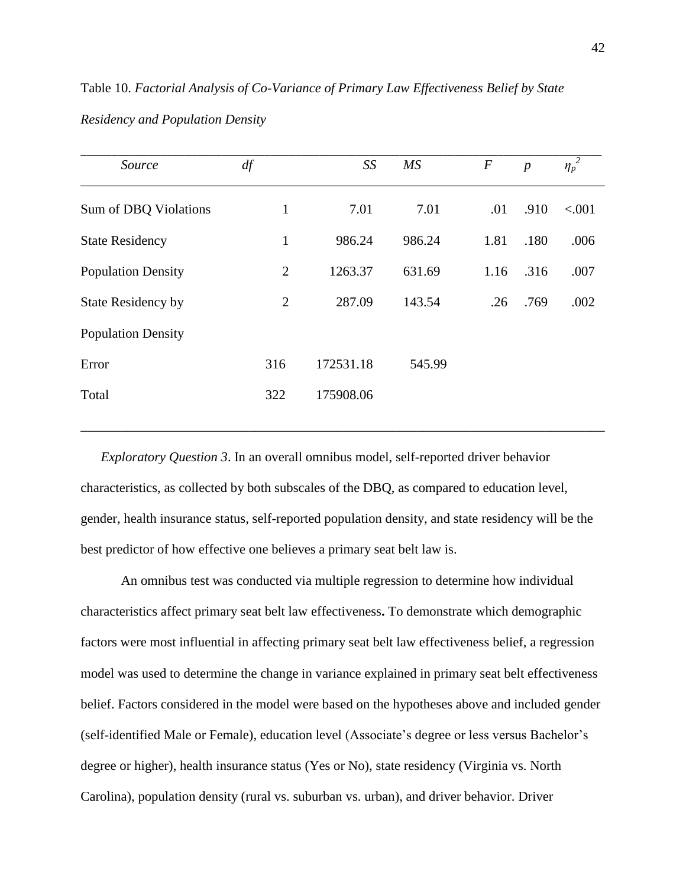\_\_\_\_\_\_\_\_\_\_\_\_\_\_\_\_\_\_\_\_\_\_\_\_\_\_\_\_\_\_\_\_\_\_\_\_\_\_\_\_\_\_\_\_\_\_\_\_\_\_\_\_\_\_\_\_\_\_\_\_\_\_\_\_\_\_\_\_\_\_\_\_\_\_\_\_\_\_\_\_\_\_\_\_\_ *Source df SS MS F p η<sup>p</sup>*  $\eta_p^2$ \_\_\_\_\_\_\_\_\_\_\_\_\_\_\_\_\_\_\_\_\_\_\_\_\_\_\_\_\_\_\_\_\_\_\_\_\_\_\_\_\_\_\_\_\_\_\_\_\_\_\_\_\_\_\_\_\_\_\_\_\_\_\_\_\_\_\_\_\_\_\_\_\_\_\_\_\_\_ Sum of DBQ Violations 1 7.01 7.01 .01 .910 <.001 State Residency 1 986.24 986.24 1.81 .180 .006 Population Density 2 1263.37 631.69 1.16 .316 .007 State Residency by 2 287.09 143.54 .26 .769 .002 Population Density Error 316 172531.18 545.99 Total 322 175908.06

Table 10. *Factorial Analysis of Co-Variance of Primary Law Effectiveness Belief by State* 

*Residency and Population Density*

*Exploratory Question 3*. In an overall omnibus model, self-reported driver behavior characteristics, as collected by both subscales of the DBQ, as compared to education level, gender, health insurance status, self-reported population density, and state residency will be the best predictor of how effective one believes a primary seat belt law is.

\_\_\_\_\_\_\_\_\_\_\_\_\_\_\_\_\_\_\_\_\_\_\_\_\_\_\_\_\_\_\_\_\_\_\_\_\_\_\_\_\_\_\_\_\_\_\_\_\_\_\_\_\_\_\_\_\_\_\_\_\_\_\_\_\_\_\_\_\_\_\_\_\_\_\_\_\_\_

An omnibus test was conducted via multiple regression to determine how individual characteristics affect primary seat belt law effectiveness**.** To demonstrate which demographic factors were most influential in affecting primary seat belt law effectiveness belief, a regression model was used to determine the change in variance explained in primary seat belt effectiveness belief. Factors considered in the model were based on the hypotheses above and included gender (self-identified Male or Female), education level (Associate's degree or less versus Bachelor's degree or higher), health insurance status (Yes or No), state residency (Virginia vs. North Carolina), population density (rural vs. suburban vs. urban), and driver behavior. Driver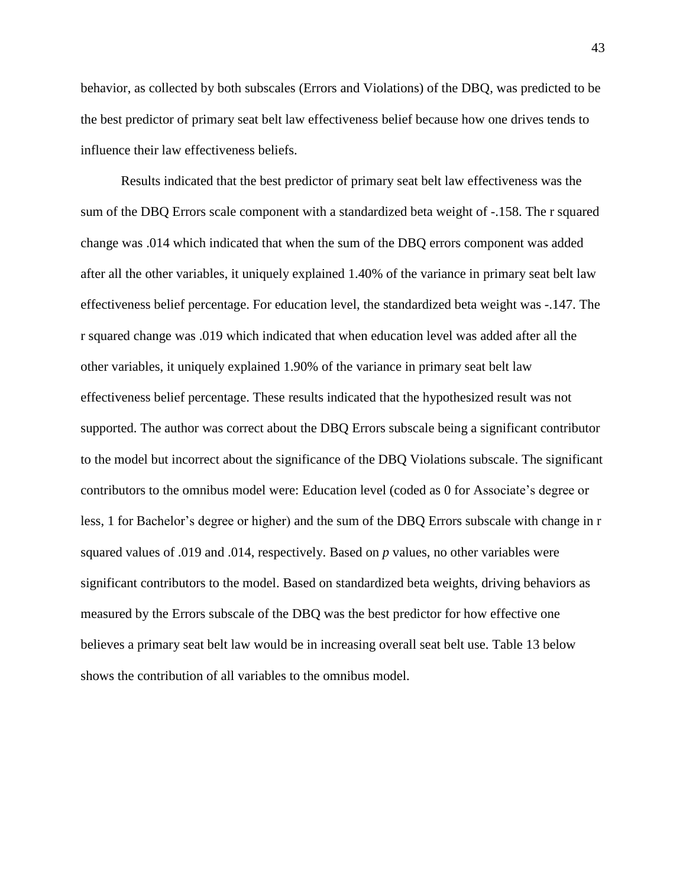behavior, as collected by both subscales (Errors and Violations) of the DBQ, was predicted to be the best predictor of primary seat belt law effectiveness belief because how one drives tends to influence their law effectiveness beliefs.

Results indicated that the best predictor of primary seat belt law effectiveness was the sum of the DBQ Errors scale component with a standardized beta weight of -.158. The r squared change was .014 which indicated that when the sum of the DBQ errors component was added after all the other variables, it uniquely explained 1.40% of the variance in primary seat belt law effectiveness belief percentage. For education level, the standardized beta weight was -.147. The r squared change was .019 which indicated that when education level was added after all the other variables, it uniquely explained 1.90% of the variance in primary seat belt law effectiveness belief percentage. These results indicated that the hypothesized result was not supported. The author was correct about the DBQ Errors subscale being a significant contributor to the model but incorrect about the significance of the DBQ Violations subscale. The significant contributors to the omnibus model were: Education level (coded as 0 for Associate's degree or less, 1 for Bachelor's degree or higher) and the sum of the DBQ Errors subscale with change in r squared values of .019 and .014, respectively. Based on *p* values, no other variables were significant contributors to the model. Based on standardized beta weights, driving behaviors as measured by the Errors subscale of the DBQ was the best predictor for how effective one believes a primary seat belt law would be in increasing overall seat belt use. Table 13 below shows the contribution of all variables to the omnibus model.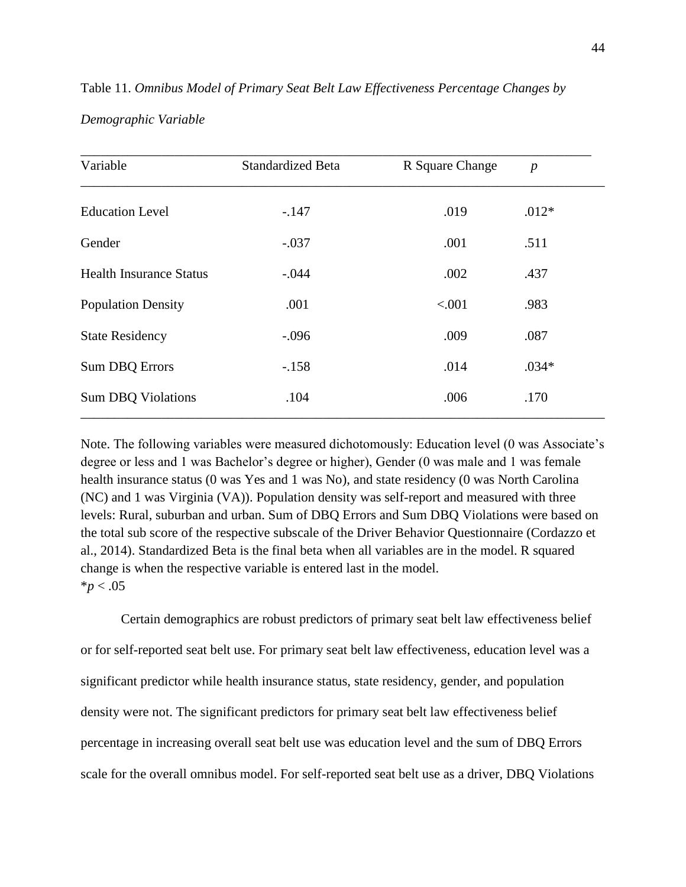| Variable                       | <b>Standardized Beta</b> | R Square Change | $\boldsymbol{p}$ |
|--------------------------------|--------------------------|-----------------|------------------|
| <b>Education Level</b>         | $-.147$                  | .019            | $.012*$          |
| Gender                         | $-.037$                  | .001            | .511             |
| <b>Health Insurance Status</b> | $-.044$                  | .002            | .437             |
| <b>Population Density</b>      | .001                     | < .001          | .983             |
| <b>State Residency</b>         | $-.096$                  | .009            | .087             |
| Sum DBQ Errors                 | $-.158$                  | .014            | $.034*$          |
| <b>Sum DBQ Violations</b>      | .104                     | .006            | .170             |

Table 11. *Omnibus Model of Primary Seat Belt Law Effectiveness Percentage Changes by* 

*Demographic Variable*

Note. The following variables were measured dichotomously: Education level (0 was Associate's degree or less and 1 was Bachelor's degree or higher), Gender (0 was male and 1 was female health insurance status (0 was Yes and 1 was No), and state residency (0 was North Carolina (NC) and 1 was Virginia (VA)). Population density was self-report and measured with three levels: Rural, suburban and urban. Sum of DBQ Errors and Sum DBQ Violations were based on the total sub score of the respective subscale of the Driver Behavior Questionnaire (Cordazzo et al., 2014). Standardized Beta is the final beta when all variables are in the model. R squared change is when the respective variable is entered last in the model. \**p* < .05

Certain demographics are robust predictors of primary seat belt law effectiveness belief or for self-reported seat belt use. For primary seat belt law effectiveness, education level was a significant predictor while health insurance status, state residency, gender, and population density were not. The significant predictors for primary seat belt law effectiveness belief percentage in increasing overall seat belt use was education level and the sum of DBQ Errors scale for the overall omnibus model. For self-reported seat belt use as a driver, DBQ Violations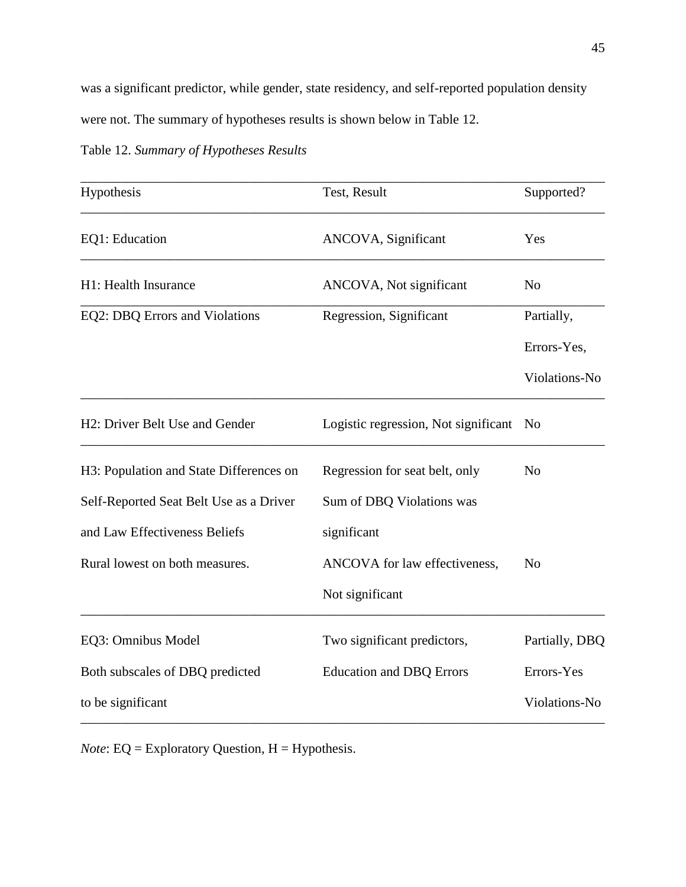was a significant predictor, while gender, state residency, and self-reported population density were not. The summary of hypotheses results is shown below in Table 12.

Table 12. *Summary of Hypotheses Results*

| Hypothesis                              | Test, Result                            | Supported?     |
|-----------------------------------------|-----------------------------------------|----------------|
| EQ1: Education                          | ANCOVA, Significant                     | Yes            |
| H1: Health Insurance                    | ANCOVA, Not significant                 | N <sub>o</sub> |
| EQ2: DBQ Errors and Violations          | Regression, Significant                 | Partially,     |
|                                         |                                         | Errors-Yes,    |
|                                         |                                         | Violations-No  |
| H2: Driver Belt Use and Gender          | Logistic regression, Not significant No |                |
| H3: Population and State Differences on | Regression for seat belt, only          | N <sub>o</sub> |
| Self-Reported Seat Belt Use as a Driver | Sum of DBQ Violations was               |                |
| and Law Effectiveness Beliefs           | significant                             |                |
| Rural lowest on both measures.          | ANCOVA for law effectiveness,           | N <sub>0</sub> |
|                                         | Not significant                         |                |
| EQ3: Omnibus Model                      | Two significant predictors,             | Partially, DBQ |
| Both subscales of DBQ predicted         | <b>Education and DBQ Errors</b>         | Errors-Yes     |
| to be significant                       |                                         | Violations-No  |

*Note*: EQ = Exploratory Question, H = Hypothesis.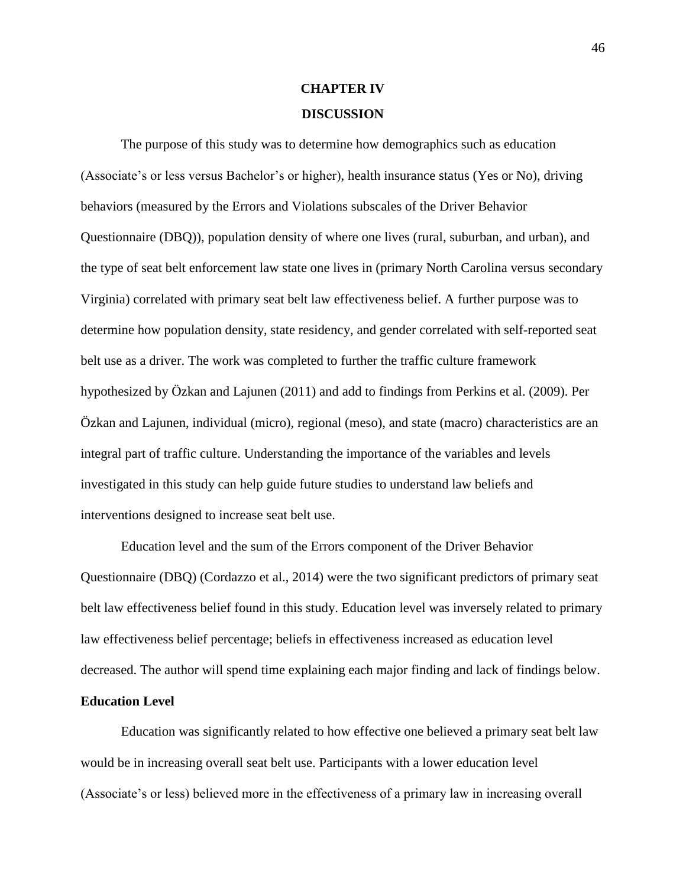# **CHAPTER IV DISCUSSION**

The purpose of this study was to determine how demographics such as education (Associate's or less versus Bachelor's or higher), health insurance status (Yes or No), driving behaviors (measured by the Errors and Violations subscales of the Driver Behavior Questionnaire (DBQ)), population density of where one lives (rural, suburban, and urban), and the type of seat belt enforcement law state one lives in (primary North Carolina versus secondary Virginia) correlated with primary seat belt law effectiveness belief. A further purpose was to determine how population density, state residency, and gender correlated with self-reported seat belt use as a driver. The work was completed to further the traffic culture framework hypothesized by Özkan and Lajunen (2011) and add to findings from Perkins et al. (2009). Per Özkan and Lajunen, individual (micro), regional (meso), and state (macro) characteristics are an integral part of traffic culture. Understanding the importance of the variables and levels investigated in this study can help guide future studies to understand law beliefs and interventions designed to increase seat belt use.

Education level and the sum of the Errors component of the Driver Behavior Questionnaire (DBQ) (Cordazzo et al., 2014) were the two significant predictors of primary seat belt law effectiveness belief found in this study. Education level was inversely related to primary law effectiveness belief percentage; beliefs in effectiveness increased as education level decreased. The author will spend time explaining each major finding and lack of findings below.

## **Education Level**

Education was significantly related to how effective one believed a primary seat belt law would be in increasing overall seat belt use. Participants with a lower education level (Associate's or less) believed more in the effectiveness of a primary law in increasing overall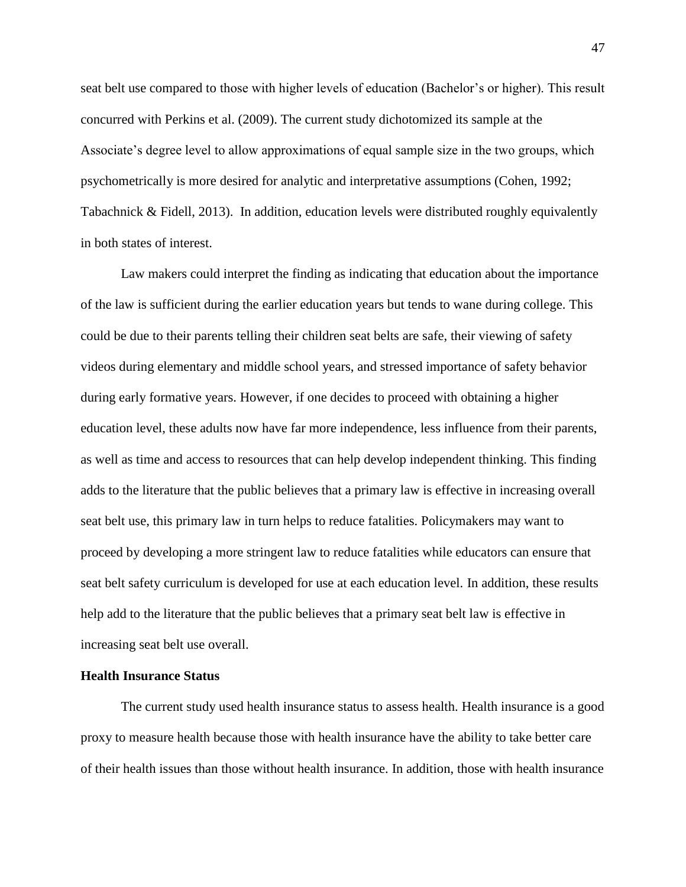seat belt use compared to those with higher levels of education (Bachelor's or higher). This result concurred with Perkins et al. (2009). The current study dichotomized its sample at the Associate's degree level to allow approximations of equal sample size in the two groups, which psychometrically is more desired for analytic and interpretative assumptions (Cohen, 1992; Tabachnick & Fidell, 2013). In addition, education levels were distributed roughly equivalently in both states of interest.

Law makers could interpret the finding as indicating that education about the importance of the law is sufficient during the earlier education years but tends to wane during college. This could be due to their parents telling their children seat belts are safe, their viewing of safety videos during elementary and middle school years, and stressed importance of safety behavior during early formative years. However, if one decides to proceed with obtaining a higher education level, these adults now have far more independence, less influence from their parents, as well as time and access to resources that can help develop independent thinking. This finding adds to the literature that the public believes that a primary law is effective in increasing overall seat belt use, this primary law in turn helps to reduce fatalities. Policymakers may want to proceed by developing a more stringent law to reduce fatalities while educators can ensure that seat belt safety curriculum is developed for use at each education level. In addition, these results help add to the literature that the public believes that a primary seat belt law is effective in increasing seat belt use overall.

#### **Health Insurance Status**

The current study used health insurance status to assess health. Health insurance is a good proxy to measure health because those with health insurance have the ability to take better care of their health issues than those without health insurance. In addition, those with health insurance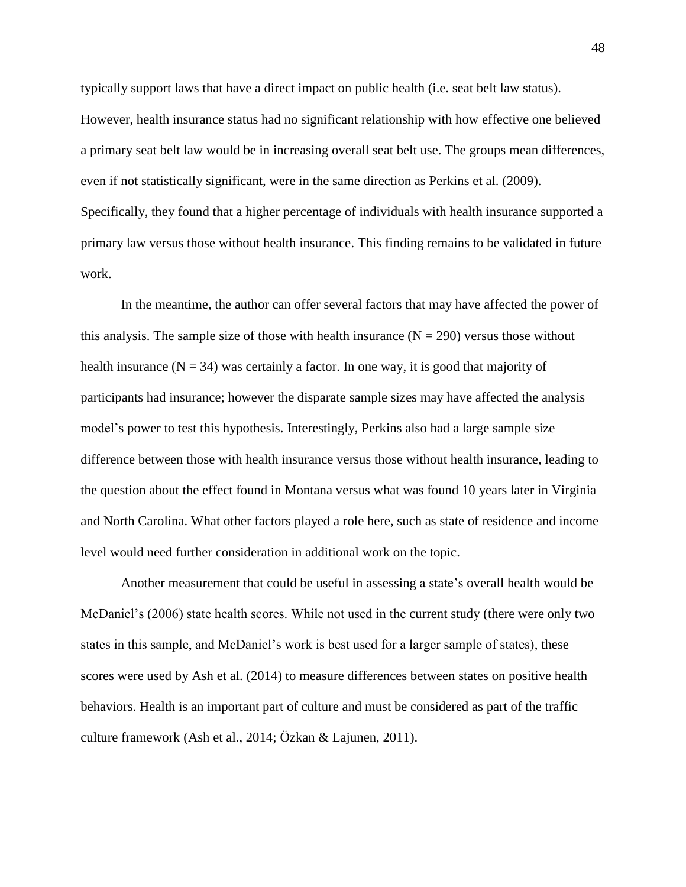typically support laws that have a direct impact on public health (i.e. seat belt law status). However, health insurance status had no significant relationship with how effective one believed a primary seat belt law would be in increasing overall seat belt use. The groups mean differences, even if not statistically significant, were in the same direction as Perkins et al. (2009). Specifically, they found that a higher percentage of individuals with health insurance supported a primary law versus those without health insurance. This finding remains to be validated in future work.

In the meantime, the author can offer several factors that may have affected the power of this analysis. The sample size of those with health insurance  $(N = 290)$  versus those without health insurance  $(N = 34)$  was certainly a factor. In one way, it is good that majority of participants had insurance; however the disparate sample sizes may have affected the analysis model's power to test this hypothesis. Interestingly, Perkins also had a large sample size difference between those with health insurance versus those without health insurance, leading to the question about the effect found in Montana versus what was found 10 years later in Virginia and North Carolina. What other factors played a role here, such as state of residence and income level would need further consideration in additional work on the topic.

Another measurement that could be useful in assessing a state's overall health would be McDaniel's (2006) state health scores. While not used in the current study (there were only two states in this sample, and McDaniel's work is best used for a larger sample of states), these scores were used by Ash et al. (2014) to measure differences between states on positive health behaviors. Health is an important part of culture and must be considered as part of the traffic culture framework (Ash et al., 2014; Özkan & Lajunen, 2011).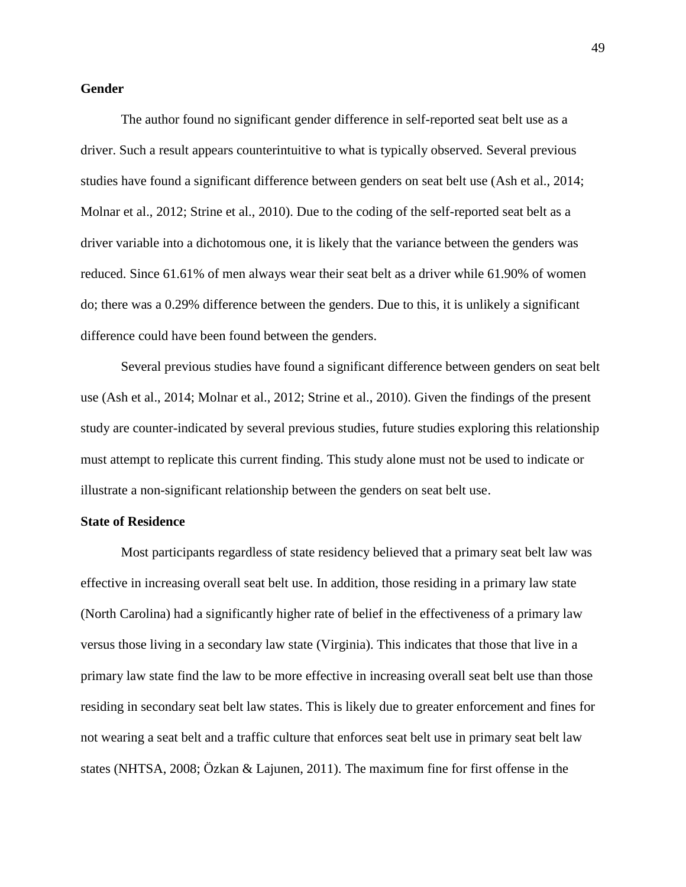#### **Gender**

The author found no significant gender difference in self-reported seat belt use as a driver. Such a result appears counterintuitive to what is typically observed. Several previous studies have found a significant difference between genders on seat belt use (Ash et al., 2014; Molnar et al., 2012; Strine et al., 2010). Due to the coding of the self-reported seat belt as a driver variable into a dichotomous one, it is likely that the variance between the genders was reduced. Since 61.61% of men always wear their seat belt as a driver while 61.90% of women do; there was a 0.29% difference between the genders. Due to this, it is unlikely a significant difference could have been found between the genders.

Several previous studies have found a significant difference between genders on seat belt use (Ash et al., 2014; Molnar et al., 2012; Strine et al., 2010). Given the findings of the present study are counter-indicated by several previous studies, future studies exploring this relationship must attempt to replicate this current finding. This study alone must not be used to indicate or illustrate a non-significant relationship between the genders on seat belt use.

#### **State of Residence**

Most participants regardless of state residency believed that a primary seat belt law was effective in increasing overall seat belt use. In addition, those residing in a primary law state (North Carolina) had a significantly higher rate of belief in the effectiveness of a primary law versus those living in a secondary law state (Virginia). This indicates that those that live in a primary law state find the law to be more effective in increasing overall seat belt use than those residing in secondary seat belt law states. This is likely due to greater enforcement and fines for not wearing a seat belt and a traffic culture that enforces seat belt use in primary seat belt law states (NHTSA, 2008; Özkan & Lajunen, 2011). The maximum fine for first offense in the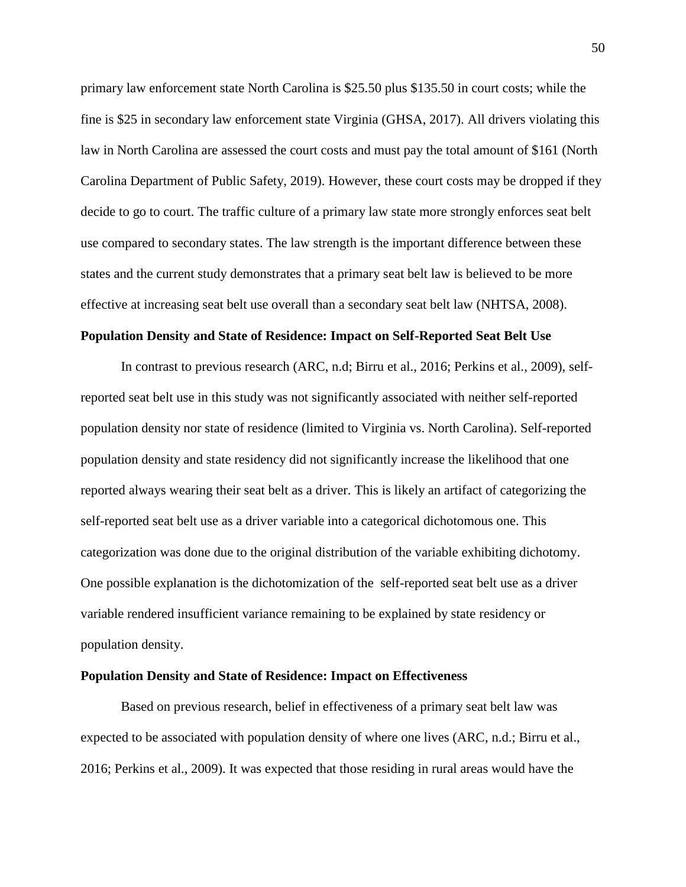primary law enforcement state North Carolina is \$25.50 plus \$135.50 in court costs; while the fine is \$25 in secondary law enforcement state Virginia (GHSA, 2017). All drivers violating this law in North Carolina are assessed the court costs and must pay the total amount of \$161 (North Carolina Department of Public Safety, 2019). However, these court costs may be dropped if they decide to go to court. The traffic culture of a primary law state more strongly enforces seat belt use compared to secondary states. The law strength is the important difference between these states and the current study demonstrates that a primary seat belt law is believed to be more effective at increasing seat belt use overall than a secondary seat belt law (NHTSA, 2008).

## **Population Density and State of Residence: Impact on Self-Reported Seat Belt Use**

In contrast to previous research (ARC, n.d; Birru et al., 2016; Perkins et al., 2009), selfreported seat belt use in this study was not significantly associated with neither self-reported population density nor state of residence (limited to Virginia vs. North Carolina). Self-reported population density and state residency did not significantly increase the likelihood that one reported always wearing their seat belt as a driver. This is likely an artifact of categorizing the self-reported seat belt use as a driver variable into a categorical dichotomous one. This categorization was done due to the original distribution of the variable exhibiting dichotomy. One possible explanation is the dichotomization of the self-reported seat belt use as a driver variable rendered insufficient variance remaining to be explained by state residency or population density.

#### **Population Density and State of Residence: Impact on Effectiveness**

Based on previous research, belief in effectiveness of a primary seat belt law was expected to be associated with population density of where one lives (ARC, n.d.; Birru et al., 2016; Perkins et al., 2009). It was expected that those residing in rural areas would have the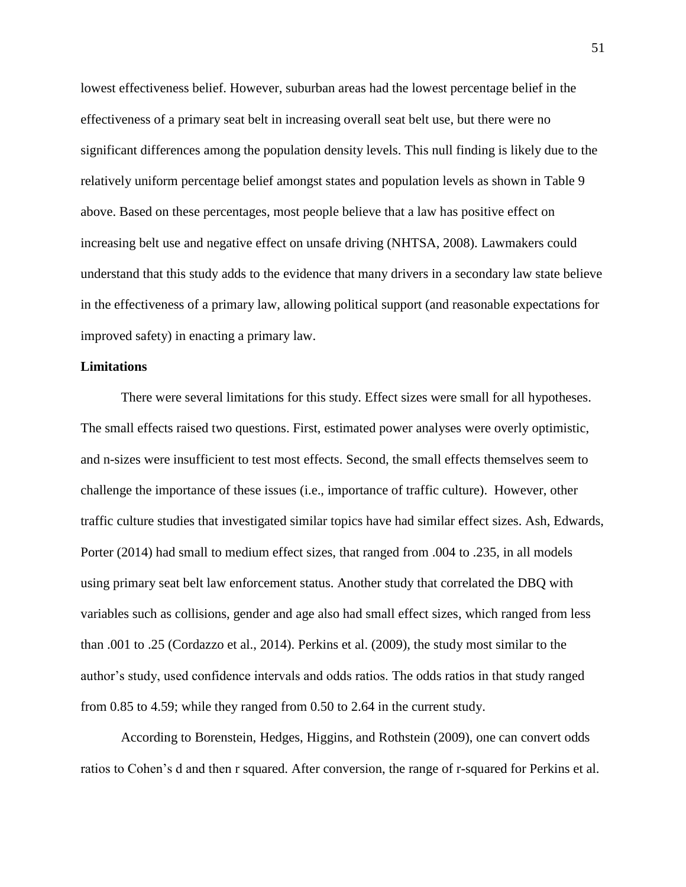lowest effectiveness belief. However, suburban areas had the lowest percentage belief in the effectiveness of a primary seat belt in increasing overall seat belt use, but there were no significant differences among the population density levels. This null finding is likely due to the relatively uniform percentage belief amongst states and population levels as shown in Table 9 above. Based on these percentages, most people believe that a law has positive effect on increasing belt use and negative effect on unsafe driving (NHTSA, 2008). Lawmakers could understand that this study adds to the evidence that many drivers in a secondary law state believe in the effectiveness of a primary law, allowing political support (and reasonable expectations for improved safety) in enacting a primary law.

#### **Limitations**

There were several limitations for this study. Effect sizes were small for all hypotheses. The small effects raised two questions. First, estimated power analyses were overly optimistic, and n-sizes were insufficient to test most effects. Second, the small effects themselves seem to challenge the importance of these issues (i.e., importance of traffic culture). However, other traffic culture studies that investigated similar topics have had similar effect sizes. Ash, Edwards, Porter (2014) had small to medium effect sizes, that ranged from .004 to .235, in all models using primary seat belt law enforcement status. Another study that correlated the DBQ with variables such as collisions, gender and age also had small effect sizes, which ranged from less than .001 to .25 (Cordazzo et al., 2014). Perkins et al. (2009), the study most similar to the author's study, used confidence intervals and odds ratios. The odds ratios in that study ranged from 0.85 to 4.59; while they ranged from 0.50 to 2.64 in the current study.

According to Borenstein, Hedges, Higgins, and Rothstein (2009), one can convert odds ratios to Cohen's d and then r squared. After conversion, the range of r-squared for Perkins et al.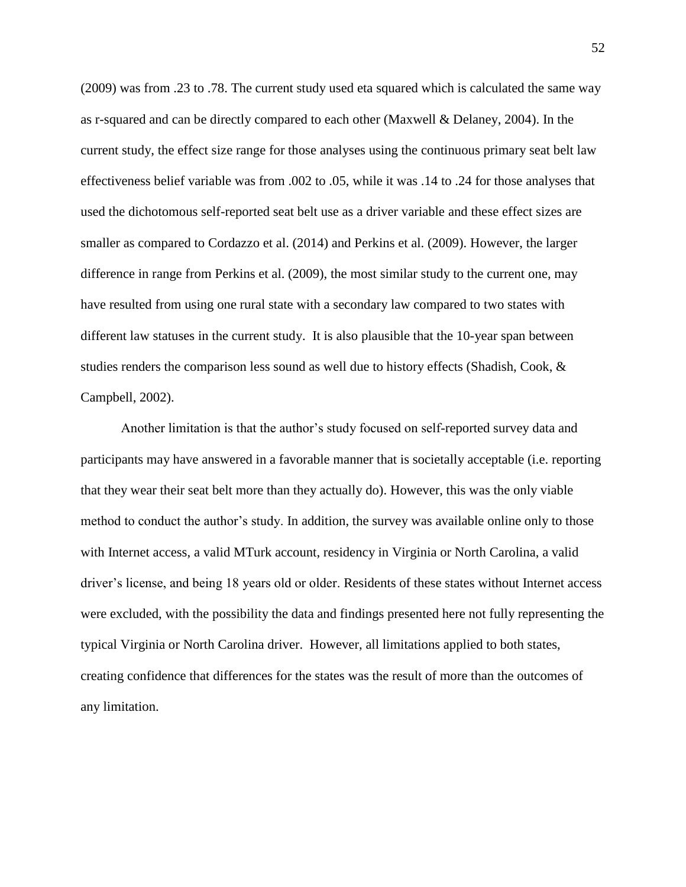(2009) was from .23 to .78. The current study used eta squared which is calculated the same way as r-squared and can be directly compared to each other (Maxwell & Delaney, 2004). In the current study, the effect size range for those analyses using the continuous primary seat belt law effectiveness belief variable was from .002 to .05, while it was .14 to .24 for those analyses that used the dichotomous self-reported seat belt use as a driver variable and these effect sizes are smaller as compared to Cordazzo et al. (2014) and Perkins et al. (2009). However, the larger difference in range from Perkins et al. (2009), the most similar study to the current one, may have resulted from using one rural state with a secondary law compared to two states with different law statuses in the current study. It is also plausible that the 10-year span between studies renders the comparison less sound as well due to history effects (Shadish, Cook, & Campbell, 2002).

Another limitation is that the author's study focused on self-reported survey data and participants may have answered in a favorable manner that is societally acceptable (i.e. reporting that they wear their seat belt more than they actually do). However, this was the only viable method to conduct the author's study. In addition, the survey was available online only to those with Internet access, a valid MTurk account, residency in Virginia or North Carolina, a valid driver's license, and being 18 years old or older. Residents of these states without Internet access were excluded, with the possibility the data and findings presented here not fully representing the typical Virginia or North Carolina driver. However, all limitations applied to both states, creating confidence that differences for the states was the result of more than the outcomes of any limitation.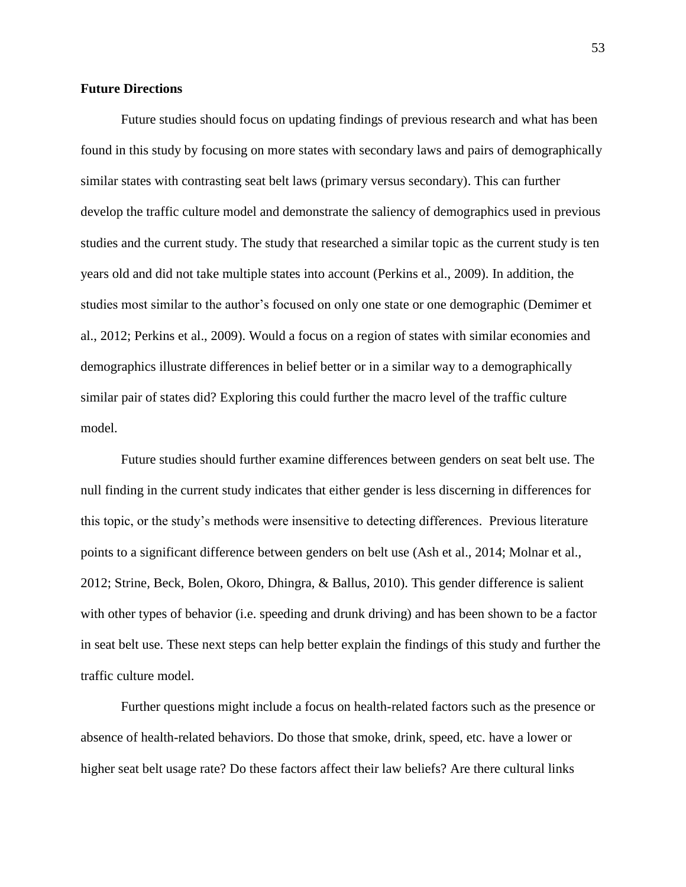#### **Future Directions**

Future studies should focus on updating findings of previous research and what has been found in this study by focusing on more states with secondary laws and pairs of demographically similar states with contrasting seat belt laws (primary versus secondary). This can further develop the traffic culture model and demonstrate the saliency of demographics used in previous studies and the current study. The study that researched a similar topic as the current study is ten years old and did not take multiple states into account (Perkins et al., 2009). In addition, the studies most similar to the author's focused on only one state or one demographic (Demimer et al., 2012; Perkins et al., 2009). Would a focus on a region of states with similar economies and demographics illustrate differences in belief better or in a similar way to a demographically similar pair of states did? Exploring this could further the macro level of the traffic culture model.

Future studies should further examine differences between genders on seat belt use. The null finding in the current study indicates that either gender is less discerning in differences for this topic, or the study's methods were insensitive to detecting differences. Previous literature points to a significant difference between genders on belt use (Ash et al., 2014; Molnar et al., 2012; Strine, Beck, Bolen, Okoro, Dhingra, & Ballus, 2010). This gender difference is salient with other types of behavior (i.e. speeding and drunk driving) and has been shown to be a factor in seat belt use. These next steps can help better explain the findings of this study and further the traffic culture model.

Further questions might include a focus on health-related factors such as the presence or absence of health-related behaviors. Do those that smoke, drink, speed, etc. have a lower or higher seat belt usage rate? Do these factors affect their law beliefs? Are there cultural links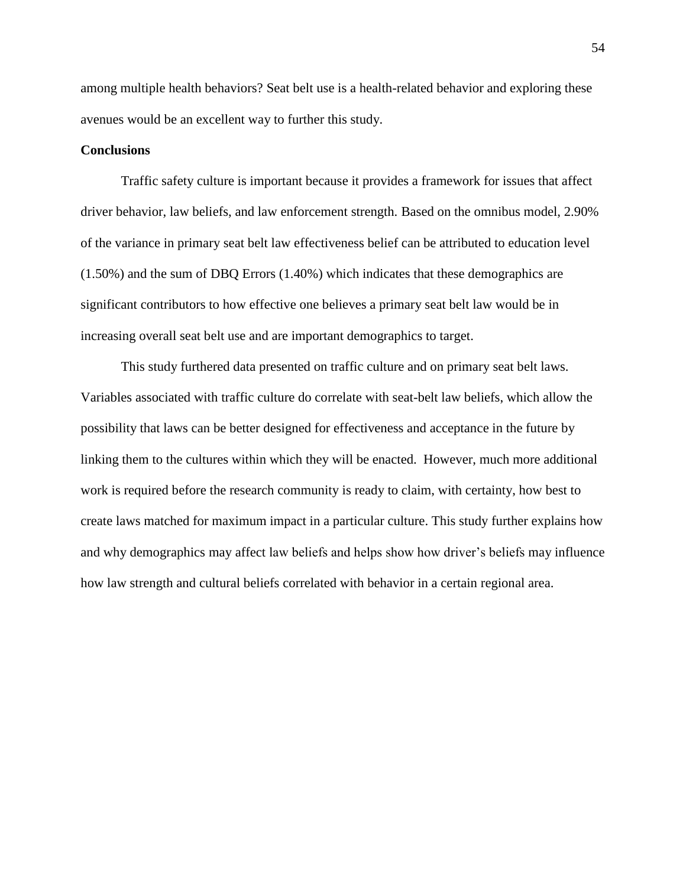among multiple health behaviors? Seat belt use is a health-related behavior and exploring these avenues would be an excellent way to further this study.

#### **Conclusions**

Traffic safety culture is important because it provides a framework for issues that affect driver behavior, law beliefs, and law enforcement strength. Based on the omnibus model, 2.90% of the variance in primary seat belt law effectiveness belief can be attributed to education level (1.50%) and the sum of DBQ Errors (1.40%) which indicates that these demographics are significant contributors to how effective one believes a primary seat belt law would be in increasing overall seat belt use and are important demographics to target.

This study furthered data presented on traffic culture and on primary seat belt laws. Variables associated with traffic culture do correlate with seat-belt law beliefs, which allow the possibility that laws can be better designed for effectiveness and acceptance in the future by linking them to the cultures within which they will be enacted. However, much more additional work is required before the research community is ready to claim, with certainty, how best to create laws matched for maximum impact in a particular culture. This study further explains how and why demographics may affect law beliefs and helps show how driver's beliefs may influence how law strength and cultural beliefs correlated with behavior in a certain regional area.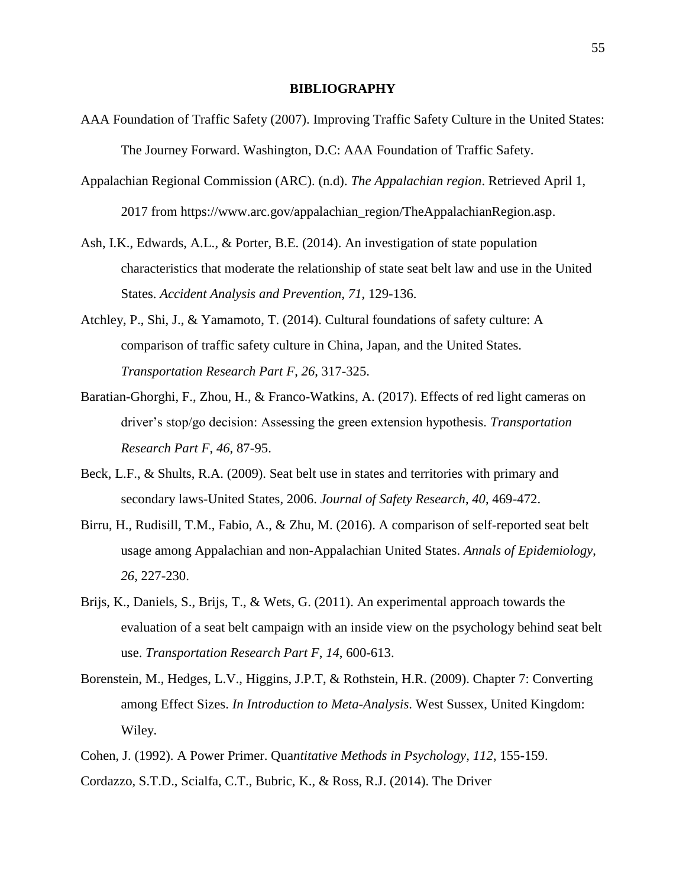#### **BIBLIOGRAPHY**

- AAA Foundation of Traffic Safety (2007). Improving Traffic Safety Culture in the United States: The Journey Forward. Washington, D.C: AAA Foundation of Traffic Safety.
- Appalachian Regional Commission (ARC). (n.d). *The Appalachian region*. Retrieved April 1, 2017 from https://www.arc.gov/appalachian\_region/TheAppalachianRegion.asp.
- Ash, I.K., Edwards, A.L., & Porter, B.E. (2014). An investigation of state population characteristics that moderate the relationship of state seat belt law and use in the United States. *Accident Analysis and Prevention*, *71*, 129-136.
- Atchley, P., Shi, J., & Yamamoto, T. (2014). Cultural foundations of safety culture: A comparison of traffic safety culture in China, Japan, and the United States. *Transportation Research Part F*, *26*, 317-325.
- Baratian-Ghorghi, F., Zhou, H., & Franco-Watkins, A. (2017). Effects of red light cameras on driver's stop/go decision: Assessing the green extension hypothesis. *Transportation Research Part F*, *46*, 87-95.
- Beck, L.F., & Shults, R.A. (2009). Seat belt use in states and territories with primary and secondary laws-United States, 2006. *Journal of Safety Research*, *40*, 469-472.
- Birru, H., Rudisill, T.M., Fabio, A., & Zhu, M. (2016). A comparison of self-reported seat belt usage among Appalachian and non-Appalachian United States. *Annals of Epidemiology*, *26*, 227-230.
- Brijs, K., Daniels, S., Brijs, T., & Wets, G. (2011). An experimental approach towards the evaluation of a seat belt campaign with an inside view on the psychology behind seat belt use. *Transportation Research Part F*, *14*, 600-613.
- Borenstein, M., Hedges, L.V., Higgins, J.P.T, & Rothstein, H.R. (2009). Chapter 7: Converting among Effect Sizes. *In Introduction to Meta-Analysis*. West Sussex, United Kingdom: Wiley.
- Cohen, J. (1992). A Power Primer. Qua*ntitative Methods in Psychology, 112*, 155-159.
- Cordazzo, S.T.D., Scialfa, C.T., Bubric, K., & Ross, R.J. (2014). The Driver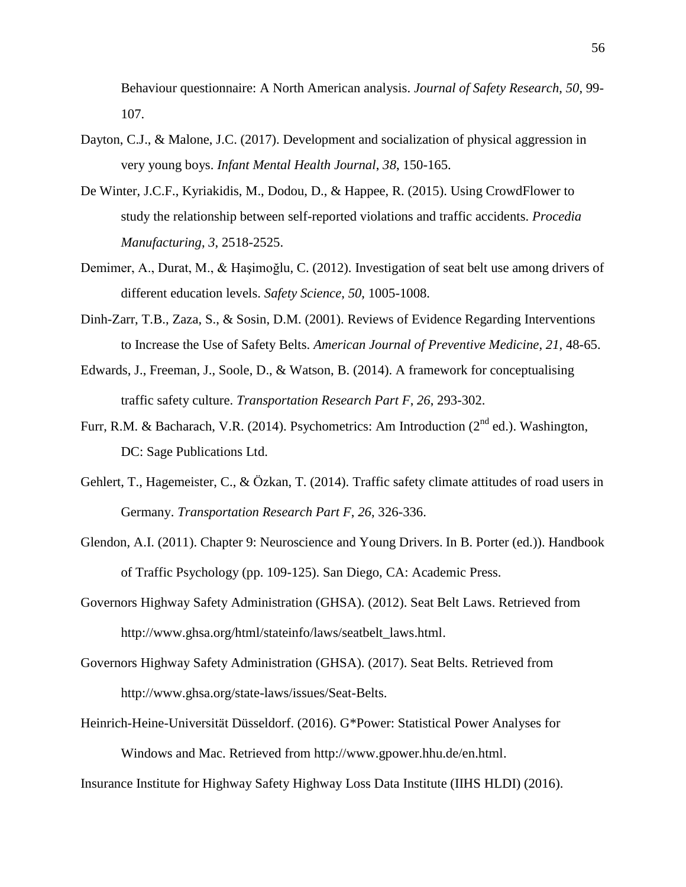Behaviour questionnaire: A North American analysis. *Journal of Safety Research*, *50*, 99- 107.

- Dayton, C.J., & Malone, J.C. (2017). Development and socialization of physical aggression in very young boys. *Infant Mental Health Journal*, *38*, 150-165.
- De Winter, J.C.F., Kyriakidis, M., Dodou, D., & Happee, R. (2015). Using CrowdFlower to study the relationship between self-reported violations and traffic accidents. *Procedia Manufacturing*, *3*, 2518-2525.
- Demimer, A., Durat, M., & Haşimoğlu, C. (2012). Investigation of seat belt use among drivers of different education levels. *Safety Science*, *50*, 1005-1008.
- Dinh-Zarr, T.B., Zaza, S., & Sosin, D.M. (2001). Reviews of Evidence Regarding Interventions to Increase the Use of Safety Belts. *American Journal of Preventive Medicine*, *21*, 48-65.
- Edwards, J., Freeman, J., Soole, D., & Watson, B. (2014). A framework for conceptualising traffic safety culture. *Transportation Research Part F*, *26*, 293-302.
- Furr, R.M. & Bacharach, V.R. (2014). Psychometrics: Am Introduction ( $2<sup>nd</sup>$  ed.). Washington, DC: Sage Publications Ltd.
- Gehlert, T., Hagemeister, C., & Özkan, T. (2014). Traffic safety climate attitudes of road users in Germany. *Transportation Research Part F*, *26*, 326-336.
- Glendon, A.I. (2011). Chapter 9: Neuroscience and Young Drivers. In B. Porter (ed.)). Handbook of Traffic Psychology (pp. 109-125). San Diego, CA: Academic Press.
- Governors Highway Safety Administration (GHSA). (2012). Seat Belt Laws. Retrieved from http://www.ghsa.org/html/stateinfo/laws/seatbelt\_laws.html.
- Governors Highway Safety Administration (GHSA). (2017). Seat Belts. Retrieved from http://www.ghsa.org/state-laws/issues/Seat-Belts.
- Heinrich-Heine-Universität Düsseldorf. (2016). G\*Power: Statistical Power Analyses for Windows and Mac. Retrieved from http://www.gpower.hhu.de/en.html.

Insurance Institute for Highway Safety Highway Loss Data Institute (IIHS HLDI) (2016).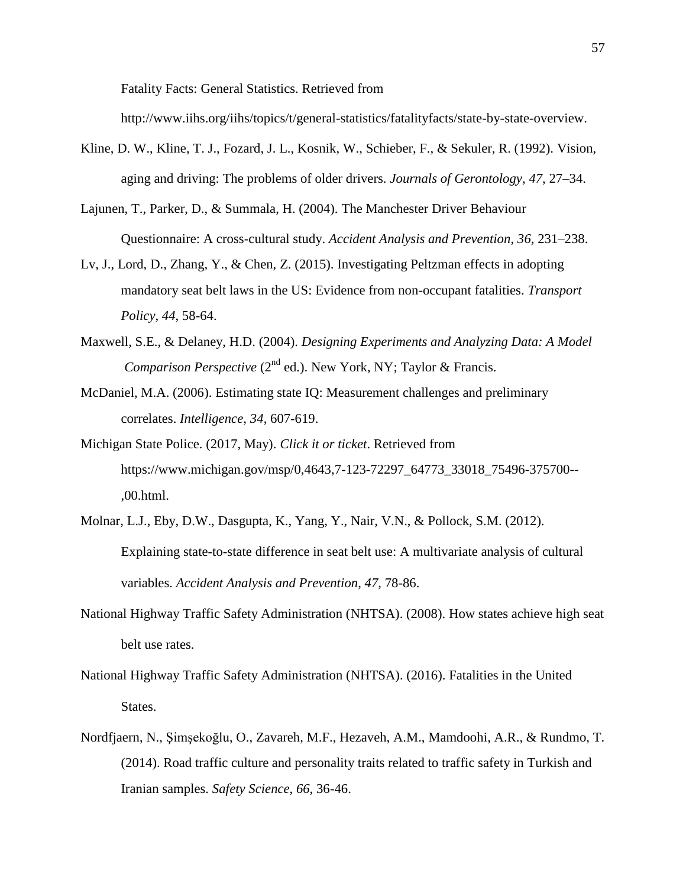Fatality Facts: General Statistics. Retrieved from

http://www.iihs.org/iihs/topics/t/general-statistics/fatalityfacts/state-by-state-overview.

- Kline, D. W., Kline, T. J., Fozard, J. L., Kosnik, W., Schieber, F., & Sekuler, R. (1992). Vision, aging and driving: The problems of older drivers. *Journals of Gerontology*, *47*, 27–34.
- Lajunen, T., Parker, D., & Summala, H. (2004). The Manchester Driver Behaviour Questionnaire: A cross-cultural study. *Accident Analysis and Prevention*, *36*, 231–238.
- Lv, J., Lord, D., Zhang, Y., & Chen, Z. (2015). Investigating Peltzman effects in adopting mandatory seat belt laws in the US: Evidence from non-occupant fatalities. *Transport Policy*, *44*, 58-64.
- Maxwell, S.E., & Delaney, H.D. (2004). *Designing Experiments and Analyzing Data: A Model Comparison Perspective* (2<sup>nd</sup> ed.). New York, NY; Taylor & Francis.
- McDaniel, M.A. (2006). Estimating state IQ: Measurement challenges and preliminary correlates. *Intelligence*, *34*, 607-619.
- Michigan State Police. (2017, May). *Click it or ticket*. Retrieved from https://www.michigan.gov/msp/0,4643,7-123-72297\_64773\_33018\_75496-375700-- ,00.html.
- Molnar, L.J., Eby, D.W., Dasgupta, K., Yang, Y., Nair, V.N., & Pollock, S.M. (2012). Explaining state-to-state difference in seat belt use: A multivariate analysis of cultural variables. *Accident Analysis and Prevention*, *47*, 78-86.
- National Highway Traffic Safety Administration (NHTSA). (2008). How states achieve high seat belt use rates.
- National Highway Traffic Safety Administration (NHTSA). (2016). Fatalities in the United States.
- Nordfjaern, N., Şimşekoğlu, O., Zavareh, M.F., Hezaveh, A.M., Mamdoohi, A.R., & Rundmo, T. (2014). Road traffic culture and personality traits related to traffic safety in Turkish and Iranian samples. *Safety Science*, *66*, 36-46.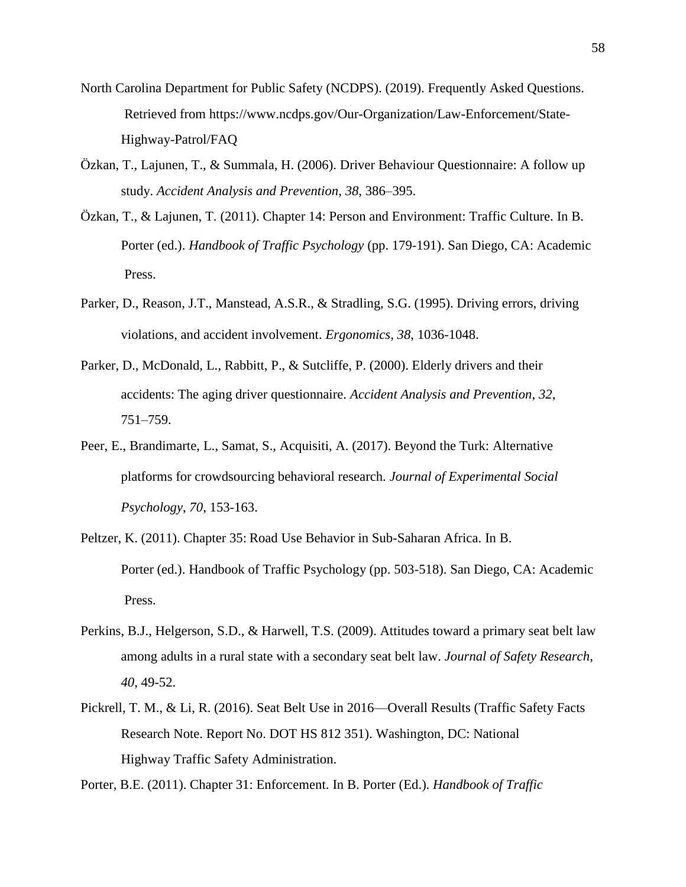- North Carolina Department for Public Safety (NCDPS). (2019). Frequently Asked Questions. Retrieved from https://www.ncdps.gov/Our-Organization/Law-Enforcement/State-Highway-Patrol/FAQ
- Özkan, T., Lajunen, T., & Summala, H. (2006). Driver Behaviour Questionnaire: A follow up study. *Accident Analysis and Prevention*, *38*, 386–395.
- Özkan, T., & Lajunen, T. (2011). Chapter 14: Person and Environment: Traffic Culture. In B. Porter (ed.). *Handbook of Traffic Psychology* (pp. 179-191). San Diego, CA: Academic Press.
- Parker, D., Reason, J.T., Manstead, A.S.R., & Stradling, S.G. (1995). Driving errors, driving violations, and accident involvement. *Ergonomics*, *38*, 1036-1048.
- Parker, D., McDonald, L., Rabbitt, P., & Sutcliffe, P. (2000). Elderly drivers and their accidents: The aging driver questionnaire. *Accident Analysis and Prevention*, *32*, 751–759.
- Peer, E., Brandimarte, L., Samat, S., Acquisiti, A. (2017). Beyond the Turk: Alternative platforms for crowdsourcing behavioral research. *Journal of Experimental Social Psychology*, *70*, 153-163.
- Peltzer, K. (2011). Chapter 35: Road Use Behavior in Sub-Saharan Africa. In B. Porter (ed.). Handbook of Traffic Psychology (pp. 503-518). San Diego, CA: Academic Press.
- Perkins, B.J., Helgerson, S.D., & Harwell, T.S. (2009). Attitudes toward a primary seat belt law among adults in a rural state with a secondary seat belt law. *Journal of Safety Research*, *40*, 49-52.
- Pickrell, T. M., & Li, R. (2016). Seat Belt Use in 2016—Overall Results (Traffic Safety Facts Research Note. Report No. DOT HS 812 351). Washington, DC: National Highway Traffic Safety Administration.

Porter, B.E. (2011). Chapter 31: Enforcement. In B. Porter (Ed.). *Handbook of Traffic*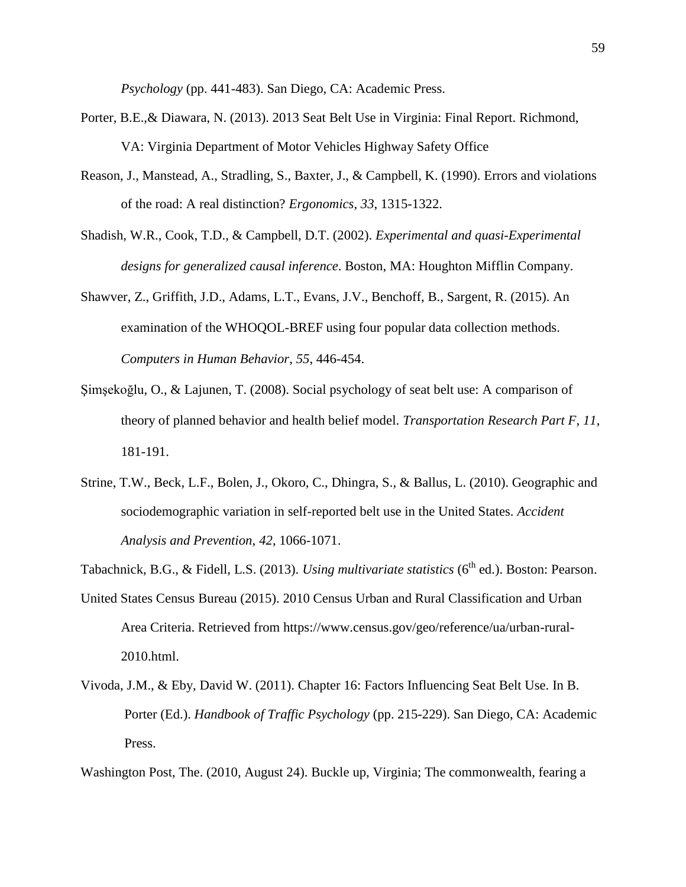*Psychology* (pp. 441-483). San Diego, CA: Academic Press.

- Porter, B.E.,& Diawara, N. (2013). 2013 Seat Belt Use in Virginia: Final Report. Richmond, VA: Virginia Department of Motor Vehicles Highway Safety Office
- Reason, J., Manstead, A., Stradling, S., Baxter, J., & Campbell, K. (1990). Errors and violations of the road: A real distinction? *Ergonomics*, *33*, 1315-1322.
- Shadish, W.R., Cook, T.D., & Campbell, D.T. (2002). *Experimental and quasi-Experimental designs for generalized causal inference*. Boston, MA: Houghton Mifflin Company.
- Shawver, Z., Griffith, J.D., Adams, L.T., Evans, J.V., Benchoff, B., Sargent, R. (2015). An examination of the WHOQOL-BREF using four popular data collection methods. *Computers in Human Behavior*, *55*, 446-454.
- Şimşekoğlu, O., & Lajunen, T. (2008). Social psychology of seat belt use: A comparison of theory of planned behavior and health belief model. *Transportation Research Part F*, *11*, 181-191.
- Strine, T.W., Beck, L.F., Bolen, J., Okoro, C., Dhingra, S., & Ballus, L. (2010). Geographic and sociodemographic variation in self-reported belt use in the United States. *Accident Analysis and Prevention*, *42*, 1066-1071.
- Tabachnick, B.G., & Fidell, L.S. (2013). *Using multivariate statistics* (6<sup>th</sup> ed.). Boston: Pearson.
- United States Census Bureau (2015). 2010 Census Urban and Rural Classification and Urban Area Criteria. Retrieved from https://www.census.gov/geo/reference/ua/urban-rural-2010.html.
- Vivoda, J.M., & Eby, David W. (2011). Chapter 16: Factors Influencing Seat Belt Use. In B. Porter (Ed.). *Handbook of Traffic Psychology* (pp. 215-229). San Diego, CA: Academic Press.

Washington Post, The. (2010, August 24). Buckle up, Virginia; The commonwealth, fearing a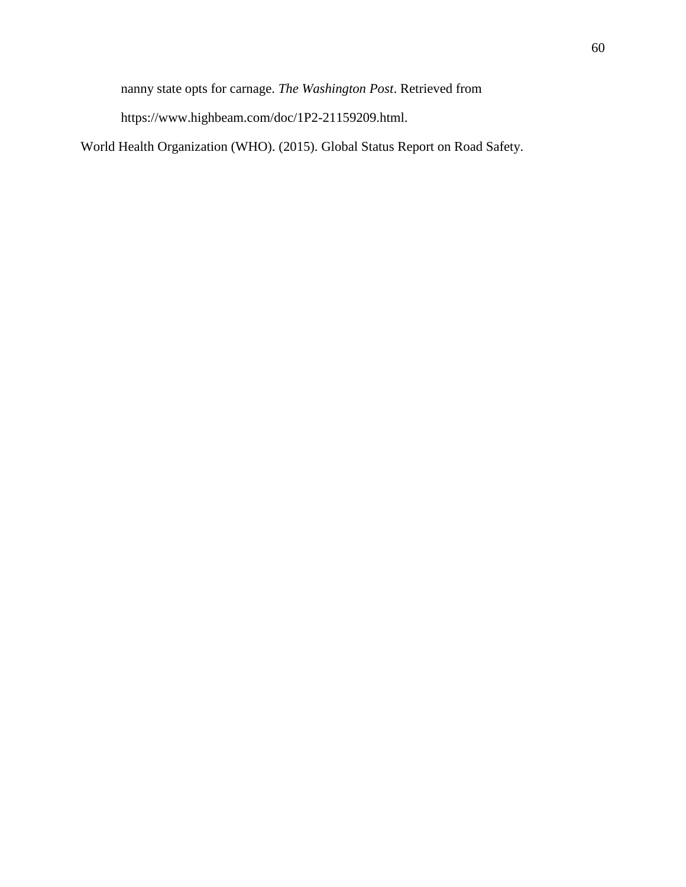nanny state opts for carnage. *The Washington Post*. Retrieved from

https://www.highbeam.com/doc/1P2-21159209.html.

World Health Organization (WHO). (2015). Global Status Report on Road Safety.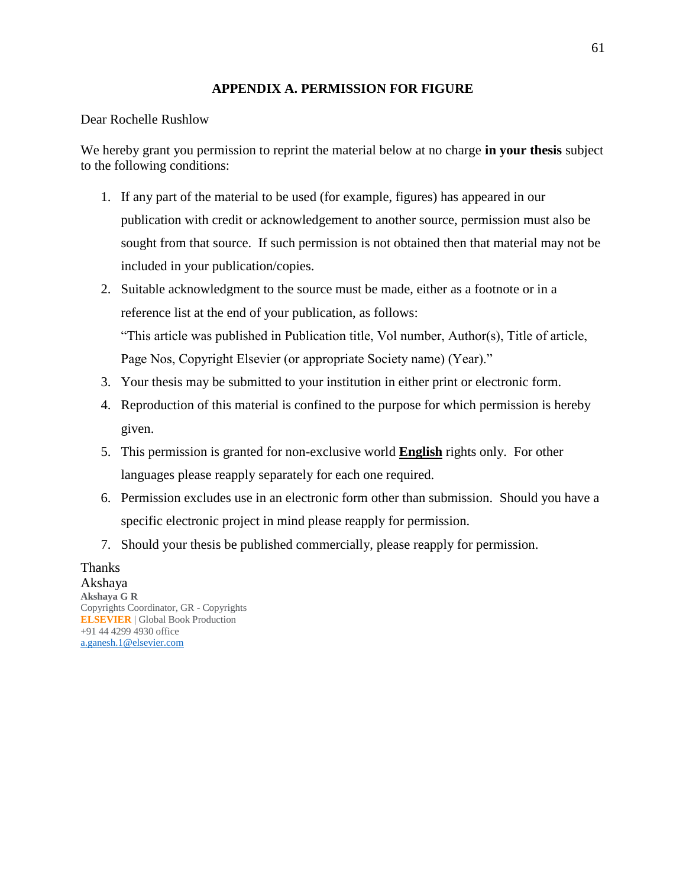## **APPENDIX A. PERMISSION FOR FIGURE**

## Dear Rochelle Rushlow

We hereby grant you permission to reprint the material below at no charge **in your thesis** subject to the following conditions:

- 1. If any part of the material to be used (for example, figures) has appeared in our publication with credit or acknowledgement to another source, permission must also be sought from that source. If such permission is not obtained then that material may not be included in your publication/copies.
- 2. Suitable acknowledgment to the source must be made, either as a footnote or in a reference list at the end of your publication, as follows: "This article was published in Publication title, Vol number, Author(s), Title of article,

Page Nos, Copyright Elsevier (or appropriate Society name) (Year)."

- 3. Your thesis may be submitted to your institution in either print or electronic form.
- 4. Reproduction of this material is confined to the purpose for which permission is hereby given.
- 5. This permission is granted for non-exclusive world **English** rights only. For other languages please reapply separately for each one required.
- 6. Permission excludes use in an electronic form other than submission. Should you have a specific electronic project in mind please reapply for permission.
- 7. Should your thesis be published commercially, please reapply for permission.

Thanks Akshaya **Akshaya G R** Copyrights Coordinator, GR - Copyrights **ELSEVIER** | Global Book Production +91 44 4299 4930 office [a.ganesh.1@elsevier.com](mailto:a.ganesh.1@elsevier.com)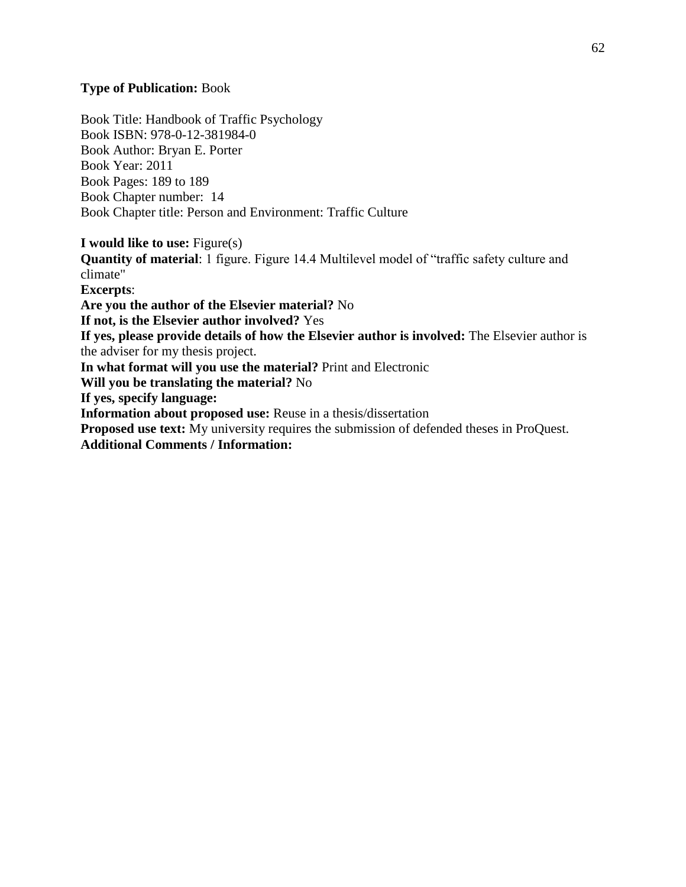#### **Type of Publication:** Book

Book Title: Handbook of Traffic Psychology Book ISBN: 978-0-12-381984-0 Book Author: Bryan E. Porter Book Year: 2011 Book Pages: 189 to 189 Book Chapter number: 14 Book Chapter title: Person and Environment: Traffic Culture

**I would like to use:** Figure(s)

**Quantity of material**: 1 figure. Figure 14.4 Multilevel model of "traffic safety culture and climate" **Excerpts**: **Are you the author of the Elsevier material?** No **If not, is the Elsevier author involved?** Yes **If yes, please provide details of how the Elsevier author is involved:** The Elsevier author is the adviser for my thesis project. **In what format will you use the material?** Print and Electronic **Will you be translating the material?** No **If yes, specify language: Information about proposed use:** Reuse in a thesis/dissertation **Proposed use text:** My university requires the submission of defended theses in ProQuest. **Additional Comments / Information:**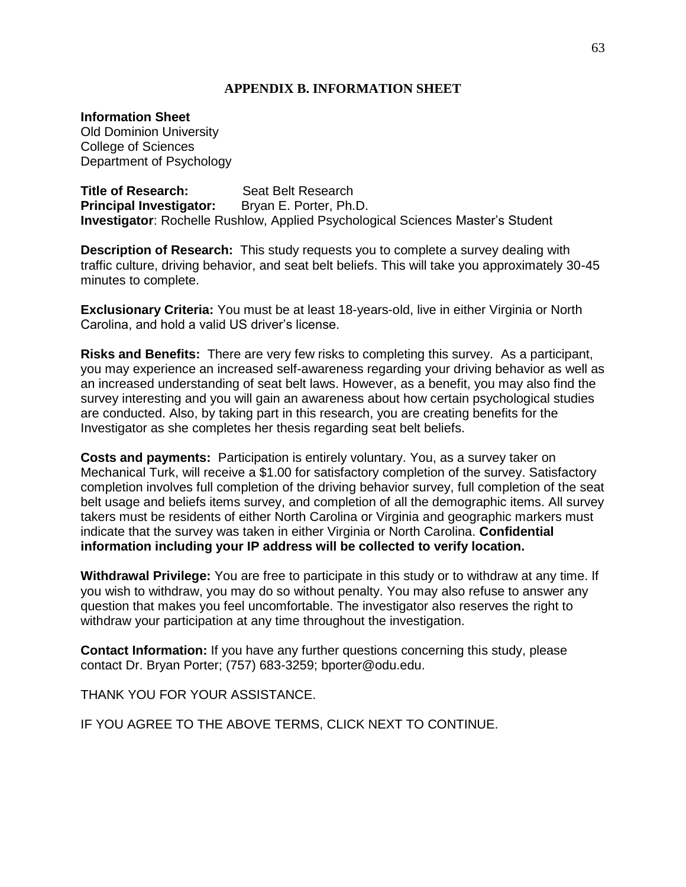### **APPENDIX B. INFORMATION SHEET**

**Information Sheet** Old Dominion University College of Sciences Department of Psychology

**Title of Research:** Seat Belt Research **Principal Investigator:** Bryan E. Porter, Ph.D. **Investigator**: Rochelle Rushlow, Applied Psychological Sciences Master's Student

**Description of Research:** This study requests you to complete a survey dealing with traffic culture, driving behavior, and seat belt beliefs. This will take you approximately 30-45 minutes to complete.

**Exclusionary Criteria:** You must be at least 18-years-old, live in either Virginia or North Carolina, and hold a valid US driver's license.

**Risks and Benefits:** There are very few risks to completing this survey. As a participant, you may experience an increased self-awareness regarding your driving behavior as well as an increased understanding of seat belt laws. However, as a benefit, you may also find the survey interesting and you will gain an awareness about how certain psychological studies are conducted. Also, by taking part in this research, you are creating benefits for the Investigator as she completes her thesis regarding seat belt beliefs.

**Costs and payments:** Participation is entirely voluntary. You, as a survey taker on Mechanical Turk, will receive a \$1.00 for satisfactory completion of the survey. Satisfactory completion involves full completion of the driving behavior survey, full completion of the seat belt usage and beliefs items survey, and completion of all the demographic items. All survey takers must be residents of either North Carolina or Virginia and geographic markers must indicate that the survey was taken in either Virginia or North Carolina. **Confidential information including your IP address will be collected to verify location.**

**Withdrawal Privilege:** You are free to participate in this study or to withdraw at any time. If you wish to withdraw, you may do so without penalty. You may also refuse to answer any question that makes you feel uncomfortable. The investigator also reserves the right to withdraw your participation at any time throughout the investigation.

**Contact Information:** If you have any further questions concerning this study, please contact Dr. Bryan Porter; (757) 683-3259; bporter@odu.edu.

THANK YOU FOR YOUR ASSISTANCE.

IF YOU AGREE TO THE ABOVE TERMS, CLICK NEXT TO CONTINUE.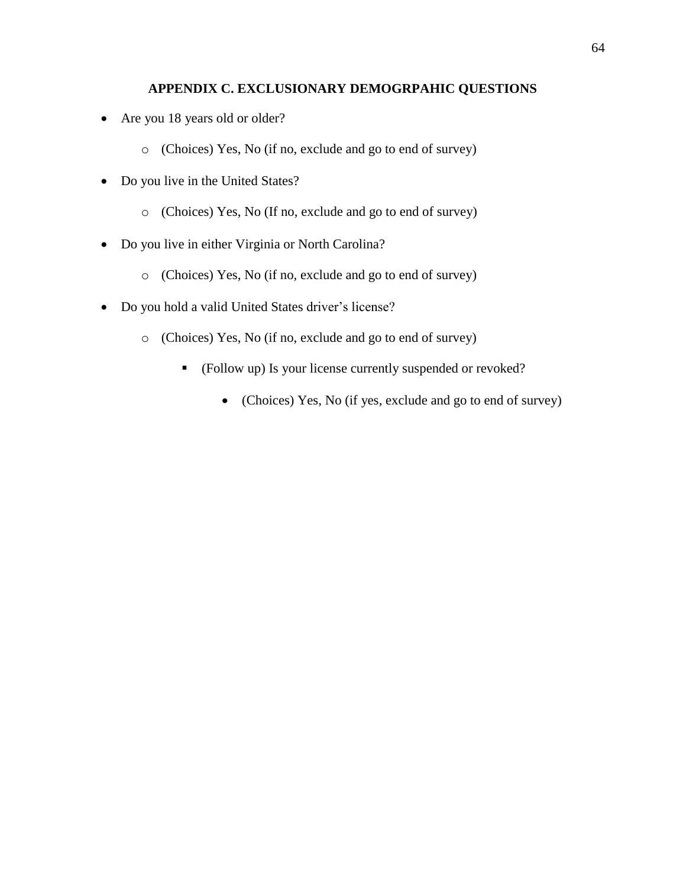# **APPENDIX C. EXCLUSIONARY DEMOGRPAHIC QUESTIONS**

- Are you 18 years old or older?
	- o (Choices) Yes, No (if no, exclude and go to end of survey)
- Do you live in the United States?
	- o (Choices) Yes, No (If no, exclude and go to end of survey)
- Do you live in either Virginia or North Carolina?
	- o (Choices) Yes, No (if no, exclude and go to end of survey)
- Do you hold a valid United States driver's license?
	- o (Choices) Yes, No (if no, exclude and go to end of survey)
		- (Follow up) Is your license currently suspended or revoked?
			- (Choices) Yes, No (if yes, exclude and go to end of survey)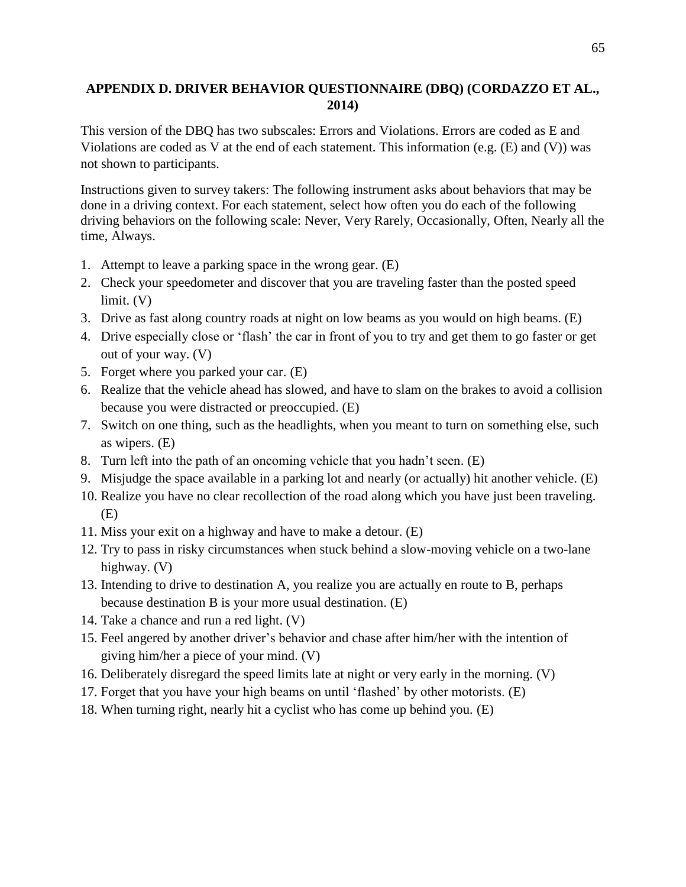# **APPENDIX D. DRIVER BEHAVIOR QUESTIONNAIRE (DBQ) (CORDAZZO ET AL., 2014)**

This version of the DBQ has two subscales: Errors and Violations. Errors are coded as E and Violations are coded as V at the end of each statement. This information (e.g. (E) and (V)) was not shown to participants.

Instructions given to survey takers: The following instrument asks about behaviors that may be done in a driving context. For each statement, select how often you do each of the following driving behaviors on the following scale: Never, Very Rarely, Occasionally, Often, Nearly all the time, Always.

- 1. Attempt to leave a parking space in the wrong gear. (E)
- 2. Check your speedometer and discover that you are traveling faster than the posted speed limit. (V)
- 3. Drive as fast along country roads at night on low beams as you would on high beams. (E)
- 4. Drive especially close or 'flash' the car in front of you to try and get them to go faster or get out of your way. (V)
- 5. Forget where you parked your car. (E)
- 6. Realize that the vehicle ahead has slowed, and have to slam on the brakes to avoid a collision because you were distracted or preoccupied. (E)
- 7. Switch on one thing, such as the headlights, when you meant to turn on something else, such as wipers. (E)
- 8. Turn left into the path of an oncoming vehicle that you hadn't seen. (E)
- 9. Misjudge the space available in a parking lot and nearly (or actually) hit another vehicle. (E)
- 10. Realize you have no clear recollection of the road along which you have just been traveling. (E)
- 11. Miss your exit on a highway and have to make a detour. (E)
- 12. Try to pass in risky circumstances when stuck behind a slow-moving vehicle on a two-lane highway. (V)
- 13. Intending to drive to destination A, you realize you are actually en route to B, perhaps because destination B is your more usual destination. (E)
- 14. Take a chance and run a red light. (V)
- 15. Feel angered by another driver's behavior and chase after him/her with the intention of giving him/her a piece of your mind. (V)
- 16. Deliberately disregard the speed limits late at night or very early in the morning. (V)
- 17. Forget that you have your high beams on until 'flashed' by other motorists. (E)
- 18. When turning right, nearly hit a cyclist who has come up behind you. (E)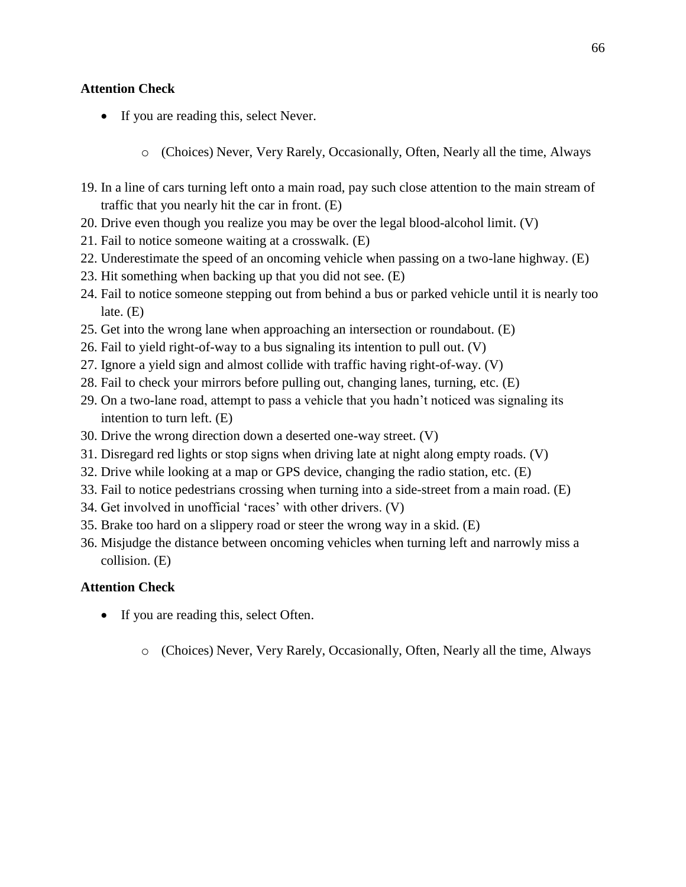- If you are reading this, select Never.
	- o (Choices) Never, Very Rarely, Occasionally, Often, Nearly all the time, Always
- 19. In a line of cars turning left onto a main road, pay such close attention to the main stream of traffic that you nearly hit the car in front. (E)
- 20. Drive even though you realize you may be over the legal blood-alcohol limit. (V)
- 21. Fail to notice someone waiting at a crosswalk. (E)
- 22. Underestimate the speed of an oncoming vehicle when passing on a two-lane highway. (E)
- 23. Hit something when backing up that you did not see. (E)
- 24. Fail to notice someone stepping out from behind a bus or parked vehicle until it is nearly too late.  $(E)$
- 25. Get into the wrong lane when approaching an intersection or roundabout. (E)
- 26. Fail to yield right-of-way to a bus signaling its intention to pull out. (V)
- 27. Ignore a yield sign and almost collide with traffic having right-of-way. (V)
- 28. Fail to check your mirrors before pulling out, changing lanes, turning, etc. (E)
- 29. On a two-lane road, attempt to pass a vehicle that you hadn't noticed was signaling its intention to turn left. (E)
- 30. Drive the wrong direction down a deserted one-way street. (V)
- 31. Disregard red lights or stop signs when driving late at night along empty roads. (V)
- 32. Drive while looking at a map or GPS device, changing the radio station, etc. (E)
- 33. Fail to notice pedestrians crossing when turning into a side-street from a main road. (E)
- 34. Get involved in unofficial 'races' with other drivers. (V)
- 35. Brake too hard on a slippery road or steer the wrong way in a skid. (E)
- 36. Misjudge the distance between oncoming vehicles when turning left and narrowly miss a collision. (E)

- If you are reading this, select Often.
	- o (Choices) Never, Very Rarely, Occasionally, Often, Nearly all the time, Always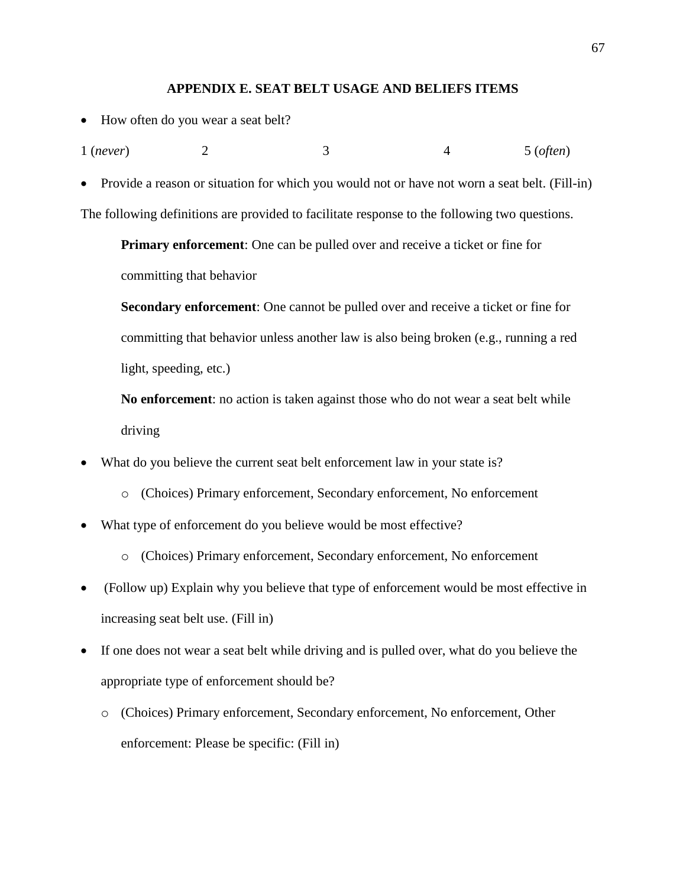#### **APPENDIX E. SEAT BELT USAGE AND BELIEFS ITEMS**

• How often do you wear a seat belt?

| $1$ (never) | $5\text{ (often)}$ |
|-------------|--------------------|
|-------------|--------------------|

 Provide a reason or situation for which you would not or have not worn a seat belt. (Fill-in) The following definitions are provided to facilitate response to the following two questions.

**Primary enforcement**: One can be pulled over and receive a ticket or fine for committing that behavior

**Secondary enforcement**: One cannot be pulled over and receive a ticket or fine for committing that behavior unless another law is also being broken (e.g., running a red light, speeding, etc.)

**No enforcement**: no action is taken against those who do not wear a seat belt while driving

- What do you believe the current seat belt enforcement law in your state is?
	- o (Choices) Primary enforcement, Secondary enforcement, No enforcement
- What type of enforcement do you believe would be most effective?
	- o (Choices) Primary enforcement, Secondary enforcement, No enforcement
- (Follow up) Explain why you believe that type of enforcement would be most effective in increasing seat belt use. (Fill in)
- If one does not wear a seat belt while driving and is pulled over, what do you believe the appropriate type of enforcement should be?
	- o (Choices) Primary enforcement, Secondary enforcement, No enforcement, Other enforcement: Please be specific: (Fill in)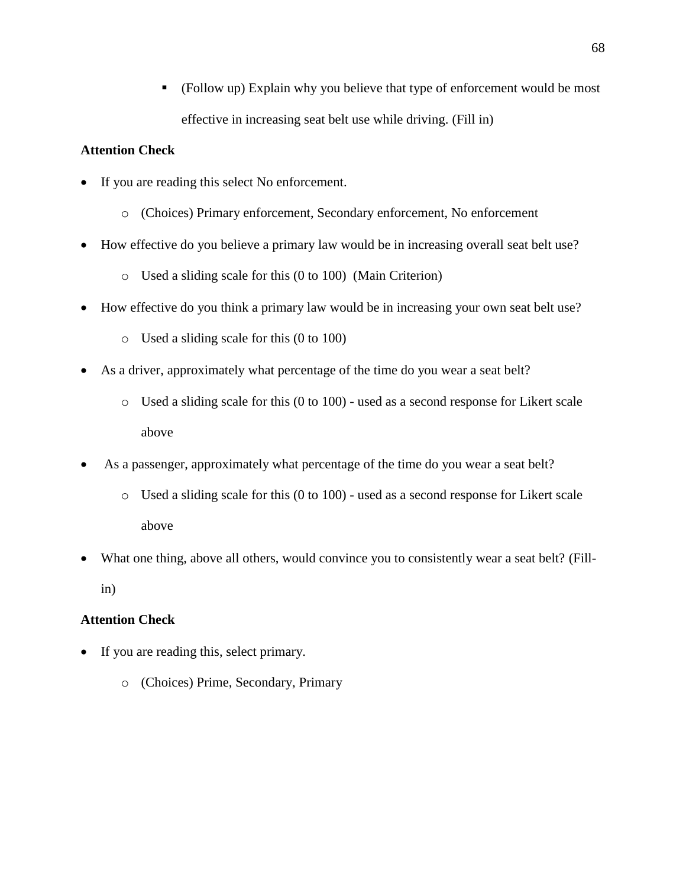(Follow up) Explain why you believe that type of enforcement would be most effective in increasing seat belt use while driving. (Fill in)

### **Attention Check**

- If you are reading this select No enforcement.
	- o (Choices) Primary enforcement, Secondary enforcement, No enforcement
- How effective do you believe a primary law would be in increasing overall seat belt use?
	- o Used a sliding scale for this (0 to 100) (Main Criterion)
- How effective do you think a primary law would be in increasing your own seat belt use?
	- o Used a sliding scale for this (0 to 100)
- As a driver, approximately what percentage of the time do you wear a seat belt?
	- o Used a sliding scale for this (0 to 100) used as a second response for Likert scale above
- As a passenger, approximately what percentage of the time do you wear a seat belt?
	- o Used a sliding scale for this (0 to 100) used as a second response for Likert scale above
- What one thing, above all others, would convince you to consistently wear a seat belt? (Fillin)

- If you are reading this, select primary.
	- o (Choices) Prime, Secondary, Primary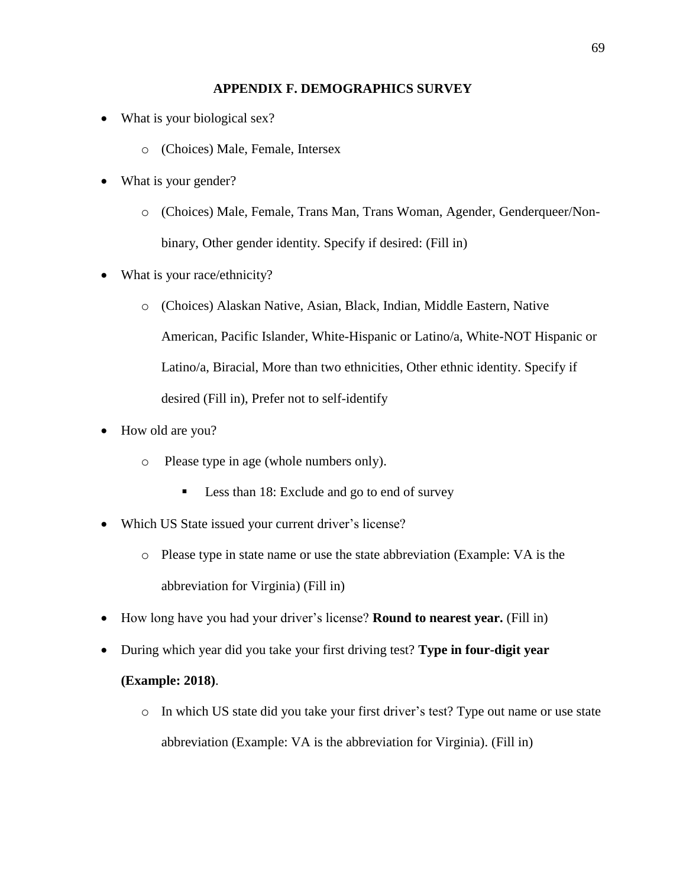#### **APPENDIX F. DEMOGRAPHICS SURVEY**

- What is your biological sex?
	- o (Choices) Male, Female, Intersex
- What is your gender?
	- o (Choices) Male, Female, Trans Man, Trans Woman, Agender, Genderqueer/Nonbinary, Other gender identity. Specify if desired: (Fill in)
- What is your race/ethnicity?
	- o (Choices) Alaskan Native, Asian, Black, Indian, Middle Eastern, Native American, Pacific Islander, White-Hispanic or Latino/a, White-NOT Hispanic or Latino/a, Biracial, More than two ethnicities, Other ethnic identity. Specify if desired (Fill in), Prefer not to self-identify
- How old are you?
	- o Please type in age (whole numbers only).
		- **Less than 18: Exclude and go to end of survey**
- Which US State issued your current driver's license?
	- o Please type in state name or use the state abbreviation (Example: VA is the abbreviation for Virginia) (Fill in)
- How long have you had your driver's license? **Round to nearest year.** (Fill in)
- During which year did you take your first driving test? **Type in four-digit year (Example: 2018)**.
	- o In which US state did you take your first driver's test? Type out name or use state abbreviation (Example: VA is the abbreviation for Virginia). (Fill in)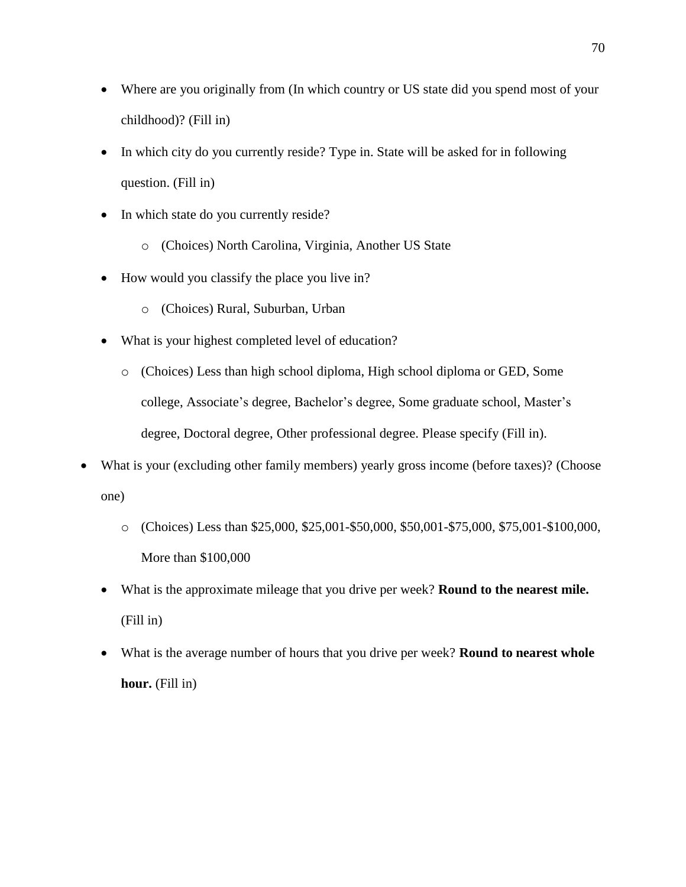- Where are you originally from (In which country or US state did you spend most of your childhood)? (Fill in)
- In which city do you currently reside? Type in. State will be asked for in following question. (Fill in)
- In which state do you currently reside?
	- o (Choices) North Carolina, Virginia, Another US State
- How would you classify the place you live in?
	- o (Choices) Rural, Suburban, Urban
- What is your highest completed level of education?
	- o (Choices) Less than high school diploma, High school diploma or GED, Some college, Associate's degree, Bachelor's degree, Some graduate school, Master's degree, Doctoral degree, Other professional degree. Please specify (Fill in).
- What is your (excluding other family members) yearly gross income (before taxes)? (Choose one)
	- o (Choices) Less than \$25,000, \$25,001-\$50,000, \$50,001-\$75,000, \$75,001-\$100,000, More than \$100,000
	- What is the approximate mileage that you drive per week? **Round to the nearest mile.** (Fill in)
	- What is the average number of hours that you drive per week? **Round to nearest whole hour.** (Fill in)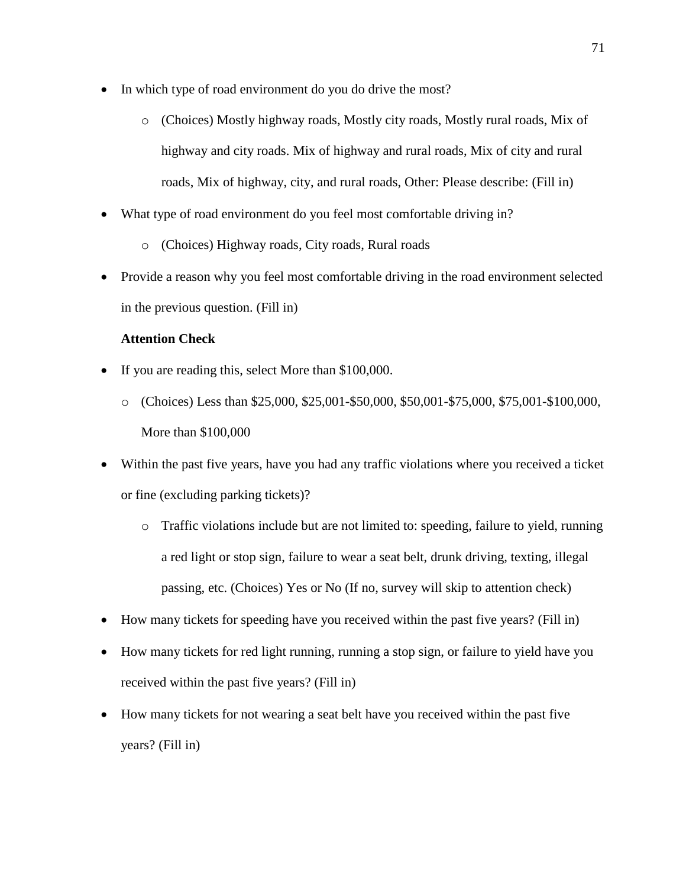- In which type of road environment do you do drive the most?
	- o (Choices) Mostly highway roads, Mostly city roads, Mostly rural roads, Mix of highway and city roads. Mix of highway and rural roads, Mix of city and rural roads, Mix of highway, city, and rural roads, Other: Please describe: (Fill in)
- What type of road environment do you feel most comfortable driving in?
	- o (Choices) Highway roads, City roads, Rural roads
- Provide a reason why you feel most comfortable driving in the road environment selected in the previous question. (Fill in)

- If you are reading this, select More than \$100,000.
	- o (Choices) Less than \$25,000, \$25,001-\$50,000, \$50,001-\$75,000, \$75,001-\$100,000, More than \$100,000
- Within the past five years, have you had any traffic violations where you received a ticket or fine (excluding parking tickets)?
	- $\circ$  Traffic violations include but are not limited to: speeding, failure to yield, running a red light or stop sign, failure to wear a seat belt, drunk driving, texting, illegal passing, etc. (Choices) Yes or No (If no, survey will skip to attention check)
- How many tickets for speeding have you received within the past five years? (Fill in)
- How many tickets for red light running, running a stop sign, or failure to yield have you received within the past five years? (Fill in)
- How many tickets for not wearing a seat belt have you received within the past five years? (Fill in)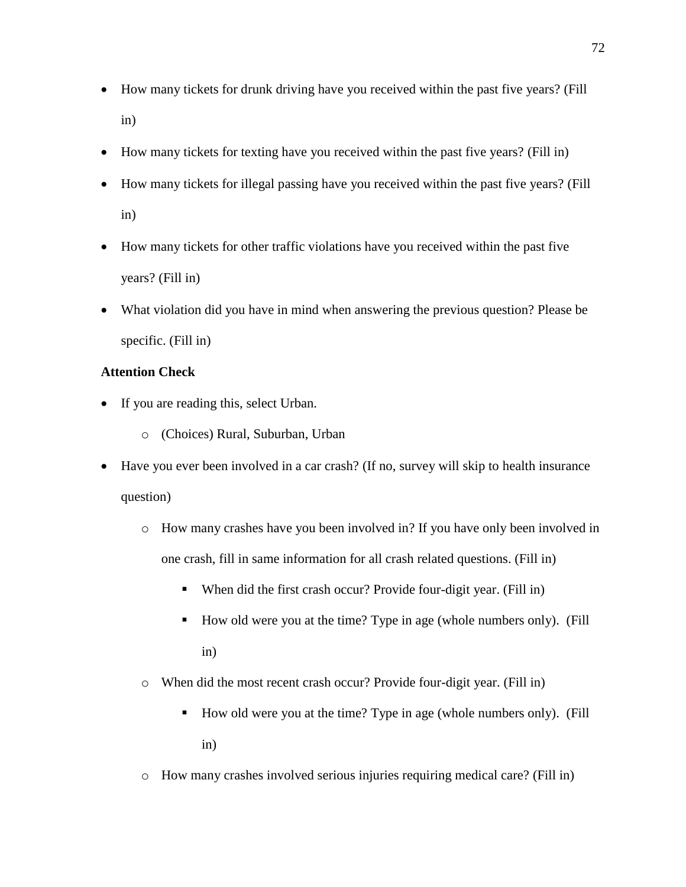- How many tickets for drunk driving have you received within the past five years? (Fill in)
- How many tickets for texting have you received within the past five years? (Fill in)
- How many tickets for illegal passing have you received within the past five years? (Fill in)
- How many tickets for other traffic violations have you received within the past five years? (Fill in)
- What violation did you have in mind when answering the previous question? Please be specific. (Fill in)

- If you are reading this, select Urban.
	- o (Choices) Rural, Suburban, Urban
- Have you ever been involved in a car crash? (If no, survey will skip to health insurance question)
	- o How many crashes have you been involved in? If you have only been involved in one crash, fill in same information for all crash related questions. (Fill in)
		- When did the first crash occur? Provide four-digit year. (Fill in)
		- How old were you at the time? Type in age (whole numbers only). (Fill in)
	- o When did the most recent crash occur? Provide four-digit year. (Fill in)
		- How old were you at the time? Type in age (whole numbers only). (Fill in)
	- o How many crashes involved serious injuries requiring medical care? (Fill in)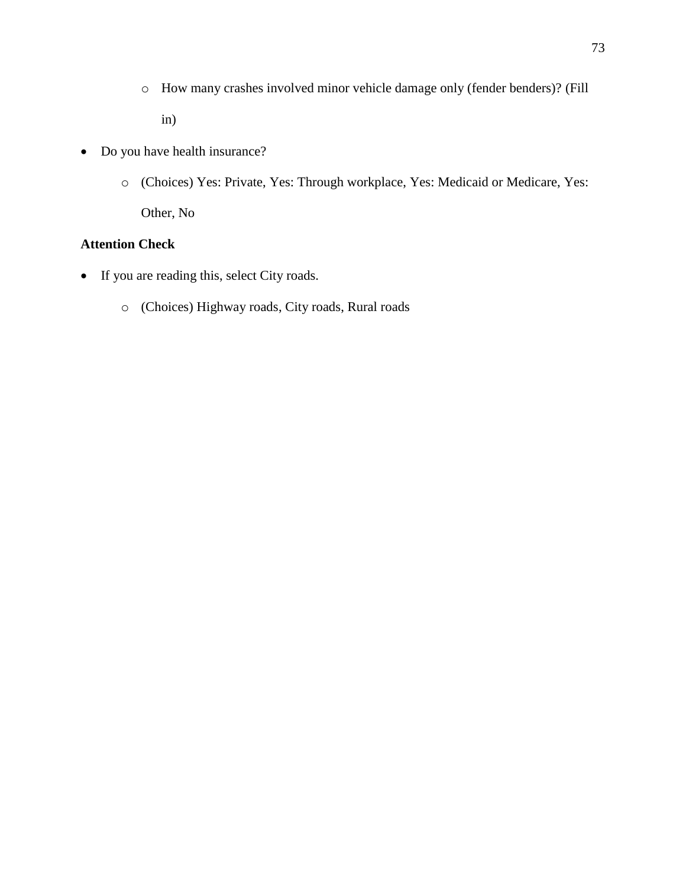- o How many crashes involved minor vehicle damage only (fender benders)? (Fill in)
- Do you have health insurance?
	- o (Choices) Yes: Private, Yes: Through workplace, Yes: Medicaid or Medicare, Yes: Other, No

- If you are reading this, select City roads.
	- o (Choices) Highway roads, City roads, Rural roads